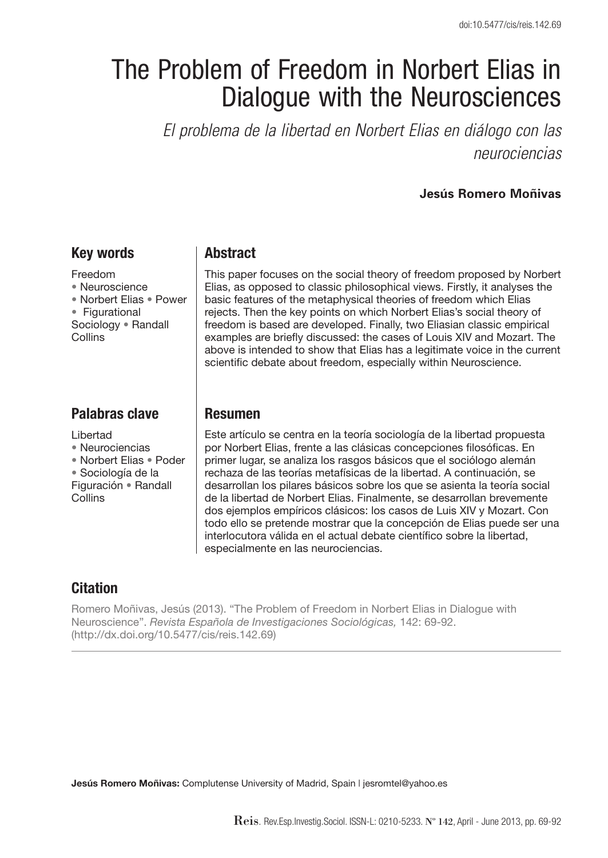# The Problem of Freedom in Norbert Elias in Dialogue with the Neurosciences

*El problema de la libertad en Norbert Elias en diálogo con las neurociencias*

#### **Jesús Romero Moñivas**

## **Key words**

Freedom • Neuroscience • Norbert Elias • Power • Figurational Sociology • Randall Collins

# **Palabras clave**

Libertad

- Neurociencias
- Norbert Elias Poder

• Sociología de la

Figuración • Randall **Collins** 

## **Abstract**

This paper focuses on the social theory of freedom proposed by Norbert Elias, as opposed to classic philosophical views. Firstly, it analyses the basic features of the metaphysical theories of freedom which Elias rejects. Then the key points on which Norbert Elias's social theory of freedom is based are developed. Finally, two Eliasian classic empirical examples are briefly discussed: the cases of Louis XIV and Mozart. The above is intended to show that Elias has a legitimate voice in the current scientific debate about freedom, especially within Neuroscience.

## **Resumen**

Este artículo se centra en la teoría sociología de la libertad propuesta por Norbert Elias, frente a las clásicas concepciones filosóficas. En primer lugar, se analiza los rasgos básicos que el sociólogo alemán rechaza de las teorías metafísicas de la libertad. A continuación, se desarrollan los pilares básicos sobre los que se asienta la teoría social de la libertad de Norbert Elias. Finalmente, se desarrollan brevemente dos ejemplos empíricos clásicos: los casos de Luis XIV y Mozart. Con todo ello se pretende mostrar que la concepción de Elias puede ser una interlocutora válida en el actual debate científico sobre la libertad, especialmente en las neurociencias.

# **Citation**

Romero Moñivas, Jesús (2013). "The Problem of Freedom in Norbert Elias in Dialogue with Neuroscience". *Revista Española de Investigaciones Sociológicas,* 142: 69-92. (http://dx.doi.org/10.5477/cis/reis.142.69)

**Jesús Romero Moñivas:** Complutense University of Madrid, Spain | jesromtel@yahoo.es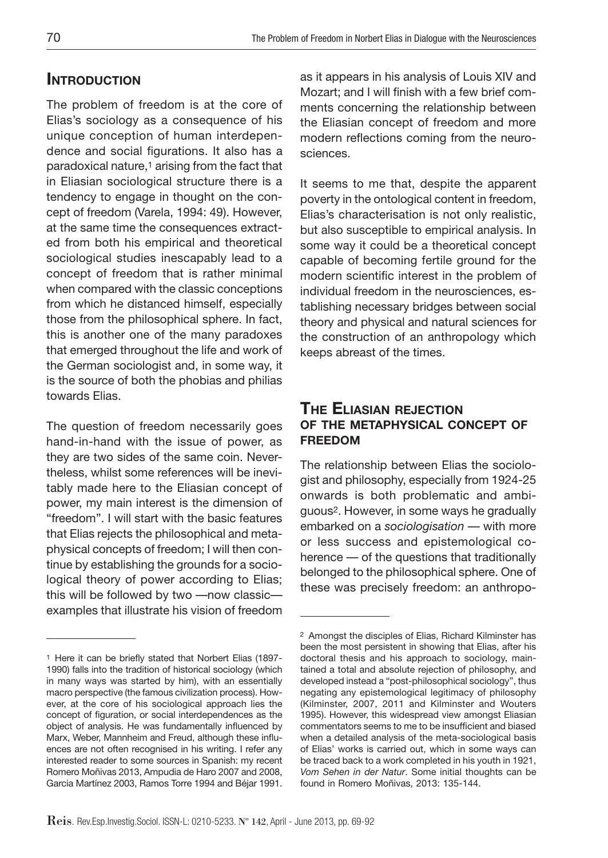# **INTRODUCTION**

The problem of freedom is at the core of Elias's sociology as a consequence of his unique conception of human interdependence and social figurations. It also has a paradoxical nature,<sup>1</sup> arising from the fact that in Eliasian sociological structure there is a tendency to engage in thought on the concept of freedom (Varela, 1994: 49). However, at the same time the consequences extracted from both his empirical and theoretical sociological studies inescapably lead to a concept of freedom that is rather minimal when compared with the classic conceptions from which he distanced himself, especially those from the philosophical sphere. In fact, this is another one of the many paradoxes that emerged throughout the life and work of the German sociologist and, in some way, it is the source of both the phobias and philias towards Elias.

The question of freedom necessarily goes hand-in-hand with the issue of power, as they are two sides of the same coin. Nevertheless, whilst some references will be inevitably made here to the Eliasian concept of power, my main interest is the dimension of "freedom". I will start with the basic features that Elias rejects the philosophical and metaphysical concepts of freedom; I will then continue by establishing the grounds for a sociological theory of power according to Elias; this will be followed by two —now classic examples that illustrate his vision of freedom as it appears in his analysis of Louis XIV and Mozart; and I will finish with a few brief comments concerning the relationship between the Eliasian concept of freedom and more modern reflections coming from the neurosciences.

It seems to me that, despite the apparent poverty in the ontological content in freedom, Elias's characterisation is not only realistic, but also susceptible to empirical analysis. In some way it could be a theoretical concept capable of becoming fertile ground for the modern scientific interest in the problem of individual freedom in the neurosciences, establishing necessary bridges between social theory and physical and natural sciences for the construction of an anthropology which keeps abreast of the times.

## **The Eliasian rejection of the metaphysical concept of freedom**

The relationship between Elias the sociologist and philosophy, especially from 1924-25 onwards is both problematic and ambiguous2. However, in some ways he gradually embarked on a *sociologisation* — with more or less success and epistemological coherence — of the questions that traditionally belonged to the philosophical sphere. One of these was precisely freedom: an anthropo-

<sup>1</sup> Here it can be briefly stated that Norbert Elias (1897- 1990) falls into the tradition of historical sociology (which in many ways was started by him), with an essentially macro perspective (the famous civilization process). However, at the core of his sociological approach lies the concept of figuration, or social interdependences as the object of analysis. He was fundamentally influenced by Marx, Weber, Mannheim and Freud, although these influences are not often recognised in his writing. I refer any interested reader to some sources in Spanish: my recent Romero Moñivas 2013, Ampudia de Haro 2007 and 2008, Garcia Martínez 2003, Ramos Torre 1994 and Béjar 1991.

<sup>2</sup> Amongst the disciples of Elias, Richard Kilminster has been the most persistent in showing that Elias, after his doctoral thesis and his approach to sociology, maintained a total and absolute rejection of philosophy, and developed instead a "post-philosophical sociology", thus negating any epistemological legitimacy of philosophy (Kilminster, 2007, 2011 and Kilminster and Wouters 1995). However, this widespread view amongst Eliasian commentators seems to me to be insufficient and biased when a detailed analysis of the meta-sociological basis of Elias' works is carried out, which in some ways can be traced back to a work completed in his youth in 1921, *Vom Sehen in der Natur*. Some initial thoughts can be found in Romero Moñivas, 2013: 135-144.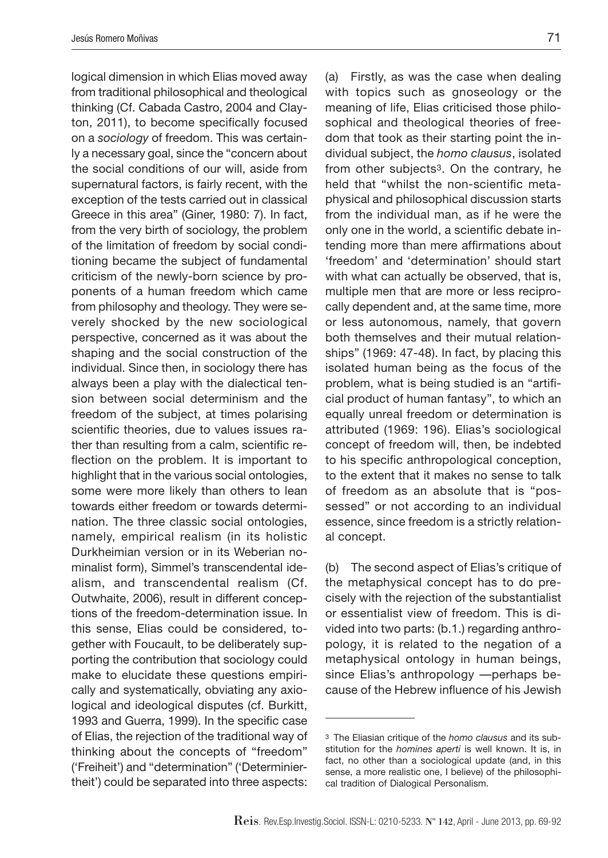logical dimension in which Elias moved away from traditional philosophical and theological thinking (Cf. Cabada Castro, 2004 and Clayton, 2011), to become specifically focused on a *sociology* of freedom. This was certainly a necessary goal, since the "concern about the social conditions of our will, aside from supernatural factors, is fairly recent, with the exception of the tests carried out in classical Greece in this area" (Giner, 1980: 7). In fact, from the very birth of sociology, the problem of the limitation of freedom by social conditioning became the subject of fundamental criticism of the newly-born science by proponents of a human freedom which came from philosophy and theology. They were severely shocked by the new sociological perspective, concerned as it was about the shaping and the social construction of the individual. Since then, in sociology there has always been a play with the dialectical tension between social determinism and the freedom of the subject, at times polarising scientific theories, due to values issues rather than resulting from a calm, scientific reflection on the problem. It is important to highlight that in the various social ontologies, some were more likely than others to lean towards either freedom or towards determination. The three classic social ontologies, namely, empirical realism (in its holistic Durkheimian version or in its Weberian nominalist form), Simmel's transcendental idealism, and transcendental realism (Cf. Outwhaite, 2006), result in different conceptions of the freedom-determination issue. In this sense, Elias could be considered, together with Foucault, to be deliberately supporting the contribution that sociology could make to elucidate these questions empirically and systematically, obviating any axiological and ideological disputes (cf. Burkitt, 1993 and Guerra, 1999). In the specific case of Elias, the rejection of the traditional way of thinking about the concepts of "freedom" ('Freiheit') and "determination" ('Determiniertheit') could be separated into three aspects:

(a) Firstly, as was the case when dealing with topics such as gnoseology or the meaning of life, Elias criticised those philosophical and theological theories of freedom that took as their starting point the individual subject, the *homo clausus*, isolated from other subjects3. On the contrary, he held that "whilst the non-scientific metaphysical and philosophical discussion starts from the individual man, as if he were the only one in the world, a scientific debate intending more than mere affirmations about 'freedom' and 'determination' should start with what can actually be observed, that is, multiple men that are more or less reciprocally dependent and, at the same time, more or less autonomous, namely, that govern both themselves and their mutual relationships" (1969: 47-48). In fact, by placing this isolated human being as the focus of the problem, what is being studied is an "artificial product of human fantasy", to which an equally unreal freedom or determination is attributed (1969: 196). Elias's sociological concept of freedom will, then, be indebted to his specific anthropological conception, to the extent that it makes no sense to talk of freedom as an absolute that is "possessed" or not according to an individual essence, since freedom is a strictly relational concept.

(b) The second aspect of Elias's critique of the metaphysical concept has to do precisely with the rejection of the substantialist or essentialist view of freedom. This is divided into two parts: (b.1.) regarding anthropology, it is related to the negation of a metaphysical ontology in human beings, since Elias's anthropology —perhaps because of the Hebrew influence of his Jewish

<sup>3</sup> The Eliasian critique of the *homo clausus* and its substitution for the *homines aperti* is well known. It is, in fact, no other than a sociological update (and, in this sense, a more realistic one, I believe) of the philosophical tradition of Dialogical Personalism.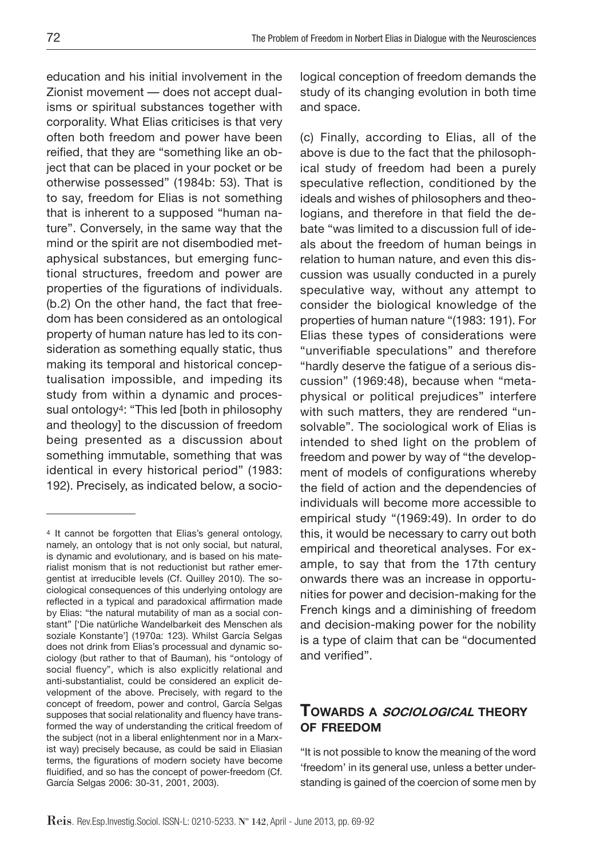education and his initial involvement in the Zionist movement — does not accept dualisms or spiritual substances together with corporality. What Elias criticises is that very often both freedom and power have been reified, that they are "something like an object that can be placed in your pocket or be otherwise possessed" (1984b: 53). That is to say, freedom for Elias is not something that is inherent to a supposed "human nature". Conversely, in the same way that the mind or the spirit are not disembodied metaphysical substances, but emerging functional structures, freedom and power are properties of the figurations of individuals. (b.2) On the other hand, the fact that freedom has been considered as an ontological property of human nature has led to its consideration as something equally static, thus making its temporal and historical conceptualisation impossible, and impeding its study from within a dynamic and processual ontology4: "This led [both in philosophy and theology] to the discussion of freedom being presented as a discussion about something immutable, something that was identical in every historical period" (1983: 192). Precisely, as indicated below, a sociological conception of freedom demands the study of its changing evolution in both time and space.

(c) Finally, according to Elias, all of the above is due to the fact that the philosophical study of freedom had been a purely speculative reflection, conditioned by the ideals and wishes of philosophers and theologians, and therefore in that field the debate "was limited to a discussion full of ideals about the freedom of human beings in relation to human nature, and even this discussion was usually conducted in a purely speculative way, without any attempt to consider the biological knowledge of the properties of human nature "(1983: 191). For Elias these types of considerations were "unverifiable speculations" and therefore "hardly deserve the fatigue of a serious discussion" (1969:48), because when "metaphysical or political prejudices" interfere with such matters, they are rendered "unsolvable". The sociological work of Elias is intended to shed light on the problem of freedom and power by way of "the development of models of configurations whereby the field of action and the dependencies of individuals will become more accessible to empirical study "(1969:49). In order to do this, it would be necessary to carry out both empirical and theoretical analyses. For example, to say that from the 17th century onwards there was an increase in opportunities for power and decision-making for the French kings and a diminishing of freedom and decision-making power for the nobility is a type of claim that can be "documented and verified".

## **Towards <sup>a</sup> sociological theory of freedom**

"It is not possible to know the meaning of the word 'freedom' in its general use, unless a better understanding is gained of the coercion of some men by

<sup>4</sup> It cannot be forgotten that Elias's general ontology, namely, an ontology that is not only social, but natural, is dynamic and evolutionary, and is based on his materialist monism that is not reductionist but rather emergentist at irreducible levels (Cf. Quilley 2010). The sociological consequences of this underlying ontology are reflected in a typical and paradoxical affirmation made by Elias: "the natural mutability of man as a social constant" ['Die natürliche Wandelbarkeit des Menschen als soziale Konstante'] (1970a: 123). Whilst García Selgas does not drink from Elias's processual and dynamic sociology (but rather to that of Bauman), his "ontology of social fluency", which is also explicitly relational and anti-substantialist, could be considered an explicit development of the above. Precisely, with regard to the concept of freedom, power and control, García Selgas supposes that social relationality and fluency have transformed the way of understanding the critical freedom of the subject (not in a liberal enlightenment nor in a Marxist way) precisely because, as could be said in Eliasian terms, the figurations of modern society have become fluidified, and so has the concept of power-freedom (Cf. García Selgas 2006: 30-31, 2001, 2003).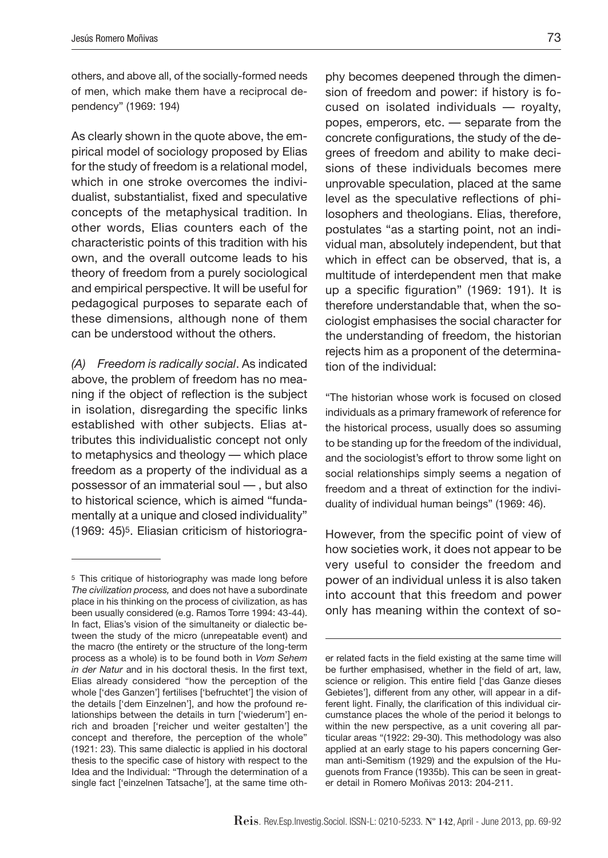others, and above all, of the socially-formed needs of men, which make them have a reciprocal dependency" (1969: 194)

As clearly shown in the quote above, the empirical model of sociology proposed by Elias for the study of freedom is a relational model, which in one stroke overcomes the individualist, substantialist, fixed and speculative concepts of the metaphysical tradition. In other words, Elias counters each of the characteristic points of this tradition with his own, and the overall outcome leads to his theory of freedom from a purely sociological and empirical perspective. It will be useful for pedagogical purposes to separate each of these dimensions, although none of them can be understood without the others.

*(A) Freedom is radically social*. As indicated above, the problem of freedom has no meaning if the object of reflection is the subject in isolation, disregarding the specific links established with other subjects. Elias attributes this individualistic concept not only to metaphysics and theology — which place freedom as a property of the individual as a possessor of an immaterial soul — , but also to historical science, which is aimed "fundamentally at a unique and closed individuality" (1969: 45)5. Eliasian criticism of historiogra-

phy becomes deepened through the dimension of freedom and power: if history is focused on isolated individuals — royalty, popes, emperors, etc. — separate from the concrete configurations, the study of the degrees of freedom and ability to make decisions of these individuals becomes mere unprovable speculation, placed at the same level as the speculative reflections of philosophers and theologians. Elias, therefore, postulates "as a starting point, not an individual man, absolutely independent, but that which in effect can be observed, that is, a multitude of interdependent men that make up a specific figuration" (1969: 191). It is therefore understandable that, when the sociologist emphasises the social character for the understanding of freedom, the historian rejects him as a proponent of the determination of the individual:

"The historian whose work is focused on closed individuals as a primary framework of reference for the historical process, usually does so assuming to be standing up for the freedom of the individual, and the sociologist's effort to throw some light on social relationships simply seems a negation of freedom and a threat of extinction for the individuality of individual human beings" (1969: 46).

However, from the specific point of view of how societies work, it does not appear to be very useful to consider the freedom and power of an individual unless it is also taken into account that this freedom and power only has meaning within the context of so-

<sup>5</sup> This critique of historiography was made long before *The civilization process,* and does not have a subordinate place in his thinking on the process of civilization, as has been usually considered (e.g. Ramos Torre 1994: 43-44). In fact, Elias's vision of the simultaneity or dialectic between the study of the micro (unrepeatable event) and the macro (the entirety or the structure of the long-term process as a whole) is to be found both in *Vom Sehem in der Natur* and in his doctoral thesis. In the first text, Elias already considered "how the perception of the whole ['des Ganzen'] fertilises ['befruchtet'] the vision of the details ['dem Einzelnen'], and how the profound relationships between the details in turn ['wiederum'] enrich and broaden ['reicher und weiter gestalten'] the concept and therefore, the perception of the whole" (1921: 23). This same dialectic is applied in his doctoral thesis to the specific case of history with respect to the Idea and the Individual: "Through the determination of a single fact ['einzelnen Tatsache'], at the same time oth-

er related facts in the field existing at the same time will be further emphasised, whether in the field of art, law, science or religion. This entire field ['das Ganze dieses Gebietes'], different from any other, will appear in a different light. Finally, the clarification of this individual circumstance places the whole of the period it belongs to within the new perspective, as a unit covering all particular areas "(1922: 29-30). This methodology was also applied at an early stage to his papers concerning German anti-Semitism (1929) and the expulsion of the Huguenots from France (1935b). This can be seen in greater detail in Romero Moñivas 2013: 204-211.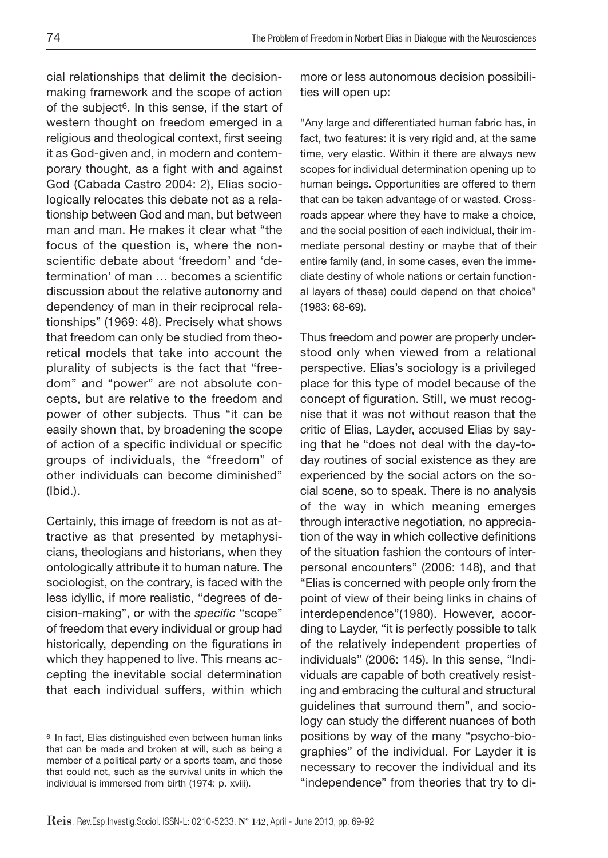cial relationships that delimit the decisionmaking framework and the scope of action of the subject<sup>6</sup>. In this sense, if the start of western thought on freedom emerged in a religious and theological context, first seeing it as God-given and, in modern and contemporary thought, as a fight with and against God (Cabada Castro 2004: 2), Elias sociologically relocates this debate not as a relationship between God and man, but between man and man. He makes it clear what "the focus of the question is, where the nonscientific debate about 'freedom' and 'determination' of man … becomes a scientific discussion about the relative autonomy and dependency of man in their reciprocal relationships" (1969: 48). Precisely what shows that freedom can only be studied from theoretical models that take into account the plurality of subjects is the fact that "freedom" and "power" are not absolute concepts, but are relative to the freedom and power of other subjects. Thus "it can be easily shown that, by broadening the scope of action of a specific individual or specific groups of individuals, the "freedom" of other individuals can become diminished" (Ibid.).

Certainly, this image of freedom is not as attractive as that presented by metaphysicians, theologians and historians, when they ontologically attribute it to human nature. The sociologist, on the contrary, is faced with the less idyllic, if more realistic, "degrees of decision-making", or with the *specific* "scope" of freedom that every individual or group had historically, depending on the figurations in which they happened to live. This means accepting the inevitable social determination that each individual suffers, within which

more or less autonomous decision possibilities will open up:

"Any large and differentiated human fabric has, in fact, two features: it is very rigid and, at the same time, very elastic. Within it there are always new scopes for individual determination opening up to human beings. Opportunities are offered to them that can be taken advantage of or wasted. Crossroads appear where they have to make a choice, and the social position of each individual, their immediate personal destiny or maybe that of their entire family (and, in some cases, even the immediate destiny of whole nations or certain functional layers of these) could depend on that choice" (1983: 68-69).

Thus freedom and power are properly understood only when viewed from a relational perspective. Elias's sociology is a privileged place for this type of model because of the concept of figuration. Still, we must recognise that it was not without reason that the critic of Elias, Layder, accused Elias by saying that he "does not deal with the day-today routines of social existence as they are experienced by the social actors on the social scene, so to speak. There is no analysis of the way in which meaning emerges through interactive negotiation, no appreciation of the way in which collective definitions of the situation fashion the contours of interpersonal encounters" (2006: 148), and that "Elias is concerned with people only from the point of view of their being links in chains of interdependence"(1980). However, according to Layder, "it is perfectly possible to talk of the relatively independent properties of individuals" (2006: 145). In this sense, "Individuals are capable of both creatively resisting and embracing the cultural and structural guidelines that surround them", and sociology can study the different nuances of both positions by way of the many "psycho-biographies" of the individual. For Layder it is necessary to recover the individual and its "independence" from theories that try to di-

<sup>6</sup> In fact, Elias distinguished even between human links that can be made and broken at will, such as being a member of a political party or a sports team, and those that could not, such as the survival units in which the individual is immersed from birth (1974: p. xviii).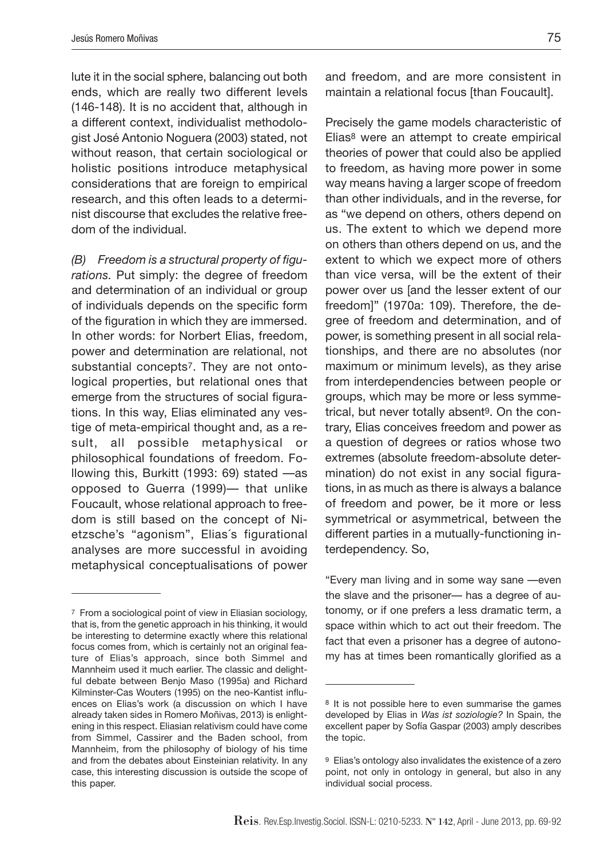lute it in the social sphere, balancing out both ends, which are really two different levels (146-148). It is no accident that, although in a different context, individualist methodologist José Antonio Noguera (2003) stated, not without reason, that certain sociological or holistic positions introduce metaphysical considerations that are foreign to empirical research, and this often leads to a determinist discourse that excludes the relative freedom of the individual.

*(B) Freedom is a structural property of figurations.* Put simply: the degree of freedom and determination of an individual or group of individuals depends on the specific form of the figuration in which they are immersed. In other words: for Norbert Elias, freedom, power and determination are relational, not substantial concepts7. They are not ontological properties, but relational ones that emerge from the structures of social figurations. In this way, Elias eliminated any vestige of meta-empirical thought and, as a result, all possible metaphysical or philosophical foundations of freedom. Following this, Burkitt (1993: 69) stated —as opposed to Guerra (1999)— that unlike Foucault, whose relational approach to freedom is still based on the concept of Nietzsche's "agonism", Elias´s figurational analyses are more successful in avoiding metaphysical conceptualisations of power and freedom, and are more consistent in maintain a relational focus [than Foucault].

Precisely the game models characteristic of Elias8 were an attempt to create empirical theories of power that could also be applied to freedom, as having more power in some way means having a larger scope of freedom than other individuals, and in the reverse, for as "we depend on others, others depend on us. The extent to which we depend more on others than others depend on us, and the extent to which we expect more of others than vice versa, will be the extent of their power over us [and the lesser extent of our freedom]" (1970a: 109). Therefore, the degree of freedom and determination, and of power, is something present in all social relationships, and there are no absolutes (nor maximum or minimum levels), as they arise from interdependencies between people or groups, which may be more or less symmetrical, but never totally absent<sup>9</sup>. On the contrary, Elias conceives freedom and power as a question of degrees or ratios whose two extremes (absolute freedom-absolute determination) do not exist in any social figurations, in as much as there is always a balance of freedom and power, be it more or less symmetrical or asymmetrical, between the different parties in a mutually-functioning interdependency. So,

"Every man living and in some way sane —even the slave and the prisoner— has a degree of autonomy, or if one prefers a less dramatic term, a space within which to act out their freedom. The fact that even a prisoner has a degree of autonomy has at times been romantically glorified as a

<sup>7</sup> From a sociological point of view in Eliasian sociology, that is, from the genetic approach in his thinking, it would be interesting to determine exactly where this relational focus comes from, which is certainly not an original feature of Elias's approach, since both Simmel and Mannheim used it much earlier. The classic and delightful debate between Benjo Maso (1995a) and Richard Kilminster-Cas Wouters (1995) on the neo-Kantist influences on Elias's work (a discussion on which I have already taken sides in Romero Moñivas, 2013) is enlightening in this respect. Eliasian relativism could have come from Simmel, Cassirer and the Baden school, from Mannheim, from the philosophy of biology of his time and from the debates about Einsteinian relativity. In any case, this interesting discussion is outside the scope of this paper.

<sup>8</sup> It is not possible here to even summarise the games developed by Elias in *Was ist soziologie?* In Spain, the excellent paper by Sofía Gaspar (2003) amply describes the topic.

<sup>9</sup> Elias's ontology also invalidates the existence of a zero point, not only in ontology in general, but also in any individual social process.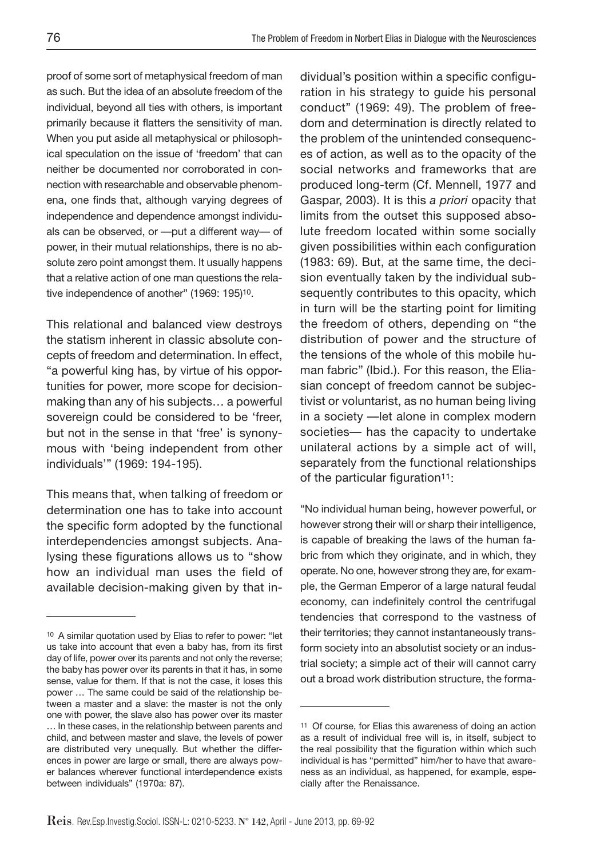proof of some sort of metaphysical freedom of man as such. But the idea of an absolute freedom of the individual, beyond all ties with others, is important primarily because it flatters the sensitivity of man. When you put aside all metaphysical or philosophical speculation on the issue of 'freedom' that can neither be documented nor corroborated in connection with researchable and observable phenomena, one finds that, although varying degrees of independence and dependence amongst individuals can be observed, or —put a different way— of power, in their mutual relationships, there is no absolute zero point amongst them. It usually happens that a relative action of one man questions the relative independence of another" (1969: 195)10.

This relational and balanced view destroys the statism inherent in classic absolute concepts of freedom and determination. In effect, "a powerful king has, by virtue of his opportunities for power, more scope for decisionmaking than any of his subjects… a powerful sovereign could be considered to be 'freer, but not in the sense in that 'free' is synonymous with 'being independent from other individuals'" (1969: 194-195).

This means that, when talking of freedom or determination one has to take into account the specific form adopted by the functional interdependencies amongst subjects. Analysing these figurations allows us to "show how an individual man uses the field of available decision-making given by that individual's position within a specific configuration in his strategy to guide his personal conduct" (1969: 49). The problem of freedom and determination is directly related to the problem of the unintended consequences of action, as well as to the opacity of the social networks and frameworks that are produced long-term (Cf. Mennell, 1977 and Gaspar, 2003). It is this *a priori* opacity that limits from the outset this supposed absolute freedom located within some socially given possibilities within each configuration (1983: 69). But, at the same time, the decision eventually taken by the individual subsequently contributes to this opacity, which in turn will be the starting point for limiting the freedom of others, depending on "the distribution of power and the structure of the tensions of the whole of this mobile human fabric" (Ibid.). For this reason, the Eliasian concept of freedom cannot be subjectivist or voluntarist, as no human being living in a society —let alone in complex modern societies— has the capacity to undertake unilateral actions by a simple act of will, separately from the functional relationships of the particular figuration<sup>11</sup>:

"No individual human being, however powerful, or however strong their will or sharp their intelligence, is capable of breaking the laws of the human fabric from which they originate, and in which, they operate. No one, however strong they are, for example, the German Emperor of a large natural feudal economy, can indefinitely control the centrifugal tendencies that correspond to the vastness of their territories; they cannot instantaneously transform society into an absolutist society or an industrial society; a simple act of their will cannot carry out a broad work distribution structure, the forma-

<sup>10</sup> A similar quotation used by Elias to refer to power: "let us take into account that even a baby has, from its first day of life, power over its parents and not only the reverse; the baby has power over its parents in that it has, in some sense, value for them. If that is not the case, it loses this power … The same could be said of the relationship between a master and a slave: the master is not the only one with power, the slave also has power over its master … In these cases, in the relationship between parents and child, and between master and slave, the levels of power are distributed very unequally. But whether the differences in power are large or small, there are always power balances wherever functional interdependence exists between individuals" (1970a: 87).

<sup>11</sup> Of course, for Elias this awareness of doing an action as a result of individual free will is, in itself, subject to the real possibility that the figuration within which such individual is has "permitted" him/her to have that awareness as an individual, as happened, for example, especially after the Renaissance.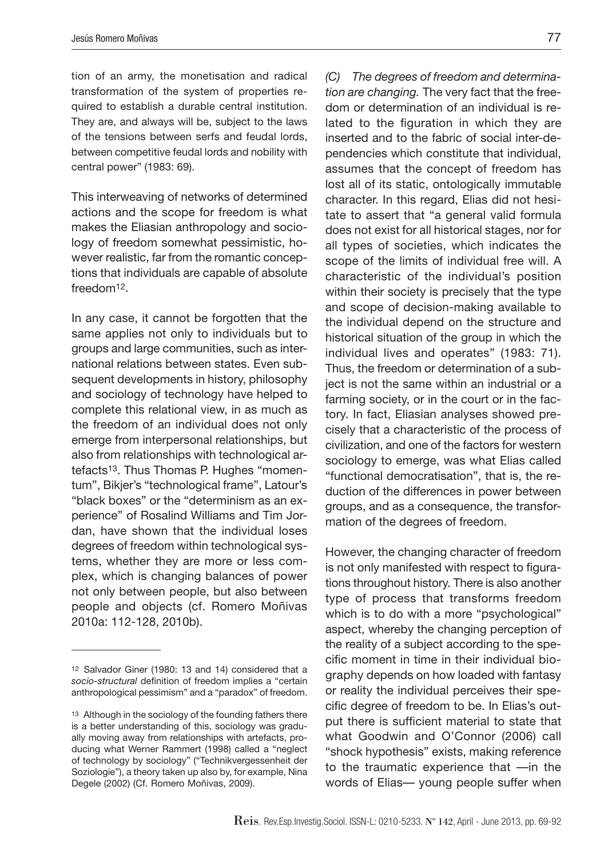tion of an army, the monetisation and radical transformation of the system of properties required to establish a durable central institution. They are, and always will be, subject to the laws of the tensions between serfs and feudal lords, between competitive feudal lords and nobility with central power" (1983: 69).

This interweaving of networks of determined actions and the scope for freedom is what makes the Eliasian anthropology and sociology of freedom somewhat pessimistic, however realistic, far from the romantic conceptions that individuals are capable of absolute freedom12.

In any case, it cannot be forgotten that the same applies not only to individuals but to groups and large communities, such as international relations between states. Even subsequent developments in history, philosophy and sociology of technology have helped to complete this relational view, in as much as the freedom of an individual does not only emerge from interpersonal relationships, but also from relationships with technological artefacts13. Thus Thomas P. Hughes "momentum", Bikjer's "technological frame", Latour's "black boxes" or the "determinism as an experience" of Rosalind Williams and Tim Jordan, have shown that the individual loses degrees of freedom within technological systems, whether they are more or less complex, which is changing balances of power not only between people, but also between people and objects (cf. Romero Moñivas 2010a: 112-128, 2010b).

*(C) The degrees of freedom and determination are changing.* The very fact that the freedom or determination of an individual is related to the figuration in which they are inserted and to the fabric of social inter-dependencies which constitute that individual, assumes that the concept of freedom has lost all of its static, ontologically immutable character. In this regard, Elias did not hesitate to assert that "a general valid formula does not exist for all historical stages, nor for all types of societies, which indicates the scope of the limits of individual free will. A characteristic of the individual's position within their society is precisely that the type and scope of decision-making available to the individual depend on the structure and historical situation of the group in which the individual lives and operates" (1983: 71). Thus, the freedom or determination of a subject is not the same within an industrial or a farming society, or in the court or in the factory. In fact, Eliasian analyses showed precisely that a characteristic of the process of civilization, and one of the factors for western sociology to emerge, was what Elias called "functional democratisation", that is, the reduction of the differences in power between groups, and as a consequence, the transformation of the degrees of freedom.

However, the changing character of freedom is not only manifested with respect to figurations throughout history. There is also another type of process that transforms freedom which is to do with a more "psychological" aspect, whereby the changing perception of the reality of a subject according to the specific moment in time in their individual biography depends on how loaded with fantasy or reality the individual perceives their specific degree of freedom to be. In Elias's output there is sufficient material to state that what Goodwin and O'Connor (2006) call "shock hypothesis" exists, making reference to the traumatic experience that —in the words of Elias— young people suffer when

<sup>12</sup> Salvador Giner (1980: 13 and 14) considered that a *socio-structural* definition of freedom implies a "certain anthropological pessimism" and a "paradox" of freedom.

<sup>13</sup> Although in the sociology of the founding fathers there is a better understanding of this, sociology was gradually moving away from relationships with artefacts, producing what Werner Rammert (1998) called a "neglect of technology by sociology" ("Technikvergessenheit der Soziologie"), a theory taken up also by, for example, Nina Degele (2002) (Cf. Romero Moñivas, 2009).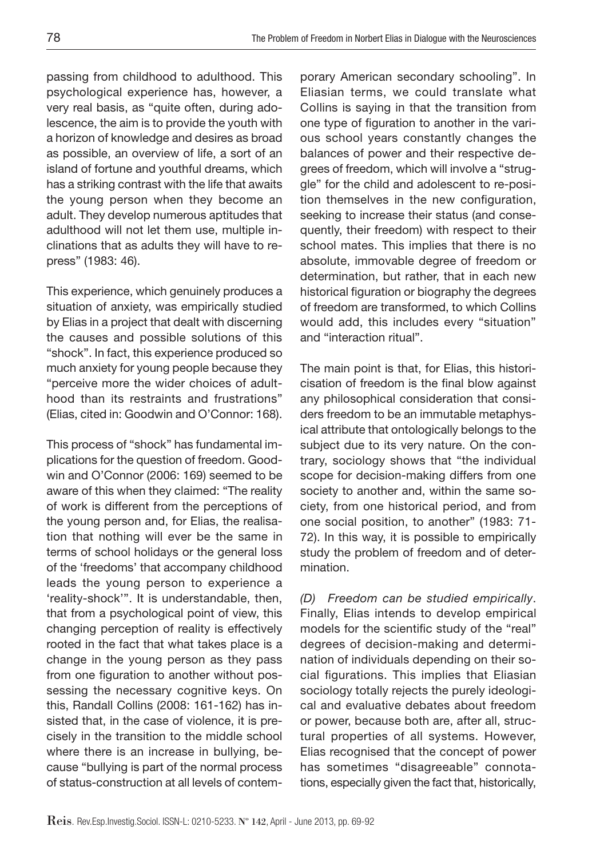passing from childhood to adulthood. This psychological experience has, however, a very real basis, as "quite often, during adolescence, the aim is to provide the youth with a horizon of knowledge and desires as broad as possible, an overview of life, a sort of an island of fortune and youthful dreams, which has a striking contrast with the life that awaits the young person when they become an adult. They develop numerous aptitudes that adulthood will not let them use, multiple inclinations that as adults they will have to repress" (1983: 46).

This experience, which genuinely produces a situation of anxiety, was empirically studied by Elias in a project that dealt with discerning the causes and possible solutions of this "shock". In fact, this experience produced so much anxiety for young people because they "perceive more the wider choices of adulthood than its restraints and frustrations" (Elias, cited in: Goodwin and O'Connor: 168).

This process of "shock" has fundamental implications for the question of freedom. Goodwin and O'Connor (2006: 169) seemed to be aware of this when they claimed: "The reality of work is different from the perceptions of the young person and, for Elias, the realisation that nothing will ever be the same in terms of school holidays or the general loss of the 'freedoms' that accompany childhood leads the young person to experience a 'reality-shock'". It is understandable, then, that from a psychological point of view, this changing perception of reality is effectively rooted in the fact that what takes place is a change in the young person as they pass from one figuration to another without possessing the necessary cognitive keys. On this, Randall Collins (2008: 161-162) has insisted that, in the case of violence, it is precisely in the transition to the middle school where there is an increase in bullying, because "bullying is part of the normal process of status-construction at all levels of contemporary American secondary schooling". In Eliasian terms, we could translate what Collins is saying in that the transition from one type of figuration to another in the various school years constantly changes the balances of power and their respective degrees of freedom, which will involve a "struggle" for the child and adolescent to re-position themselves in the new configuration, seeking to increase their status (and consequently, their freedom) with respect to their school mates. This implies that there is no absolute, immovable degree of freedom or determination, but rather, that in each new historical figuration or biography the degrees of freedom are transformed, to which Collins would add, this includes every "situation" and "interaction ritual".

The main point is that, for Elias, this historicisation of freedom is the final blow against any philosophical consideration that considers freedom to be an immutable metaphysical attribute that ontologically belongs to the subject due to its very nature. On the contrary, sociology shows that "the individual scope for decision-making differs from one society to another and, within the same society, from one historical period, and from one social position, to another" (1983: 71- 72). In this way, it is possible to empirically study the problem of freedom and of determination.

*(D) Freedom can be studied empirically*. Finally, Elias intends to develop empirical models for the scientific study of the "real" degrees of decision-making and determination of individuals depending on their social figurations. This implies that Eliasian sociology totally rejects the purely ideological and evaluative debates about freedom or power, because both are, after all, structural properties of all systems. However, Elias recognised that the concept of power has sometimes "disagreeable" connotations, especially given the fact that, historically,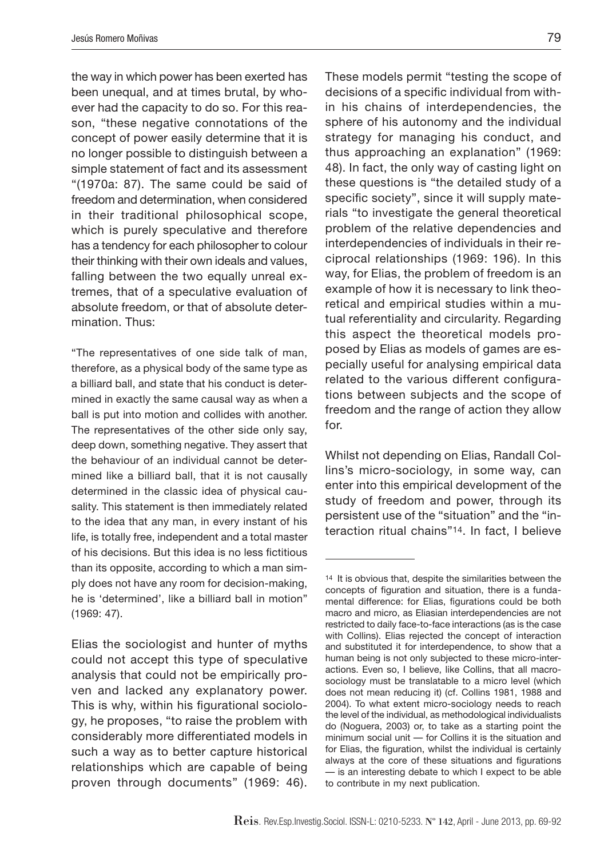the way in which power has been exerted has been unequal, and at times brutal, by whoever had the capacity to do so. For this reason, "these negative connotations of the concept of power easily determine that it is no longer possible to distinguish between a simple statement of fact and its assessment "(1970a: 87). The same could be said of freedom and determination, when considered in their traditional philosophical scope, which is purely speculative and therefore has a tendency for each philosopher to colour their thinking with their own ideals and values, falling between the two equally unreal extremes, that of a speculative evaluation of absolute freedom, or that of absolute determination. Thus:

"The representatives of one side talk of man, therefore, as a physical body of the same type as a billiard ball, and state that his conduct is determined in exactly the same causal way as when a ball is put into motion and collides with another. The representatives of the other side only say, deep down, something negative. They assert that the behaviour of an individual cannot be determined like a billiard ball, that it is not causally determined in the classic idea of physical causality. This statement is then immediately related to the idea that any man, in every instant of his life, is totally free, independent and a total master of his decisions. But this idea is no less fictitious than its opposite, according to which a man simply does not have any room for decision-making, he is 'determined', like a billiard ball in motion" (1969: 47).

Elias the sociologist and hunter of myths could not accept this type of speculative analysis that could not be empirically proven and lacked any explanatory power. This is why, within his figurational sociology, he proposes, "to raise the problem with considerably more differentiated models in such a way as to better capture historical relationships which are capable of being proven through documents" (1969: 46).

These models permit "testing the scope of decisions of a specific individual from within his chains of interdependencies, the sphere of his autonomy and the individual strategy for managing his conduct, and thus approaching an explanation" (1969: 48). In fact, the only way of casting light on these questions is "the detailed study of a specific society", since it will supply materials "to investigate the general theoretical problem of the relative dependencies and interdependencies of individuals in their reciprocal relationships (1969: 196). In this way, for Elias, the problem of freedom is an example of how it is necessary to link theoretical and empirical studies within a mutual referentiality and circularity. Regarding this aspect the theoretical models proposed by Elias as models of games are especially useful for analysing empirical data related to the various different configurations between subjects and the scope of freedom and the range of action they allow for.

Whilst not depending on Elias, Randall Collins's micro-sociology, in some way, can enter into this empirical development of the study of freedom and power, through its persistent use of the "situation" and the "interaction ritual chains"14. In fact, I believe

<sup>14</sup> It is obvious that, despite the similarities between the concepts of figuration and situation, there is a fundamental difference: for Elias, figurations could be both macro and micro, as Eliasian interdependencies are not restricted to daily face-to-face interactions (as is the case with Collins). Elias rejected the concept of interaction and substituted it for interdependence, to show that a human being is not only subjected to these micro-interactions. Even so, I believe, like Collins, that all macrosociology must be translatable to a micro level (which does not mean reducing it) (cf. Collins 1981, 1988 and 2004). To what extent micro-sociology needs to reach the level of the individual, as methodological individualists do (Noguera, 2003) or, to take as a starting point the minimum social unit — for Collins it is the situation and for Elias, the figuration, whilst the individual is certainly always at the core of these situations and figurations — is an interesting debate to which I expect to be able to contribute in my next publication.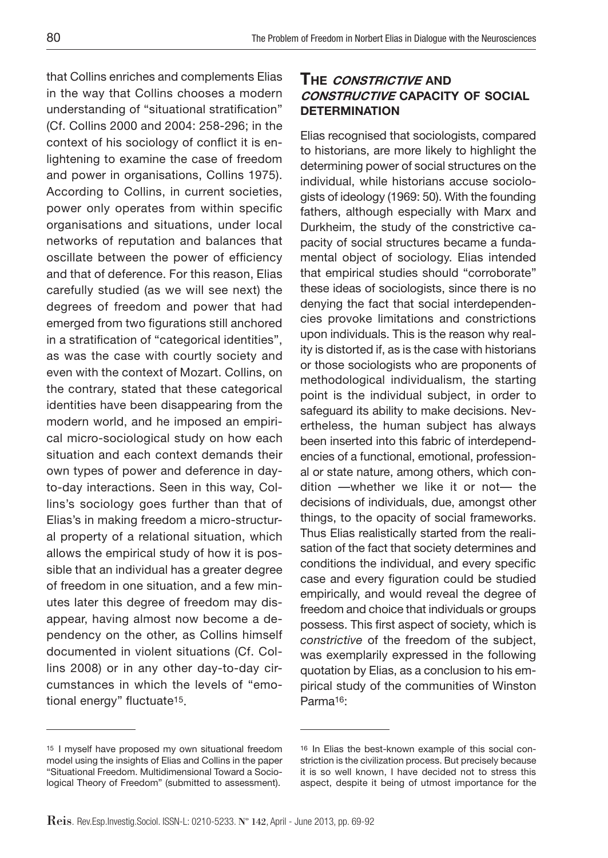that Collins enriches and complements Elias in the way that Collins chooses a modern understanding of "situational stratification" (Cf. Collins 2000 and 2004: 258-296; in the context of his sociology of conflict it is enlightening to examine the case of freedom and power in organisations, Collins 1975). According to Collins, in current societies, power only operates from within specific organisations and situations, under local networks of reputation and balances that oscillate between the power of efficiency and that of deference. For this reason, Elias carefully studied (as we will see next) the degrees of freedom and power that had emerged from two figurations still anchored in a stratification of "categorical identities", as was the case with courtly society and even with the context of Mozart. Collins, on the contrary, stated that these categorical identities have been disappearing from the modern world, and he imposed an empirical micro-sociological study on how each situation and each context demands their own types of power and deference in dayto-day interactions. Seen in this way, Collins's sociology goes further than that of Elias's in making freedom a micro-structural property of a relational situation, which allows the empirical study of how it is possible that an individual has a greater degree of freedom in one situation, and a few minutes later this degree of freedom may disappear, having almost now become a dependency on the other, as Collins himself documented in violent situations (Cf. Collins 2008) or in any other day-to-day circumstances in which the levels of "emotional energy" fluctuate15.

## **The constrictive and constructive capacity of social determination**

Elias recognised that sociologists, compared to historians, are more likely to highlight the determining power of social structures on the individual, while historians accuse sociologists of ideology (1969: 50). With the founding fathers, although especially with Marx and Durkheim, the study of the constrictive capacity of social structures became a fundamental object of sociology. Elias intended that empirical studies should "corroborate" these ideas of sociologists, since there is no denying the fact that social interdependencies provoke limitations and constrictions upon individuals. This is the reason why reality is distorted if, as is the case with historians or those sociologists who are proponents of methodological individualism, the starting point is the individual subject, in order to safeguard its ability to make decisions. Nevertheless, the human subject has always been inserted into this fabric of interdependencies of a functional, emotional, professional or state nature, among others, which condition —whether we like it or not— the decisions of individuals, due, amongst other things, to the opacity of social frameworks. Thus Elias realistically started from the realisation of the fact that society determines and conditions the individual, and every specific case and every figuration could be studied empirically, and would reveal the degree of freedom and choice that individuals or groups possess. This first aspect of society, which is *constrictive* of the freedom of the subject, was exemplarily expressed in the following quotation by Elias, as a conclusion to his empirical study of the communities of Winston Parma16:

<sup>15</sup> I myself have proposed my own situational freedom model using the insights of Elias and Collins in the paper "Situational Freedom. Multidimensional Toward a Sociological Theory of Freedom" (submitted to assessment).

<sup>16</sup> In Elias the best-known example of this social constriction is the civilization process. But precisely because it is so well known, I have decided not to stress this aspect, despite it being of utmost importance for the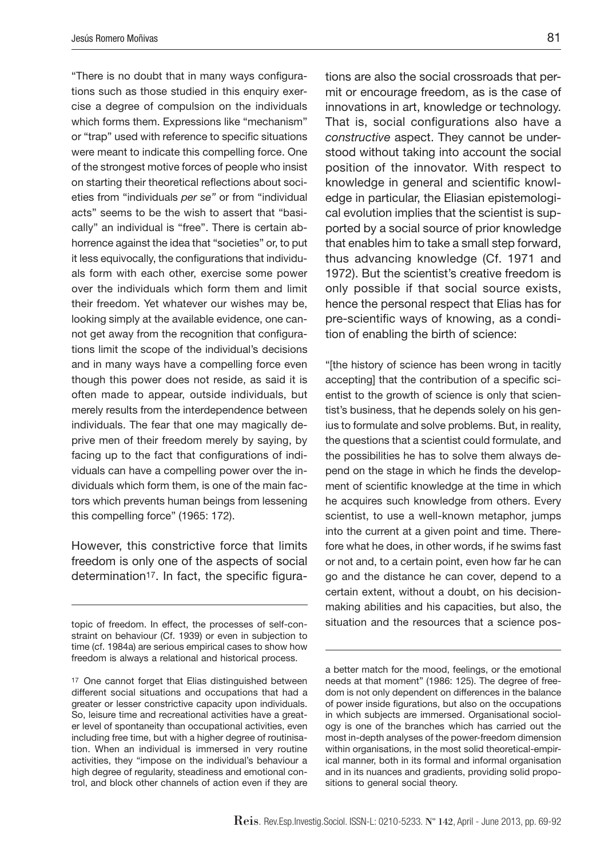"There is no doubt that in many ways configurations such as those studied in this enquiry exercise a degree of compulsion on the individuals which forms them. Expressions like "mechanism" or "trap" used with reference to specific situations were meant to indicate this compelling force. One of the strongest motive forces of people who insist on starting their theoretical reflections about societies from "individuals *per se"* or from "individual acts" seems to be the wish to assert that "basically" an individual is "free". There is certain abhorrence against the idea that "societies" or, to put it less equivocally, the configurations that individuals form with each other, exercise some power over the individuals which form them and limit their freedom. Yet whatever our wishes may be, looking simply at the available evidence, one cannot get away from the recognition that configurations limit the scope of the individual's decisions and in many ways have a compelling force even though this power does not reside, as said it is often made to appear, outside individuals, but merely results from the interdependence between individuals. The fear that one may magically deprive men of their freedom merely by saying, by facing up to the fact that configurations of individuals can have a compelling power over the individuals which form them, is one of the main factors which prevents human beings from lessening this compelling force" (1965: 172).

However, this constrictive force that limits freedom is only one of the aspects of social determination17. In fact, the specific figura-

tions are also the social crossroads that permit or encourage freedom, as is the case of innovations in art, knowledge or technology. That is, social configurations also have a *constructive* aspect. They cannot be understood without taking into account the social position of the innovator. With respect to knowledge in general and scientific knowledge in particular, the Eliasian epistemological evolution implies that the scientist is supported by a social source of prior knowledge that enables him to take a small step forward, thus advancing knowledge (Cf. 1971 and 1972). But the scientist's creative freedom is only possible if that social source exists, hence the personal respect that Elias has for pre-scientific ways of knowing, as a condition of enabling the birth of science:

"[the history of science has been wrong in tacitly accepting] that the contribution of a specific scientist to the growth of science is only that scientist's business, that he depends solely on his genius to formulate and solve problems. But, in reality, the questions that a scientist could formulate, and the possibilities he has to solve them always depend on the stage in which he finds the development of scientific knowledge at the time in which he acquires such knowledge from others. Every scientist, to use a well-known metaphor, jumps into the current at a given point and time. Therefore what he does, in other words, if he swims fast or not and, to a certain point, even how far he can go and the distance he can cover, depend to a certain extent, without a doubt, on his decisionmaking abilities and his capacities, but also, the situation and the resources that a science pos-

topic of freedom. In effect, the processes of self-constraint on behaviour (Cf. 1939) or even in subjection to time (cf. 1984a) are serious empirical cases to show how freedom is always a relational and historical process.

<sup>17</sup> One cannot forget that Elias distinguished between different social situations and occupations that had a greater or lesser constrictive capacity upon individuals. So, leisure time and recreational activities have a greater level of spontaneity than occupational activities, even including free time, but with a higher degree of routinisation. When an individual is immersed in very routine activities, they "impose on the individual's behaviour a high degree of regularity, steadiness and emotional control, and block other channels of action even if they are

a better match for the mood, feelings, or the emotional needs at that moment" (1986: 125). The degree of freedom is not only dependent on differences in the balance of power inside figurations, but also on the occupations in which subjects are immersed. Organisational sociology is one of the branches which has carried out the most in-depth analyses of the power-freedom dimension within organisations, in the most solid theoretical-empirical manner, both in its formal and informal organisation and in its nuances and gradients, providing solid propositions to general social theory.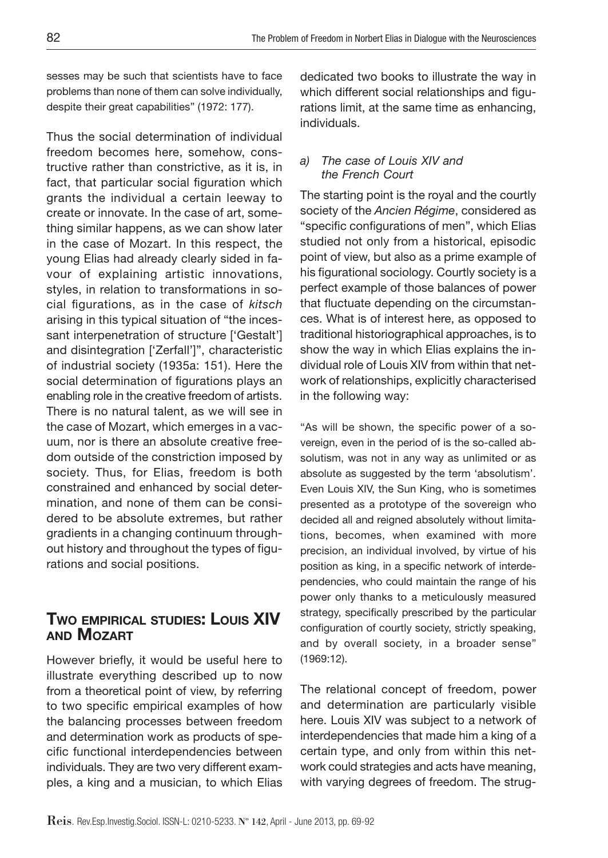sesses may be such that scientists have to face problems than none of them can solve individually, despite their great capabilities" (1972: 177).

Thus the social determination of individual freedom becomes here, somehow, constructive rather than constrictive, as it is, in fact, that particular social figuration which grants the individual a certain leeway to create or innovate. In the case of art, something similar happens, as we can show later in the case of Mozart. In this respect, the young Elias had already clearly sided in favour of explaining artistic innovations, styles, in relation to transformations in social figurations, as in the case of *kitsch*  arising in this typical situation of "the incessant interpenetration of structure ['Gestalt'] and disintegration ['Zerfall']", characteristic of industrial society (1935a: 151). Here the social determination of figurations plays an enabling role in the creative freedom of artists. There is no natural talent, as we will see in the case of Mozart, which emerges in a vacuum, nor is there an absolute creative freedom outside of the constriction imposed by society. Thus, for Elias, freedom is both constrained and enhanced by social determination, and none of them can be considered to be absolute extremes, but rather gradients in a changing continuum throughout history and throughout the types of figurations and social positions.

# **Two empirical studies: Louis XIV and Mozart**

However briefly, it would be useful here to illustrate everything described up to now from a theoretical point of view, by referring to two specific empirical examples of how the balancing processes between freedom and determination work as products of specific functional interdependencies between individuals. They are two very different examples, a king and a musician, to which Elias dedicated two books to illustrate the way in which different social relationships and figurations limit, at the same time as enhancing, individuals.

#### *a) The case of Louis XIV and the French Court*

The starting point is the royal and the courtly society of the *Ancien Régime*, considered as "specific configurations of men", which Elias studied not only from a historical, episodic point of view, but also as a prime example of his figurational sociology. Courtly society is a perfect example of those balances of power that fluctuate depending on the circumstances. What is of interest here, as opposed to traditional historiographical approaches, is to show the way in which Elias explains the individual role of Louis XIV from within that network of relationships, explicitly characterised in the following way:

"As will be shown, the specific power of a sovereign, even in the period of is the so-called absolutism, was not in any way as unlimited or as absolute as suggested by the term 'absolutism'. Even Louis XIV, the Sun King, who is sometimes presented as a prototype of the sovereign who decided all and reigned absolutely without limitations, becomes, when examined with more precision, an individual involved, by virtue of his position as king, in a specific network of interdependencies, who could maintain the range of his power only thanks to a meticulously measured strategy, specifically prescribed by the particular configuration of courtly society, strictly speaking, and by overall society, in a broader sense" (1969:12).

The relational concept of freedom, power and determination are particularly visible here. Louis XIV was subject to a network of interdependencies that made him a king of a certain type, and only from within this network could strategies and acts have meaning, with varying degrees of freedom. The strug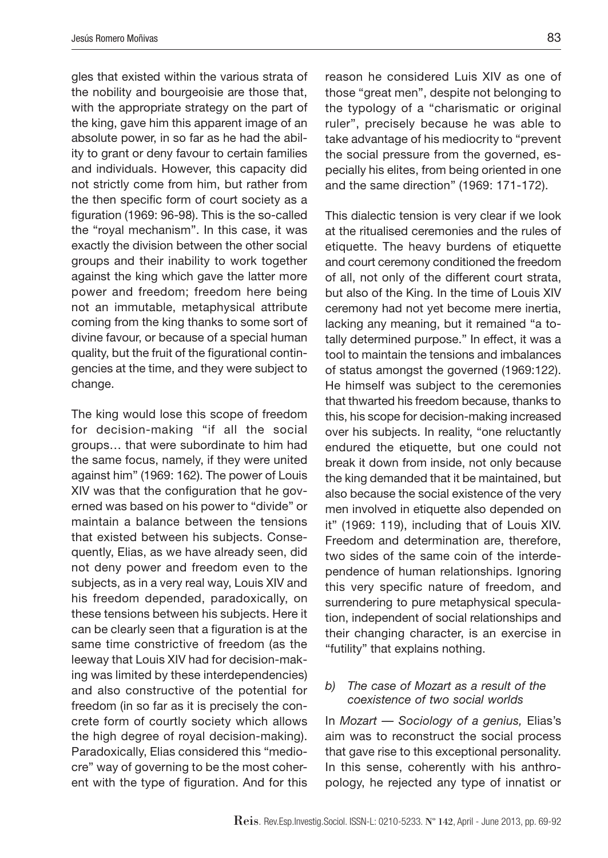gles that existed within the various strata of the nobility and bourgeoisie are those that, with the appropriate strategy on the part of the king, gave him this apparent image of an absolute power, in so far as he had the ability to grant or deny favour to certain families and individuals. However, this capacity did not strictly come from him, but rather from the then specific form of court society as a figuration (1969: 96-98). This is the so-called the "royal mechanism". In this case, it was exactly the division between the other social groups and their inability to work together against the king which gave the latter more power and freedom; freedom here being not an immutable, metaphysical attribute coming from the king thanks to some sort of divine favour, or because of a special human quality, but the fruit of the figurational contingencies at the time, and they were subject to change.

The king would lose this scope of freedom for decision-making "if all the social groups… that were subordinate to him had the same focus, namely, if they were united against him" (1969: 162). The power of Louis XIV was that the configuration that he governed was based on his power to "divide" or maintain a balance between the tensions that existed between his subjects. Consequently, Elias, as we have already seen, did not deny power and freedom even to the subjects, as in a very real way, Louis XIV and his freedom depended, paradoxically, on these tensions between his subjects. Here it can be clearly seen that a figuration is at the same time constrictive of freedom (as the leeway that Louis XIV had for decision-making was limited by these interdependencies) and also constructive of the potential for freedom (in so far as it is precisely the concrete form of courtly society which allows the high degree of royal decision-making). Paradoxically, Elias considered this "mediocre" way of governing to be the most coherent with the type of figuration. And for this

reason he considered Luis XIV as one of those "great men", despite not belonging to the typology of a "charismatic or original ruler", precisely because he was able to take advantage of his mediocrity to "prevent the social pressure from the governed, especially his elites, from being oriented in one and the same direction" (1969: 171-172).

This dialectic tension is very clear if we look at the ritualised ceremonies and the rules of etiquette. The heavy burdens of etiquette and court ceremony conditioned the freedom of all, not only of the different court strata, but also of the King. In the time of Louis XIV ceremony had not yet become mere inertia, lacking any meaning, but it remained "a totally determined purpose." In effect, it was a tool to maintain the tensions and imbalances of status amongst the governed (1969:122). He himself was subject to the ceremonies that thwarted his freedom because, thanks to this, his scope for decision-making increased over his subjects. In reality, "one reluctantly endured the etiquette, but one could not break it down from inside, not only because the king demanded that it be maintained, but also because the social existence of the very men involved in etiquette also depended on it" (1969: 119), including that of Louis XIV. Freedom and determination are, therefore, two sides of the same coin of the interdependence of human relationships. Ignoring this very specific nature of freedom, and surrendering to pure metaphysical speculation, independent of social relationships and their changing character, is an exercise in "futility" that explains nothing.

#### *b) The case of Mozart as a result of the coexistence of two social worlds*

In *Mozart — Sociology of a genius,* Elias's aim was to reconstruct the social process that gave rise to this exceptional personality. In this sense, coherently with his anthropology, he rejected any type of innatist or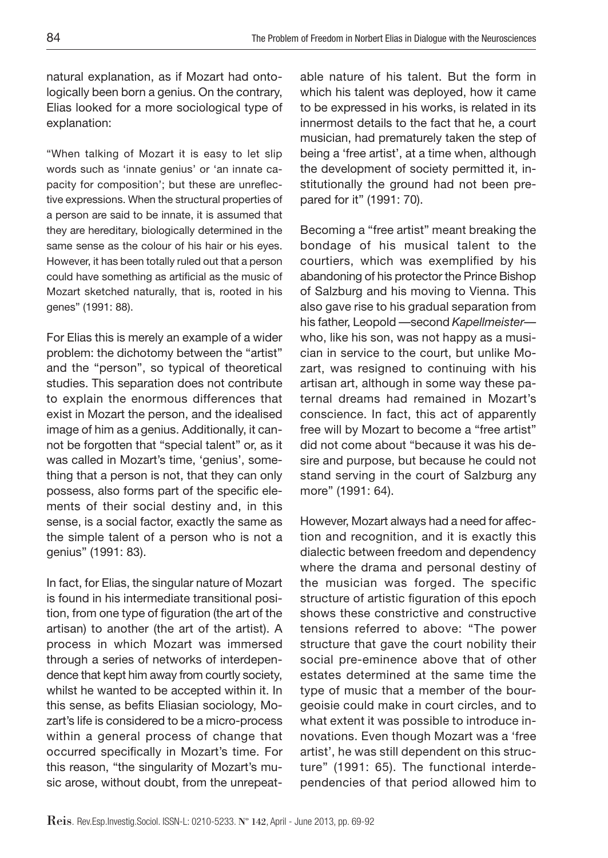natural explanation, as if Mozart had ontologically been born a genius. On the contrary, Elias looked for a more sociological type of explanation:

"When talking of Mozart it is easy to let slip words such as 'innate genius' or 'an innate capacity for composition'; but these are unreflective expressions. When the structural properties of a person are said to be innate, it is assumed that they are hereditary, biologically determined in the same sense as the colour of his hair or his eyes. However, it has been totally ruled out that a person could have something as artificial as the music of Mozart sketched naturally, that is, rooted in his genes" (1991: 88).

For Elias this is merely an example of a wider problem: the dichotomy between the "artist" and the "person", so typical of theoretical studies. This separation does not contribute to explain the enormous differences that exist in Mozart the person, and the idealised image of him as a genius. Additionally, it cannot be forgotten that "special talent" or, as it was called in Mozart's time, 'genius', something that a person is not, that they can only possess, also forms part of the specific elements of their social destiny and, in this sense, is a social factor, exactly the same as the simple talent of a person who is not a genius" (1991: 83).

In fact, for Elias, the singular nature of Mozart is found in his intermediate transitional position, from one type of figuration (the art of the artisan) to another (the art of the artist). A process in which Mozart was immersed through a series of networks of interdependence that kept him away from courtly society, whilst he wanted to be accepted within it. In this sense, as befits Eliasian sociology, Mozart's life is considered to be a micro-process within a general process of change that occurred specifically in Mozart's time. For this reason, "the singularity of Mozart's music arose, without doubt, from the unrepeatable nature of his talent. But the form in which his talent was deployed, how it came to be expressed in his works, is related in its innermost details to the fact that he, a court musician, had prematurely taken the step of being a 'free artist', at a time when, although the development of society permitted it, institutionally the ground had not been prepared for it" (1991: 70).

Becoming a "free artist" meant breaking the bondage of his musical talent to the courtiers, which was exemplified by his abandoning of his protector the Prince Bishop of Salzburg and his moving to Vienna. This also gave rise to his gradual separation from his father, Leopold —second *Kapellmeister*  who, like his son, was not happy as a musician in service to the court, but unlike Mozart, was resigned to continuing with his artisan art, although in some way these paternal dreams had remained in Mozart's conscience. In fact, this act of apparently free will by Mozart to become a "free artist" did not come about "because it was his desire and purpose, but because he could not stand serving in the court of Salzburg any more" (1991: 64).

However, Mozart always had a need for affection and recognition, and it is exactly this dialectic between freedom and dependency where the drama and personal destiny of the musician was forged. The specific structure of artistic figuration of this epoch shows these constrictive and constructive tensions referred to above: "The power structure that gave the court nobility their social pre-eminence above that of other estates determined at the same time the type of music that a member of the bourgeoisie could make in court circles, and to what extent it was possible to introduce innovations. Even though Mozart was a 'free artist', he was still dependent on this structure" (1991: 65). The functional interdependencies of that period allowed him to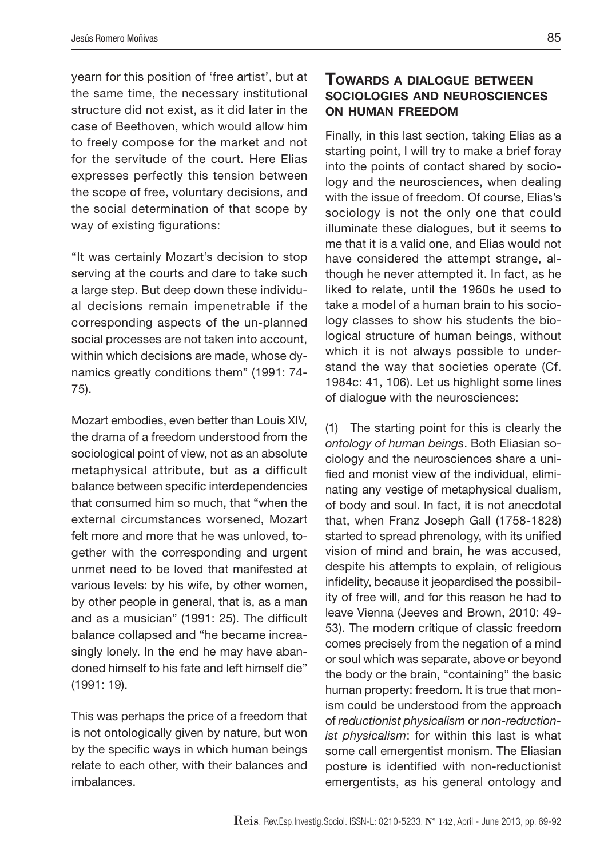yearn for this position of 'free artist', but at the same time, the necessary institutional structure did not exist, as it did later in the case of Beethoven, which would allow him to freely compose for the market and not for the servitude of the court. Here Elias expresses perfectly this tension between the scope of free, voluntary decisions, and the social determination of that scope by way of existing figurations:

"It was certainly Mozart's decision to stop serving at the courts and dare to take such a large step. But deep down these individual decisions remain impenetrable if the corresponding aspects of the un-planned social processes are not taken into account, within which decisions are made, whose dynamics greatly conditions them" (1991: 74- 75).

Mozart embodies, even better than Louis XIV, the drama of a freedom understood from the sociological point of view, not as an absolute metaphysical attribute, but as a difficult balance between specific interdependencies that consumed him so much, that "when the external circumstances worsened, Mozart felt more and more that he was unloved, together with the corresponding and urgent unmet need to be loved that manifested at various levels: by his wife, by other women, by other people in general, that is, as a man and as a musician" (1991: 25). The difficult balance collapsed and "he became increasingly lonely. In the end he may have abandoned himself to his fate and left himself die" (1991: 19).

This was perhaps the price of a freedom that is not ontologically given by nature, but won by the specific ways in which human beings relate to each other, with their balances and imbalances.

## **Towards a dialogue between sociologies and neurosciences on human freedom**

Finally, in this last section, taking Elias as a starting point, I will try to make a brief foray into the points of contact shared by sociology and the neurosciences, when dealing with the issue of freedom. Of course, Elias's sociology is not the only one that could illuminate these dialogues, but it seems to me that it is a valid one, and Elias would not have considered the attempt strange, although he never attempted it. In fact, as he liked to relate, until the 1960s he used to take a model of a human brain to his sociology classes to show his students the biological structure of human beings, without which it is not always possible to understand the way that societies operate (Cf. 1984c: 41, 106). Let us highlight some lines of dialogue with the neurosciences:

(1) The starting point for this is clearly the *ontology of human beings*. Both Eliasian sociology and the neurosciences share a unified and monist view of the individual, eliminating any vestige of metaphysical dualism, of body and soul. In fact, it is not anecdotal that, when Franz Joseph Gall (1758-1828) started to spread phrenology, with its unified vision of mind and brain, he was accused, despite his attempts to explain, of religious infidelity, because it jeopardised the possibility of free will, and for this reason he had to leave Vienna (Jeeves and Brown, 2010: 49- 53). The modern critique of classic freedom comes precisely from the negation of a mind or soul which was separate, above or beyond the body or the brain, "containing" the basic human property: freedom. It is true that monism could be understood from the approach of *reductionist physicalism* or *non-reductionist physicalism*: for within this last is what some call emergentist monism. The Eliasian posture is identified with non-reductionist emergentists, as his general ontology and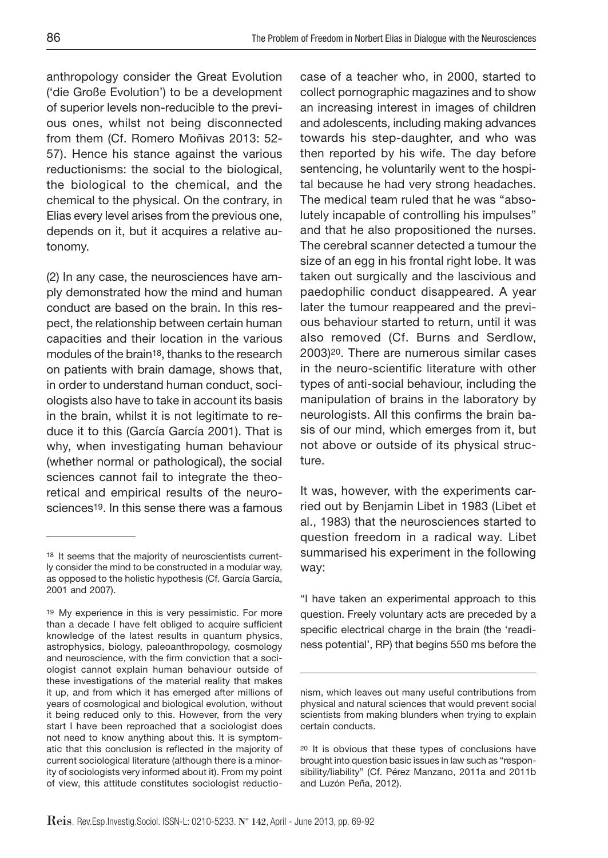anthropology consider the Great Evolution ('die Große Evolution') to be a development of superior levels non-reducible to the previous ones, whilst not being disconnected from them (Cf. Romero Moñivas 2013: 52- 57). Hence his stance against the various reductionisms: the social to the biological, the biological to the chemical, and the chemical to the physical. On the contrary, in Elias every level arises from the previous one, depends on it, but it acquires a relative autonomy.

(2) In any case, the neurosciences have amply demonstrated how the mind and human conduct are based on the brain. In this respect, the relationship between certain human capacities and their location in the various modules of the brain<sup>18</sup>, thanks to the research on patients with brain damage, shows that, in order to understand human conduct, sociologists also have to take in account its basis in the brain, whilst it is not legitimate to reduce it to this (García García 2001). That is why, when investigating human behaviour (whether normal or pathological), the social sciences cannot fail to integrate the theoretical and empirical results of the neurosciences<sup>19</sup>. In this sense there was a famous

case of a teacher who, in 2000, started to collect pornographic magazines and to show an increasing interest in images of children and adolescents, including making advances towards his step-daughter, and who was then reported by his wife. The day before sentencing, he voluntarily went to the hospital because he had very strong headaches. The medical team ruled that he was "absolutely incapable of controlling his impulses" and that he also propositioned the nurses. The cerebral scanner detected a tumour the size of an egg in his frontal right lobe. It was taken out surgically and the lascivious and paedophilic conduct disappeared. A year later the tumour reappeared and the previous behaviour started to return, until it was also removed (Cf. Burns and Serdlow, 2003)20. There are numerous similar cases in the neuro-scientific literature with other types of anti-social behaviour, including the manipulation of brains in the laboratory by neurologists. All this confirms the brain basis of our mind, which emerges from it, but not above or outside of its physical structure.

It was, however, with the experiments carried out by Benjamin Libet in 1983 (Libet et al., 1983) that the neurosciences started to question freedom in a radical way. Libet summarised his experiment in the following way:

"I have taken an experimental approach to this question. Freely voluntary acts are preceded by a specific electrical charge in the brain (the 'readiness potential', RP) that begins 550 ms before the

<sup>18</sup> It seems that the majority of neuroscientists currently consider the mind to be constructed in a modular way, as opposed to the holistic hypothesis (Cf. García García, 2001 and 2007).

<sup>19</sup> My experience in this is very pessimistic. For more than a decade I have felt obliged to acquire sufficient knowledge of the latest results in quantum physics, astrophysics, biology, paleoanthropology, cosmology and neuroscience, with the firm conviction that a sociologist cannot explain human behaviour outside of these investigations of the material reality that makes it up, and from which it has emerged after millions of years of cosmological and biological evolution, without it being reduced only to this. However, from the very start I have been reproached that a sociologist does not need to know anything about this. It is symptomatic that this conclusion is reflected in the majority of current sociological literature (although there is a minority of sociologists very informed about it). From my point of view, this attitude constitutes sociologist reductio-

nism, which leaves out many useful contributions from physical and natural sciences that would prevent social scientists from making blunders when trying to explain certain conducts.

<sup>20</sup> It is obvious that these types of conclusions have brought into question basic issues in law such as "responsibility/liability" (Cf. Pérez Manzano, 2011a and 2011b and Luzón Peña, 2012).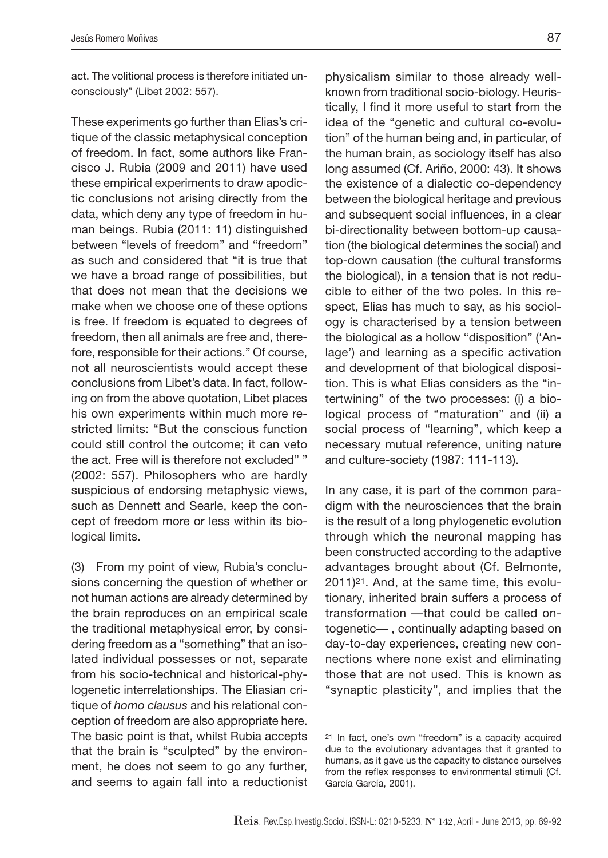act. The volitional process is therefore initiated unconsciously" (Libet 2002: 557).

These experiments go further than Elias's critique of the classic metaphysical conception of freedom. In fact, some authors like Francisco J. Rubia (2009 and 2011) have used these empirical experiments to draw apodictic conclusions not arising directly from the data, which deny any type of freedom in human beings. Rubia (2011: 11) distinguished between "levels of freedom" and "freedom" as such and considered that "it is true that we have a broad range of possibilities, but that does not mean that the decisions we make when we choose one of these options is free. If freedom is equated to degrees of freedom, then all animals are free and, therefore, responsible for their actions." Of course, not all neuroscientists would accept these conclusions from Libet's data. In fact, following on from the above quotation, Libet places his own experiments within much more restricted limits: "But the conscious function could still control the outcome; it can veto the act. Free will is therefore not excluded" " (2002: 557). Philosophers who are hardly suspicious of endorsing metaphysic views, such as Dennett and Searle, keep the concept of freedom more or less within its biological limits.

(3) From my point of view, Rubia's conclusions concerning the question of whether or not human actions are already determined by the brain reproduces on an empirical scale the traditional metaphysical error, by considering freedom as a "something" that an isolated individual possesses or not, separate from his socio-technical and historical-phylogenetic interrelationships. The Eliasian critique of *homo clausus* and his relational conception of freedom are also appropriate here. The basic point is that, whilst Rubia accepts that the brain is "sculpted" by the environment, he does not seem to go any further, and seems to again fall into a reductionist

physicalism similar to those already wellknown from traditional socio-biology. Heuristically, I find it more useful to start from the idea of the "genetic and cultural co-evolution" of the human being and, in particular, of the human brain, as sociology itself has also long assumed (Cf. Ariño, 2000: 43). It shows the existence of a dialectic co-dependency between the biological heritage and previous and subsequent social influences, in a clear bi-directionality between bottom-up causation (the biological determines the social) and top-down causation (the cultural transforms the biological), in a tension that is not reducible to either of the two poles. In this respect, Elias has much to say, as his sociology is characterised by a tension between the biological as a hollow "disposition" ('Anlage') and learning as a specific activation and development of that biological disposition. This is what Elias considers as the "intertwining" of the two processes: (i) a biological process of "maturation" and (ii) a social process of "learning", which keep a necessary mutual reference, uniting nature and culture-society (1987: 111-113).

In any case, it is part of the common paradigm with the neurosciences that the brain is the result of a long phylogenetic evolution through which the neuronal mapping has been constructed according to the adaptive advantages brought about (Cf. Belmonte, 2011)21. And, at the same time, this evolutionary, inherited brain suffers a process of transformation —that could be called ontogenetic— , continually adapting based on day-to-day experiences, creating new connections where none exist and eliminating those that are not used. This is known as "synaptic plasticity", and implies that the

<sup>21</sup> In fact, one's own "freedom" is a capacity acquired due to the evolutionary advantages that it granted to humans, as it gave us the capacity to distance ourselves from the reflex responses to environmental stimuli (Cf. García García, 2001).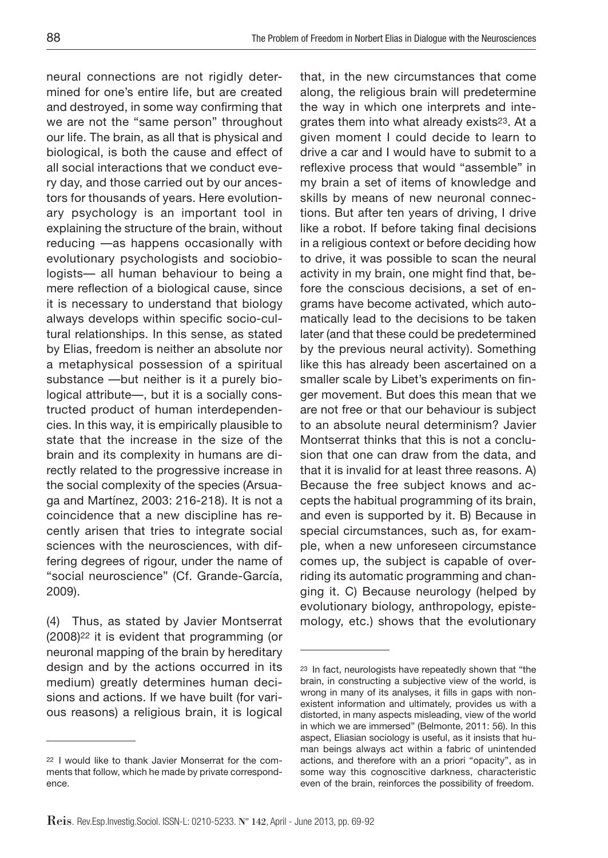neural connections are not rigidly determined for one's entire life, but are created and destroyed, in some way confirming that we are not the "same person" throughout our life. The brain, as all that is physical and biological, is both the cause and effect of all social interactions that we conduct every day, and those carried out by our ancestors for thousands of years. Here evolutionary psychology is an important tool in explaining the structure of the brain, without reducing —as happens occasionally with evolutionary psychologists and sociobiologists— all human behaviour to being a mere reflection of a biological cause, since it is necessary to understand that biology always develops within specific socio-cultural relationships. In this sense, as stated by Elias, freedom is neither an absolute nor a metaphysical possession of a spiritual substance —but neither is it a purely biological attribute—, but it is a socially constructed product of human interdependencies. In this way, it is empirically plausible to state that the increase in the size of the brain and its complexity in humans are directly related to the progressive increase in the social complexity of the species (Arsuaga and Martínez, 2003: 216-218). It is not a coincidence that a new discipline has recently arisen that tries to integrate social sciences with the neurosciences, with differing degrees of rigour, under the name of "social neuroscience" (Cf. Grande-García, 2009).

(4) Thus, as stated by Javier Montserrat (2008)22 it is evident that programming (or neuronal mapping of the brain by hereditary design and by the actions occurred in its medium) greatly determines human decisions and actions. If we have built (for various reasons) a religious brain, it is logical that, in the new circumstances that come along, the religious brain will predetermine the way in which one interprets and integrates them into what already exists<sup>23</sup>. At a given moment I could decide to learn to drive a car and I would have to submit to a reflexive process that would "assemble" in my brain a set of items of knowledge and skills by means of new neuronal connections. But after ten years of driving, I drive like a robot. If before taking final decisions in a religious context or before deciding how to drive, it was possible to scan the neural activity in my brain, one might find that, before the conscious decisions, a set of engrams have become activated, which automatically lead to the decisions to be taken later (and that these could be predetermined by the previous neural activity). Something like this has already been ascertained on a smaller scale by Libet's experiments on finger movement. But does this mean that we are not free or that our behaviour is subject to an absolute neural determinism? Javier Montserrat thinks that this is not a conclusion that one can draw from the data, and that it is invalid for at least three reasons. A) Because the free subject knows and accepts the habitual programming of its brain, and even is supported by it. B) Because in special circumstances, such as, for example, when a new unforeseen circumstance comes up, the subject is capable of overriding its automatic programming and changing it. C) Because neurology (helped by evolutionary biology, anthropology, epistemology, etc.) shows that the evolutionary

<sup>22</sup> I would like to thank Javier Monserrat for the comments that follow, which he made by private correspondence.

<sup>23</sup> In fact, neurologists have repeatedly shown that "the brain, in constructing a subjective view of the world, is wrong in many of its analyses, it fills in gaps with nonexistent information and ultimately, provides us with a distorted, in many aspects misleading, view of the world in which we are immersed" (Belmonte, 2011: 56). In this aspect, Eliasian sociology is useful, as it insists that human beings always act within a fabric of unintended actions, and therefore with an a priori "opacity", as in some way this cognoscitive darkness, characteristic even of the brain, reinforces the possibility of freedom.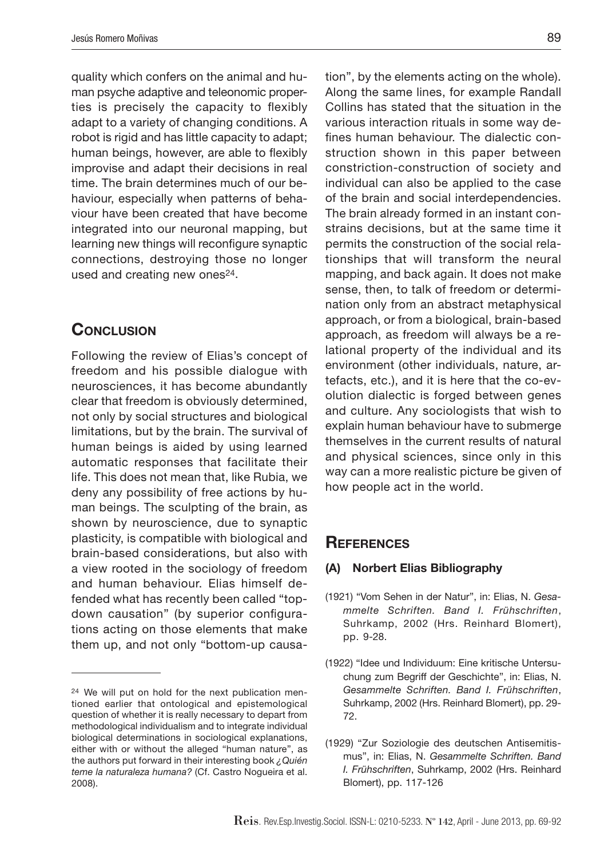quality which confers on the animal and human psyche adaptive and teleonomic properties is precisely the capacity to flexibly adapt to a variety of changing conditions. A robot is rigid and has little capacity to adapt; human beings, however, are able to flexibly improvise and adapt their decisions in real time. The brain determines much of our behaviour, especially when patterns of behaviour have been created that have become integrated into our neuronal mapping, but learning new things will reconfigure synaptic connections, destroying those no longer used and creating new ones<sup>24</sup>.

## **CONCLUSION**

Following the review of Elias's concept of freedom and his possible dialogue with neurosciences, it has become abundantly clear that freedom is obviously determined, not only by social structures and biological limitations, but by the brain. The survival of human beings is aided by using learned automatic responses that facilitate their life. This does not mean that, like Rubia, we deny any possibility of free actions by human beings. The sculpting of the brain, as shown by neuroscience, due to synaptic plasticity, is compatible with biological and brain-based considerations, but also with a view rooted in the sociology of freedom and human behaviour. Elias himself defended what has recently been called "topdown causation" (by superior configurations acting on those elements that make them up, and not only "bottom-up causation", by the elements acting on the whole). Along the same lines, for example Randall Collins has stated that the situation in the various interaction rituals in some way defines human behaviour. The dialectic construction shown in this paper between constriction-construction of society and individual can also be applied to the case of the brain and social interdependencies. The brain already formed in an instant constrains decisions, but at the same time it permits the construction of the social relationships that will transform the neural mapping, and back again. It does not make sense, then, to talk of freedom or determination only from an abstract metaphysical approach, or from a biological, brain-based approach, as freedom will always be a relational property of the individual and its environment (other individuals, nature, artefacts, etc.), and it is here that the co-evolution dialectic is forged between genes and culture. Any sociologists that wish to explain human behaviour have to submerge themselves in the current results of natural and physical sciences, since only in this way can a more realistic picture be given of how people act in the world.

### **References**

#### **(A) Norbert Elias Bibliography**

(1921) "Vom Sehen in der Natur", in: Elias, N. *Gesammelte Schriften. Band I. Frühschriften*, Suhrkamp, 2002 (Hrs. Reinhard Blomert), pp. 9-28.

<sup>24</sup> We will put on hold for the next publication mentioned earlier that ontological and epistemological question of whether it is really necessary to depart from methodological individualism and to integrate individual biological determinations in sociological explanations, either with or without the alleged "human nature", as the authors put forward in their interesting book *¿Quién teme la naturaleza humana?* (Cf. Castro Nogueira et al. 2008).

<sup>(1922) &</sup>quot;Idee und Individuum: Eine kritische Untersuchung zum Begriff der Geschichte", in: Elias, N. *Gesammelte Schriften. Band I. Frühschriften*, Suhrkamp, 2002 (Hrs. Reinhard Blomert), pp. 29- 72.

<sup>(1929) &</sup>quot;Zur Soziologie des deutschen Antisemitismus", in: Elias, N. *Gesammelte Schriften. Band I. Frühschriften*, Suhrkamp, 2002 (Hrs. Reinhard Blomert), pp. 117-126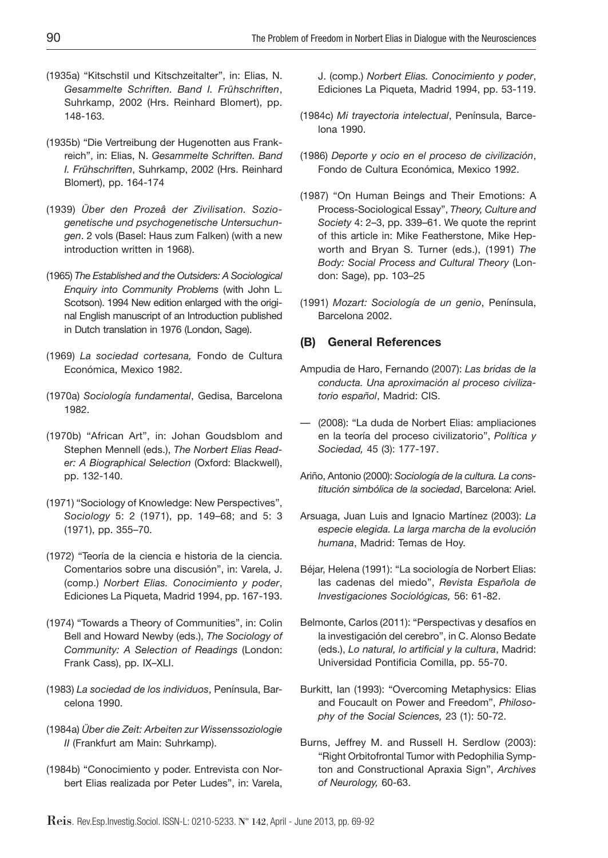- (1935a) "Kitschstil und Kitschzeitalter", in: Elias, N. *Gesammelte Schriften. Band I. Frühschriften*, Suhrkamp, 2002 (Hrs. Reinhard Blomert), pp. 148-163.
- (1935b) "Die Vertreibung der Hugenotten aus Frankreich", in: Elias, N. *Gesammelte Schriften. Band I. Frühschriften*, Suhrkamp, 2002 (Hrs. Reinhard Blomert), pp. 164-174
- (1939) *Über den Prozeâ der Zivilisation. Soziogenetische und psychogenetische Untersuchungen*. 2 vols (Basel: Haus zum Falken) (with a new introduction written in 1968).
- (1965) *The Established and the Outsiders: A Sociological Enquiry into Community Problems* (with John L. Scotson). 1994 New edition enlarged with the original English manuscript of an Introduction published in Dutch translation in 1976 (London, Sage).
- (1969) *La sociedad cortesana,* Fondo de Cultura Económica, Mexico 1982.
- (1970a) *Sociología fundamental*, Gedisa, Barcelona 1982.
- (1970b) "African Art", in: Johan Goudsblom and Stephen Mennell (eds.), *The Norbert Elias Reader: A Biographical Selection* (Oxford: Blackwell), pp. 132-140.
- (1971) "Sociology of Knowledge: New Perspectives", *Sociology* 5: 2 (1971), pp. 149–68; and 5: 3 (1971), pp. 355–70.
- (1972) "Teoría de la ciencia e historia de la ciencia. Comentarios sobre una discusión", in: Varela, J. (comp.) *Norbert Elias. Conocimiento y poder*, Ediciones La Piqueta, Madrid 1994, pp. 167-193.
- (1974) "Towards a Theory of Communities", in: Colin Bell and Howard Newby (eds.), *The Sociology of Community: A Selection of Readings* (London: Frank Cass), pp. IX–XLI.
- (1983) *La sociedad de los individuos*, Península, Barcelona 1990.
- (1984a) *Über die Zeit: Arbeiten zur Wissenssoziologie II* (Frankfurt am Main: Suhrkamp).
- (1984b) "Conocimiento y poder. Entrevista con Norbert Elias realizada por Peter Ludes", in: Varela,

J. (comp.) *Norbert Elias. Conocimiento y poder*, Ediciones La Piqueta, Madrid 1994, pp. 53-119.

- (1984c) *Mi trayectoria intelectual*, Península, Barcelona 1990.
- (1986) *Deporte y ocio en el proceso de civilización*, Fondo de Cultura Económica, Mexico 1992.
- (1987) "On Human Beings and Their Emotions: A Process-Sociological Essay", *Theory, Culture and Society* 4: 2–3, pp. 339–61. We quote the reprint of this article in: Mike Featherstone, Mike Hepworth and Bryan S. Turner (eds.), (1991) *The Body: Social Process and Cultural Theory* (London: Sage), pp. 103–25
- (1991) *Mozart: Sociología de un genio*, Península, Barcelona 2002.

#### **(B) General References**

- Ampudia de Haro, Fernando (2007): *Las bridas de la conducta. Una aproximación al proceso civilizatorio español*, Madrid: CIS.
- (2008): "La duda de Norbert Elias: ampliaciones en la teoría del proceso civilizatorio", *Política y Sociedad,* 45 (3): 177-197.
- Ariño, Antonio (2000): *Sociología de la cultura. La constitución simbólica de la sociedad*, Barcelona: Ariel.
- Arsuaga, Juan Luis and Ignacio Martínez (2003): *La especie elegida. La larga marcha de la evolución humana*, Madrid: Temas de Hoy.
- Béjar, Helena (1991): "La sociología de Norbert Elias: las cadenas del miedo", *Revista Española de Investigaciones Sociológicas,* 56: 61-82.
- Belmonte, Carlos (2011): "Perspectivas y desafíos en la investigación del cerebro", in C. Alonso Bedate (eds.), *Lo natural, lo artificial y la cultura*, Madrid: Universidad Pontificia Comilla, pp. 55-70.
- Burkitt, Ian (1993): "Overcoming Metaphysics: Elias and Foucault on Power and Freedom", *Philosophy of the Social Sciences,* 23 (1): 50-72.
- Burns, Jeffrey M. and Russell H. Serdlow (2003): "Right Orbitofrontal Tumor with Pedophilia Sympton and Constructional Apraxia Sign", *Archives of Neurology,* 60-63.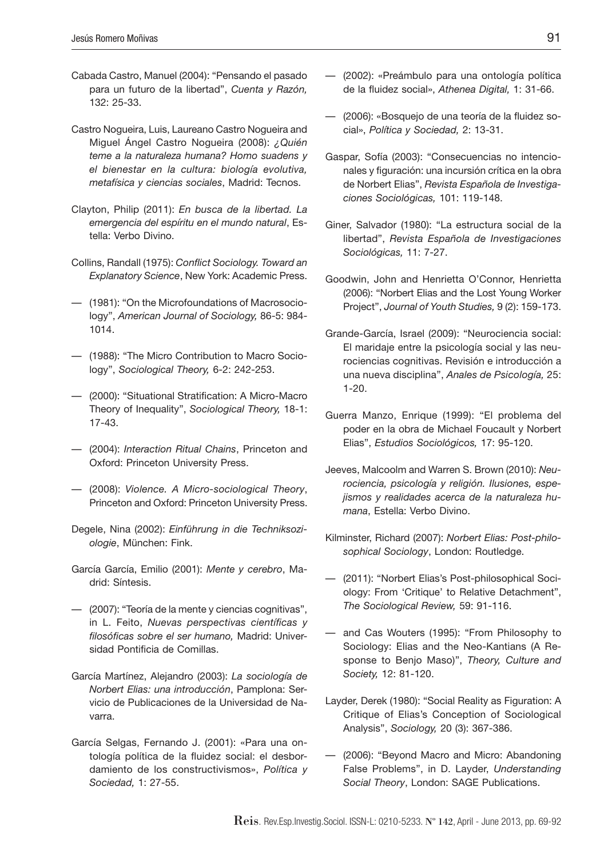- Cabada Castro, Manuel (2004): "Pensando el pasado para un futuro de la libertad", *Cuenta y Razón,* 132: 25-33.
- Castro Nogueira, Luis, Laureano Castro Nogueira and Miguel Ángel Castro Nogueira (2008): *¿Quién teme a la naturaleza humana? Homo suadens y el bienestar en la cultura: biología evolutiva, metafísica y ciencias sociales*, Madrid: Tecnos.
- Clayton, Philip (2011): *En busca de la libertad. La emergencia del espíritu en el mundo natural*, Estella: Verbo Divino.
- Collins, Randall (1975): *Conflict Sociology. Toward an Explanatory Science*, New York: Academic Press.
- (1981): "On the Microfoundations of Macrosociology", *American Journal of Sociology,* 86-5: 984- 1014.
- (1988): "The Micro Contribution to Macro Sociology", *Sociological Theory,* 6-2: 242-253.
- (2000): "Situational Stratification: A Micro-Macro Theory of Inequality", *Sociological Theory,* 18-1: 17-43.
- (2004): *Interaction Ritual Chains*, Princeton and Oxford: Princeton University Press.
- (2008): *Violence. A Micro-sociological Theory*, Princeton and Oxford: Princeton University Press.
- Degele, Nina (2002): *Einführung in die Techniksoziologie*, München: Fink.
- García García, Emilio (2001): *Mente y cerebro*, Madrid: Síntesis.
- (2007): "Teoría de la mente y ciencias cognitivas", in L. Feito, *Nuevas perspectivas científicas y filosóficas sobre el ser humano,* Madrid: Universidad Pontificia de Comillas.
- García Martínez, Alejandro (2003): *La sociología de Norbert Elias: una introducción*, Pamplona: Servicio de Publicaciones de la Universidad de Navarra.
- García Selgas, Fernando J. (2001): «Para una ontología política de la fluidez social: el desbordamiento de los constructivismos», *Política y Sociedad,* 1: 27-55.
- (2002): «Preámbulo para una ontología política de la fluidez social», *Athenea Digital,* 1: 31-66.
- (2006): «Bosquejo de una teoría de la fluidez social», *Política y Sociedad,* 2: 13-31.
- Gaspar, Sofía (2003): "Consecuencias no intencionales y figuración: una incursión crítica en la obra de Norbert Elias", *Revista Española de Investigaciones Sociológicas,* 101: 119-148.
- Giner, Salvador (1980): "La estructura social de la libertad", *Revista Española de Investigaciones Sociológicas,* 11: 7-27.
- Goodwin, John and Henrietta O'Connor, Henrietta (2006): "Norbert Elias and the Lost Young Worker Project", *Journal of Youth Studies,* 9 (2): 159-173.
- Grande-García, Israel (2009): "Neurociencia social: El maridaje entre la psicología social y las neurociencias cognitivas. Revisión e introducción a una nueva disciplina", *Anales de Psicología,* 25: 1-20.
- Guerra Manzo, Enrique (1999): "El problema del poder en la obra de Michael Foucault y Norbert Elias", *Estudios Sociológicos,* 17: 95-120.
- Jeeves, Malcoolm and Warren S. Brown (2010): *Neurociencia, psicología y religión. Ilusiones, espejismos y realidades acerca de la naturaleza humana*, Estella: Verbo Divino.
- Kilminster, Richard (2007): *Norbert Elias: Post-philosophical Sociology*, London: Routledge.
- (2011): "Norbert Elias's Post-philosophical Sociology: From 'Critique' to Relative Detachment", *The Sociological Review,* 59: 91-116.
- and Cas Wouters (1995): "From Philosophy to Sociology: Elias and the Neo-Kantians (A Response to Benjo Maso)", *Theory, Culture and Society,* 12: 81-120.
- Layder, Derek (1980): "Social Reality as Figuration: A Critique of Elias's Conception of Sociological Analysis", *Sociology,* 20 (3): 367-386.
- (2006): "Beyond Macro and Micro: Abandoning False Problems", in D. Layder, *Understanding Social Theory*, London: SAGE Publications.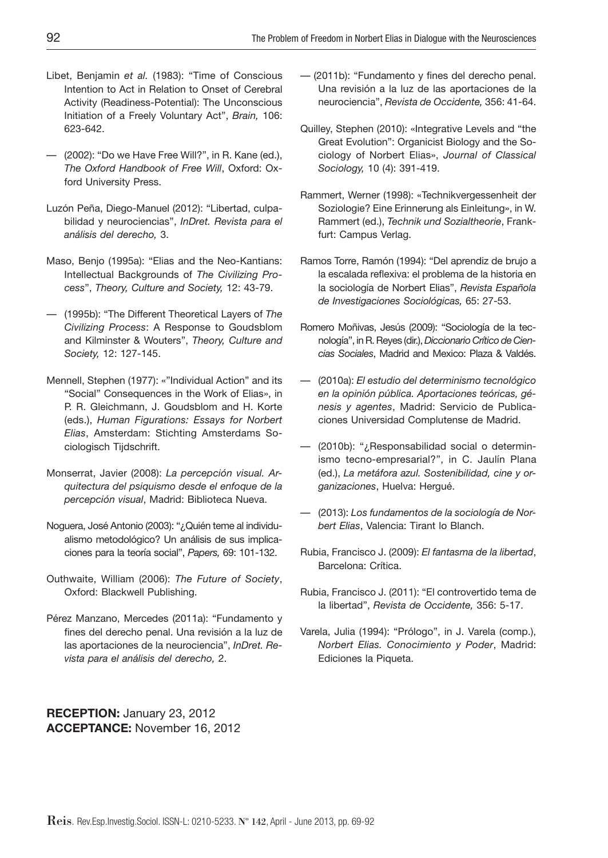- Libet, Benjamin *et al.* (1983): "Time of Conscious Intention to Act in Relation to Onset of Cerebral Activity (Readiness-Potential): The Unconscious Initiation of a Freely Voluntary Act", *Brain,* 106: 623-642.
- (2002): "Do we Have Free Will?", in R. Kane (ed.), *The Oxford Handbook of Free Will*, Oxford: Oxford University Press.
- Luzón Peña, Diego-Manuel (2012): "Libertad, culpabilidad y neurociencias", *InDret. Revista para el análisis del derecho,* 3.
- Maso, Benjo (1995a): "Elias and the Neo-Kantians: Intellectual Backgrounds of *The Civilizing Process*", *Theory, Culture and Society,* 12: 43-79.
- (1995b): "The Different Theoretical Layers of *The Civilizing Process*: A Response to Goudsblom and Kilminster & Wouters", *Theory, Culture and Society,* 12: 127-145.
- Mennell, Stephen (1977): «"Individual Action" and its "Social" Consequences in the Work of Elias», in P. R. Gleichmann, J. Goudsblom and H. Korte (eds.), *Human Figurations: Essays for Norbert Elias*, Amsterdam: Stichting Amsterdams Sociologisch Tijdschrift.
- Monserrat, Javier (2008): *La percepción visual. Arquitectura del psiquismo desde el enfoque de la percepción visual*, Madrid: Biblioteca Nueva.
- Noguera, José Antonio (2003): "¿Quién teme al individualismo metodológico? Un análisis de sus implicaciones para la teoría social", *Papers,* 69: 101-132.
- Outhwaite, William (2006): *The Future of Society*, Oxford: Blackwell Publishing.
- Pérez Manzano, Mercedes (2011a): "Fundamento y fines del derecho penal. Una revisión a la luz de las aportaciones de la neurociencia", *InDret. Revista para el análisis del derecho,* 2.

— (2011b): "Fundamento y fines del derecho penal. Una revisión a la luz de las aportaciones de la neurociencia", *Revista de Occidente,* 356: 41-64.

- Quilley, Stephen (2010): «Integrative Levels and "the Great Evolution": Organicist Biology and the Sociology of Norbert Elias», *Journal of Classical Sociology,* 10 (4): 391-419.
- Rammert, Werner (1998): «Technikvergessenheit der Soziologie? Eine Erinnerung als Einleitung», in W. Rammert (ed.), *Technik und Sozialtheorie*, Frankfurt: Campus Verlag.
- Ramos Torre, Ramón (1994): "Del aprendiz de brujo a la escalada reflexiva: el problema de la historia en la sociología de Norbert Elias", *Revista Española de Investigaciones Sociológicas,* 65: 27-53.
- Romero Moñivas, Jesús (2009): "Sociología de la tecnología", in R. Reyes (dir.), *Diccionario Crítico de Ciencias Sociales*, Madrid and Mexico: Plaza & Valdés.
- (2010a): *El estudio del determinismo tecnológico en la opinión pública. Aportaciones teóricas, génesis y agentes*, Madrid: Servicio de Publicaciones Universidad Complutense de Madrid.
- (2010b): "¿Responsabilidad social o determinismo tecno-empresarial?", in C. Jaulín Plana (ed.), *La metáfora azul. Sostenibilidad, cine y organizaciones*, Huelva: Hergué.
- (2013): *Los fundamentos de la sociología de Norbert Elias*, Valencia: Tirant lo Blanch.
- Rubia, Francisco J. (2009): *El fantasma de la libertad*, Barcelona: Crítica.
- Rubia, Francisco J. (2011): "El controvertido tema de la libertad", *Revista de Occidente,* 356: 5-17.
- Varela, Julia (1994): "Prólogo", in J. Varela (comp.), *Norbert Elias. Conocimiento y Poder*, Madrid: Ediciones la Piqueta.

**RECEPTION:** January 23, 2012 **ACCEPTANCE:** November 16, 2012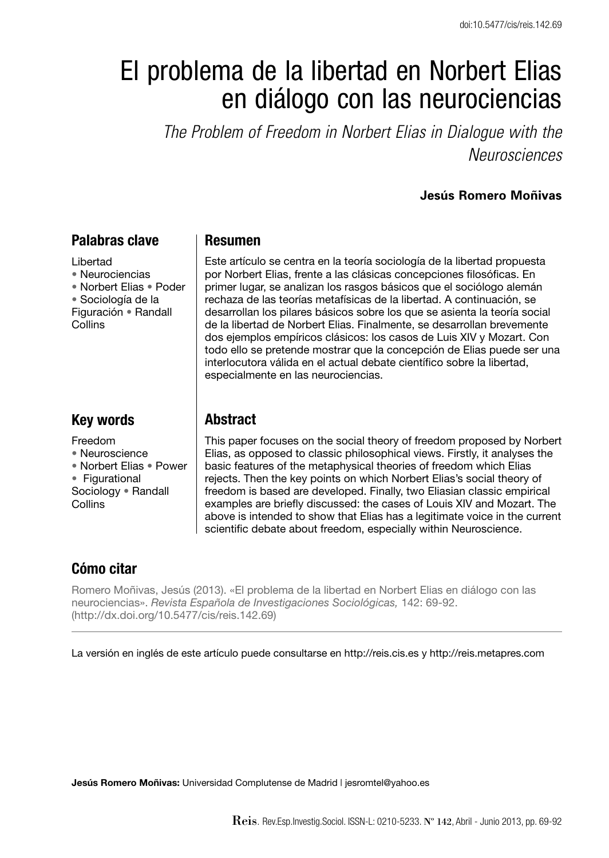# El problema de la libertad en Norbert Elias en diálogo con las neurociencias

*The Problem of Freedom in Norbert Elias in Dialogue with the Neurosciences*

#### **Jesús Romero Moñivas**

## **Palabras clave**

Libertad • Neurociencias • Norbert Elias • Poder • Sociología de la Figuración • Randall Collins

## **Key words**

Freedom

• Neuroscience

• Norbert Elias • Power • Figurational

Sociology • Randall **Collins** 

#### **Resumen**

Este artículo se centra en la teoría sociología de la libertad propuesta por Norbert Elias, frente a las clásicas concepciones filosóficas. En primer lugar, se analizan los rasgos básicos que el sociólogo alemán rechaza de las teorías metafísicas de la libertad. A continuación, se desarrollan los pilares básicos sobre los que se asienta la teoría social de la libertad de Norbert Elias. Finalmente, se desarrollan brevemente dos ejemplos empíricos clásicos: los casos de Luis XIV y Mozart. Con todo ello se pretende mostrar que la concepción de Elias puede ser una interlocutora válida en el actual debate científico sobre la libertad, especialmente en las neurociencias.

## **Abstract**

This paper focuses on the social theory of freedom proposed by Norbert Elias, as opposed to classic philosophical views. Firstly, it analyses the basic features of the metaphysical theories of freedom which Elias rejects. Then the key points on which Norbert Elias's social theory of freedom is based are developed. Finally, two Eliasian classic empirical examples are briefly discussed: the cases of Louis XIV and Mozart. The above is intended to show that Elias has a legitimate voice in the current scientific debate about freedom, especially within Neuroscience.

# **Cómo citar**

Romero Moñivas, Jesús (2013). «El problema de la libertad en Norbert Elias en diálogo con las neurociencias». *Revista Española de Investigaciones Sociológicas,* 142: 69-92. (http://dx.doi.org/10.5477/cis/reis.142.69)

La versión en inglés de este artículo puede consultarse en http://reis.cis.es y http://reis.metapres.com

**Jesús Romero Moñivas:** Universidad Complutense de Madrid | jesromtel@yahoo.es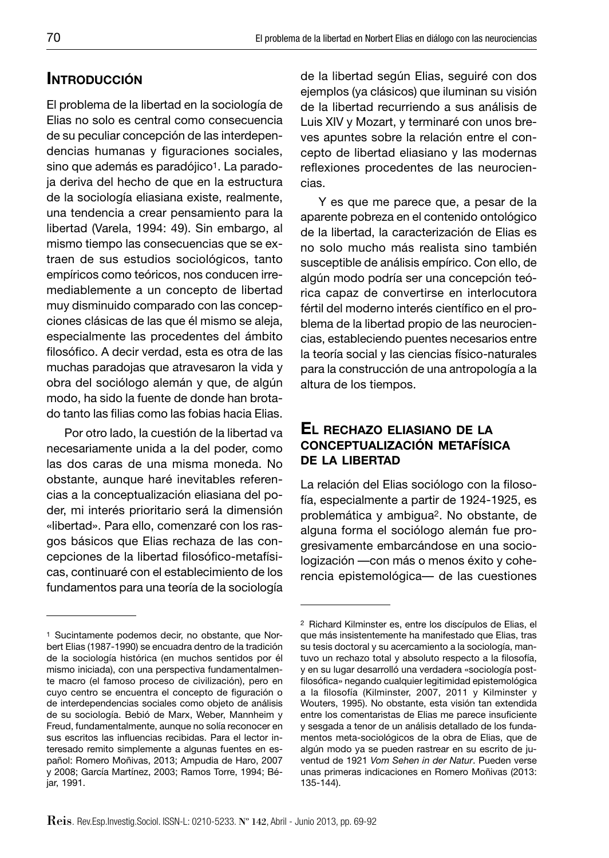# **INTRODUCCIÓN**

El problema de la libertad en la sociología de Elias no solo es central como consecuencia de su peculiar concepción de las interdependencias humanas y figuraciones sociales, sino que además es paradójico<sup>1</sup>. La paradoja deriva del hecho de que en la estructura de la sociología eliasiana existe, realmente, una tendencia a crear pensamiento para la libertad (Varela, 1994: 49). Sin embargo, al mismo tiempo las consecuencias que se extraen de sus estudios sociológicos, tanto empíricos como teóricos, nos conducen irremediablemente a un concepto de libertad muy disminuido comparado con las concepciones clásicas de las que él mismo se aleja, especialmente las procedentes del ámbito filosófico. A decir verdad, esta es otra de las muchas paradojas que atravesaron la vida y obra del sociólogo alemán y que, de algún modo, ha sido la fuente de donde han brotado tanto las filias como las fobias hacia Elias.

Por otro lado, la cuestión de la libertad va necesariamente unida a la del poder, como las dos caras de una misma moneda. No obstante, aunque haré inevitables referencias a la conceptualización eliasiana del poder, mi interés prioritario será la dimensión «libertad». Para ello, comenzaré con los rasgos básicos que Elias rechaza de las concepciones de la libertad filosófico-metafísicas, continuaré con el establecimiento de los fundamentos para una teoría de la sociología de la libertad según Elias, seguiré con dos ejemplos (ya clásicos) que iluminan su visión de la libertad recurriendo a sus análisis de Luis XIV y Mozart, y terminaré con unos breves apuntes sobre la relación entre el concepto de libertad eliasiano y las modernas reflexiones procedentes de las neurociencias.

Y es que me parece que, a pesar de la aparente pobreza en el contenido ontológico de la libertad, la caracterización de Elias es no solo mucho más realista sino también susceptible de análisis empírico. Con ello, de algún modo podría ser una concepción teórica capaz de convertirse en interlocutora fértil del moderno interés científico en el problema de la libertad propio de las neurociencias, estableciendo puentes necesarios entre la teoría social y las ciencias físico-naturales para la construcción de una antropología a la altura de los tiempos.

## **EL RECHAZO ELIASIANO DE LA CONCEPTUALIZACIÓN METAFÍSICA DE LA LIBERTAD**

La relación del Elias sociólogo con la filosofía, especialmente a partir de 1924-1925, es problemática y ambigua2. No obstante, de alguna forma el sociólogo alemán fue progresivamente embarcándose en una sociologización —con más o menos éxito y coherencia epistemológica— de las cuestiones

<sup>1</sup> Sucintamente podemos decir, no obstante, que Norbert Elias (1987-1990) se encuadra dentro de la tradición de la sociología histórica (en muchos sentidos por él mismo iniciada), con una perspectiva fundamentalmente macro (el famoso proceso de civilización), pero en cuyo centro se encuentra el concepto de figuración o de interdependencias sociales como objeto de análisis de su sociología. Bebió de Marx, Weber, Mannheim y Freud, fundamentalmente, aunque no solía reconocer en sus escritos las influencias recibidas. Para el lector interesado remito simplemente a algunas fuentes en español: Romero Moñivas, 2013; Ampudia de Haro, 2007 y 2008; García Martínez, 2003; Ramos Torre, 1994; Béjar, 1991.

<sup>2</sup> Richard Kilminster es, entre los discípulos de Elias, el que más insistentemente ha manifestado que Elias, tras su tesis doctoral y su acercamiento a la sociología, mantuvo un rechazo total y absoluto respecto a la filosofía, y en su lugar desarrolló una verdadera «sociología postfilosófica» negando cualquier legitimidad epistemológica a la filosofía (Kilminster, 2007, 2011 y Kilminster y Wouters, 1995). No obstante, esta visión tan extendida entre los comentaristas de Elias me parece insuficiente y sesgada a tenor de un análisis detallado de los fundamentos meta-sociológicos de la obra de Elias, que de algún modo ya se pueden rastrear en su escrito de juventud de 1921 *Vom Sehen in der Natur*. Pueden verse unas primeras indicaciones en Romero Moñivas (2013: 135-144).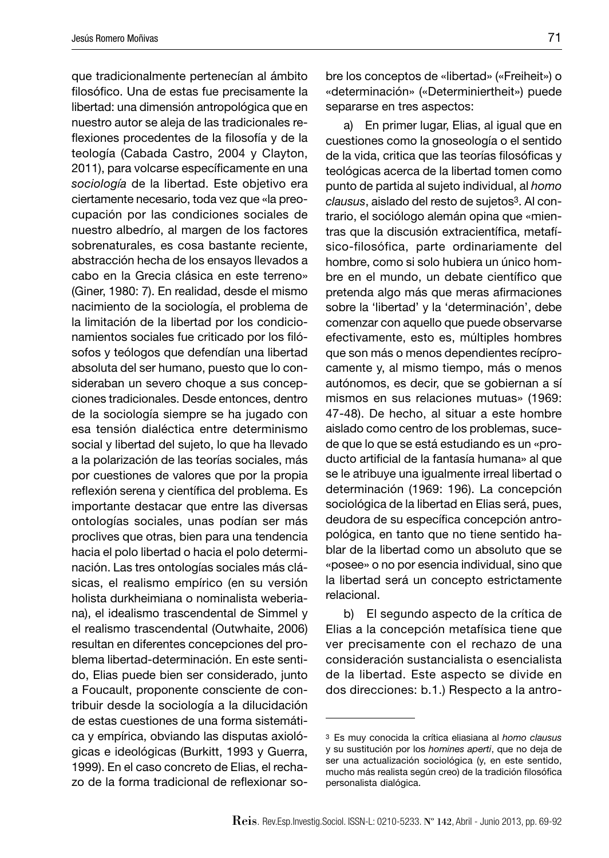que tradicionalmente pertenecían al ámbito filosófico. Una de estas fue precisamente la libertad: una dimensión antropológica que en nuestro autor se aleja de las tradicionales reflexiones procedentes de la filosofía y de la teología (Cabada Castro, 2004 y Clayton, 2011), para volcarse específicamente en una *sociología* de la libertad. Este objetivo era ciertamente necesario, toda vez que «la preocupación por las condiciones sociales de nuestro albedrío, al margen de los factores sobrenaturales, es cosa bastante reciente, abstracción hecha de los ensayos llevados a cabo en la Grecia clásica en este terreno» (Giner, 1980: 7). En realidad, desde el mismo nacimiento de la sociología, el problema de la limitación de la libertad por los condicionamientos sociales fue criticado por los filósofos y teólogos que defendían una libertad absoluta del ser humano, puesto que lo consideraban un severo choque a sus concepciones tradicionales. Desde entonces, dentro de la sociología siempre se ha jugado con esa tensión dialéctica entre determinismo social y libertad del sujeto, lo que ha llevado a la polarización de las teorías sociales, más por cuestiones de valores que por la propia reflexión serena y científica del problema. Es importante destacar que entre las diversas ontologías sociales, unas podían ser más proclives que otras, bien para una tendencia hacia el polo libertad o hacia el polo determinación. Las tres ontologías sociales más clásicas, el realismo empírico (en su versión holista durkheimiana o nominalista weberiana), el idealismo trascendental de Simmel y el realismo trascendental (Outwhaite, 2006) resultan en diferentes concepciones del problema libertad-determinación. En este sentido, Elias puede bien ser considerado, junto a Foucault, proponente consciente de contribuir desde la sociología a la dilucidación de estas cuestiones de una forma sistemática y empírica, obviando las disputas axiológicas e ideológicas (Burkitt, 1993 y Guerra, 1999). En el caso concreto de Elias, el rechazo de la forma tradicional de reflexionar sobre los conceptos de «libertad» («Freiheit») o «determinación» («Determiniertheit») puede separarse en tres aspectos:

a) En primer lugar, Elias, al igual que en cuestiones como la gnoseología o el sentido de la vida, critica que las teorías filosóficas y teológicas acerca de la libertad tomen como punto de partida al sujeto individual, al *homo clausus*, aislado del resto de sujetos3. Al contrario, el sociólogo alemán opina que «mientras que la discusión extracientífica, metafísico-filosófica, parte ordinariamente del hombre, como si solo hubiera un único hombre en el mundo, un debate científico que pretenda algo más que meras afirmaciones sobre la 'libertad' y la 'determinación', debe comenzar con aquello que puede observarse efectivamente, esto es, múltiples hombres que son más o menos dependientes recíprocamente y, al mismo tiempo, más o menos autónomos, es decir, que se gobiernan a sí mismos en sus relaciones mutuas» (1969: 47-48). De hecho, al situar a este hombre aislado como centro de los problemas, sucede que lo que se está estudiando es un «producto artificial de la fantasía humana» al que se le atribuye una igualmente irreal libertad o determinación (1969: 196). La concepción sociológica de la libertad en Elias será, pues, deudora de su específica concepción antropológica, en tanto que no tiene sentido hablar de la libertad como un absoluto que se «posee» o no por esencia individual, sino que la libertad será un concepto estrictamente relacional.

b) El segundo aspecto de la crítica de Elias a la concepción metafísica tiene que ver precisamente con el rechazo de una consideración sustancialista o esencialista de la libertad. Este aspecto se divide en dos direcciones: b.1.) Respecto a la antro-

<sup>3</sup> Es muy conocida la crítica eliasiana al *homo clausus* y su sustitución por los *homines aperti*, que no deja de ser una actualización sociológica (y, en este sentido, mucho más realista según creo) de la tradición filosófica personalista dialógica.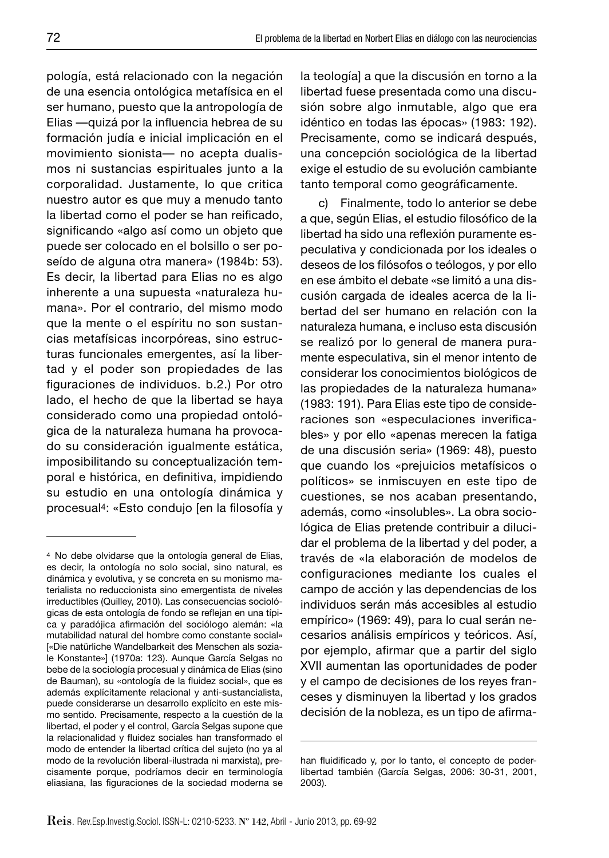pología, está relacionado con la negación de una esencia ontológica metafísica en el ser humano, puesto que la antropología de Elias — quizá por la influencia hebrea de su formación judía e inicial implicación en el movimiento sionista— no acepta dualismos ni sustancias espirituales junto a la corporalidad. Justamente, lo que critica nuestro autor es que muy a menudo tanto la libertad como el poder se han reificado, significando «algo así como un objeto que puede ser colocado en el bolsillo o ser poseído de alguna otra manera» (1984b: 53). Es decir, la libertad para Elias no es algo inherente a una supuesta «naturaleza humana». Por el contrario, del mismo modo que la mente o el espíritu no son sustancias metafísicas incorpóreas, sino estructuras funcionales emergentes, así la libertad y el poder son propiedades de las figuraciones de individuos. b.2.) Por otro lado, el hecho de que la libertad se haya considerado como una propiedad ontológica de la naturaleza humana ha provocado su consideración igualmente estática, imposibilitando su conceptualización temporal e histórica, en definitiva, impidiendo su estudio en una ontología dinámica y procesual<sup>4</sup>: «Esto condujo [en la filosofía y la teología] a que la discusión en torno a la libertad fuese presentada como una discusión sobre algo inmutable, algo que era idéntico en todas las épocas» (1983: 192). Precisamente, como se indicará después, una concepción sociológica de la libertad exige el estudio de su evolución cambiante tanto temporal como geográficamente.

c) Finalmente, todo lo anterior se debe a que, según Elias, el estudio filosófico de la libertad ha sido una reflexión puramente especulativa y condicionada por los ideales o deseos de los filósofos o teólogos, y por ello en ese ámbito el debate «se limitó a una discusión cargada de ideales acerca de la libertad del ser humano en relación con la naturaleza humana, e incluso esta discusión se realizó por lo general de manera puramente especulativa, sin el menor intento de considerar los conocimientos biológicos de las propiedades de la naturaleza humana» (1983: 191). Para Elias este tipo de consideraciones son «especulaciones inverificables» y por ello «apenas merecen la fatiga de una discusión seria» (1969: 48), puesto que cuando los «prejuicios metafísicos o políticos» se inmiscuyen en este tipo de cuestiones, se nos acaban presentando, además, como «insolubles». La obra sociológica de Elias pretende contribuir a dilucidar el problema de la libertad y del poder, a través de «la elaboración de modelos de configuraciones mediante los cuales el campo de acción y las dependencias de los individuos serán más accesibles al estudio empírico» (1969: 49), para lo cual serán necesarios análisis empíricos y teóricos. Así, por ejemplo, afirmar que a partir del siglo XVII aumentan las oportunidades de poder y el campo de decisiones de los reyes franceses y disminuyen la libertad y los grados decisión de la nobleza, es un tipo de afirma-

<sup>4</sup> No debe olvidarse que la ontología general de Elias, es decir, la ontología no solo social, sino natural, es dinámica y evolutiva, y se concreta en su monismo materialista no reduccionista sino emergentista de niveles irreductibles (Quilley, 2010). Las consecuencias sociológicas de esta ontología de fondo se reflejan en una típica y paradójica afirmación del sociólogo alemán: «la mutabilidad natural del hombre como constante social» [«Die natürliche Wandelbarkeit des Menschen als soziale Konstante»] (1970a: 123). Aunque García Selgas no bebe de la sociología procesual y dinámica de Elias (sino de Bauman), su «ontología de la fluidez social», que es además explícitamente relacional y anti-sustancialista, puede considerarse un desarrollo explícito en este mismo sentido. Precisamente, respecto a la cuestión de la libertad, el poder y el control, García Selgas supone que la relacionalidad y fluidez sociales han transformado el modo de entender la libertad crítica del sujeto (no ya al modo de la revolución liberal-ilustrada ni marxista), precisamente porque, podríamos decir en terminología eliasiana, las figuraciones de la sociedad moderna se

han fluidificado y, por lo tanto, el concepto de poderlibertad también (García Selgas, 2006: 30-31, 2001, 2003).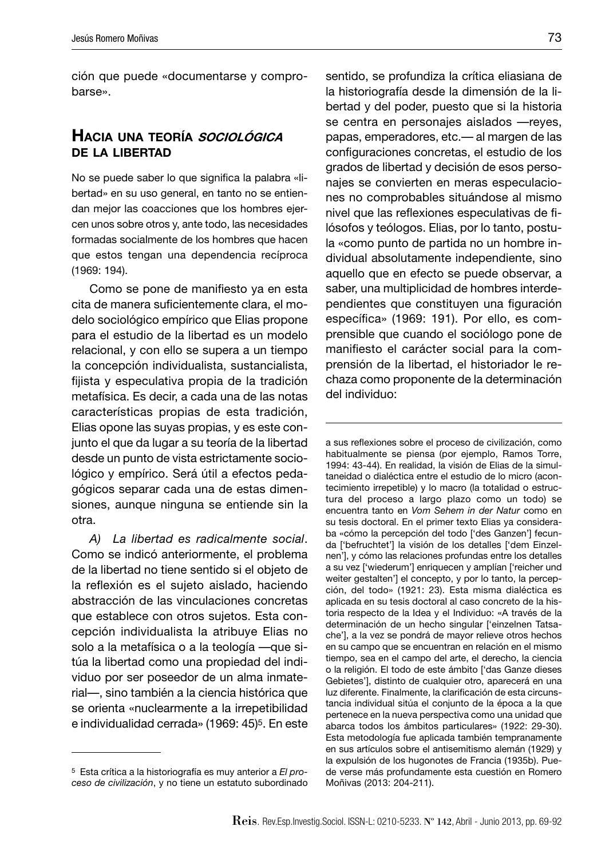ción que puede «documentarse y comprobarse».

## **HACIA UNA TEORÍA SOCIOLÓGICA DE LA LIBERTAD**

No se puede saber lo que significa la palabra «libertad» en su uso general, en tanto no se entiendan mejor las coacciones que los hombres ejercen unos sobre otros y, ante todo, las necesidades formadas socialmente de los hombres que hacen que estos tengan una dependencia recíproca (1969: 194).

Como se pone de manifiesto ya en esta cita de manera suficientemente clara, el modelo sociológico empírico que Elias propone para el estudio de la libertad es un modelo relacional, y con ello se supera a un tiempo la concepción individualista, sustancialista, fijista y especulativa propia de la tradición metafísica. Es decir, a cada una de las notas características propias de esta tradición, Elias opone las suyas propias, y es este conjunto el que da lugar a su teoría de la libertad desde un punto de vista estrictamente sociológico y empírico. Será útil a efectos pedagógicos separar cada una de estas dimensiones, aunque ninguna se entiende sin la otra.

*A) La libertad es radicalmente social*. Como se indicó anteriormente, el problema de la libertad no tiene sentido si el objeto de la reflexión es el sujeto aislado, haciendo abstracción de las vinculaciones concretas que establece con otros sujetos. Esta concepción individualista la atribuye Elias no solo a la metafísica o a la teología —que sitúa la libertad como una propiedad del individuo por ser poseedor de un alma inmaterial—, sino también a la ciencia histórica que se orienta «nuclearmente a la irrepetibilidad e individualidad cerrada» (1969: 45)5. En este

sentido, se profundiza la crítica eliasiana de la historiografía desde la dimensión de la libertad y del poder, puesto que si la historia se centra en personajes aislados —reyes, papas, emperadores, etc.— al margen de las configuraciones concretas, el estudio de los grados de libertad y decisión de esos personajes se convierten en meras especulaciones no comprobables situándose al mismo nivel que las reflexiones especulativas de filósofos y teólogos. Elias, por lo tanto, postula «como punto de partida no un hombre individual absolutamente independiente, sino aquello que en efecto se puede observar, a saber, una multiplicidad de hombres interdependientes que constituyen una figuración específica» (1969: 191). Por ello, es comprensible que cuando el sociólogo pone de manifiesto el carácter social para la comprensión de la libertad, el historiador le rechaza como proponente de la determinación del individuo:

a sus reflexiones sobre el proceso de civilización, como habitualmente se piensa (por ejemplo, Ramos Torre, 1994: 43-44). En realidad, la visión de Elias de la simultaneidad o dialéctica entre el estudio de lo micro (acontecimiento irrepetible) y lo macro (la totalidad o estructura del proceso a largo plazo como un todo) se encuentra tanto en *Vom Sehem in der Natur* como en su tesis doctoral. En el primer texto Elias ya consideraba «cómo la percepción del todo ['des Ganzen'] fecunda ['befruchtet'] la visión de los detalles ['dem Einzelnen'], y cómo las relaciones profundas entre los detalles a su vez ['wiederum'] enriquecen y amplían ['reicher und weiter gestalten'] el concepto, y por lo tanto, la percepción, del todo» (1921: 23). Esta misma dialéctica es aplicada en su tesis doctoral al caso concreto de la historia respecto de la Idea y el Individuo: «A través de la determinación de un hecho singular ['einzelnen Tatsache'], a la vez se pondrá de mayor relieve otros hechos en su campo que se encuentran en relación en el mismo tiempo, sea en el campo del arte, el derecho, la ciencia o la religión. El todo de este ámbito ['das Ganze dieses Gebietes'], distinto de cualquier otro, aparecerá en una luz diferente. Finalmente, la clarificación de esta circunstancia individual sitúa el conjunto de la época a la que pertenece en la nueva perspectiva como una unidad que abarca todos los ámbitos particulares» (1922: 29-30). Esta metodología fue aplicada también tempranamente en sus artículos sobre el antisemitismo alemán (1929) y la expulsión de los hugonotes de Francia (1935b). Puede verse más profundamente esta cuestión en Romero Moñivas (2013: 204-211).

<sup>5</sup> Esta crítica a la historiografía es muy anterior a *El proceso de civilización*, y no tiene un estatuto subordinado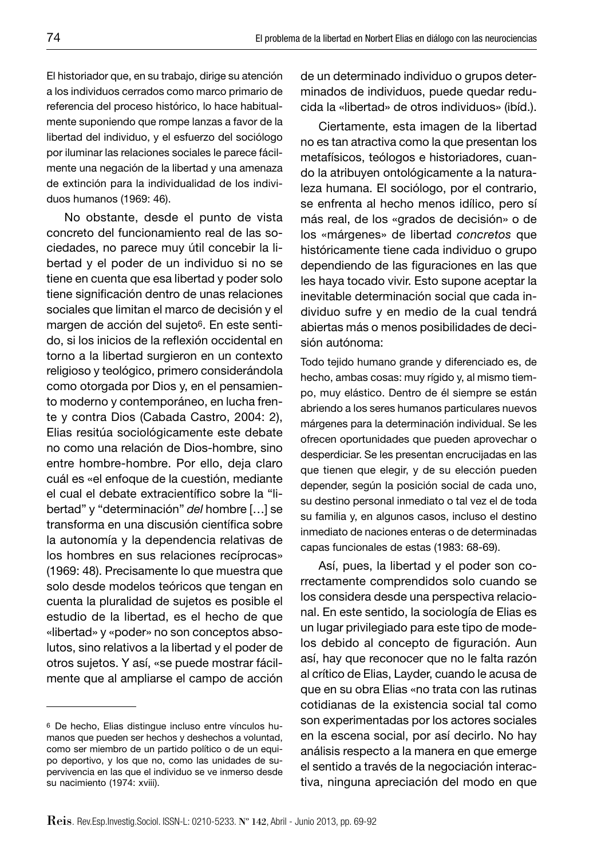El historiador que, en su trabajo, dirige su atención a los individuos cerrados como marco primario de referencia del proceso histórico, lo hace habitualmente suponiendo que rompe lanzas a favor de la libertad del individuo, y el esfuerzo del sociólogo por iluminar las relaciones sociales le parece fácilmente una negación de la libertad y una amenaza de extinción para la individualidad de los individuos humanos (1969: 46).

No obstante, desde el punto de vista concreto del funcionamiento real de las sociedades, no parece muy útil concebir la libertad y el poder de un individuo si no se tiene en cuenta que esa libertad y poder solo tiene significación dentro de unas relaciones sociales que limitan el marco de decisión y el margen de acción del sujeto<sup>6</sup>. En este sentido, si los inicios de la reflexión occidental en torno a la libertad surgieron en un contexto religioso y teológico, primero considerándola como otorgada por Dios y, en el pensamiento moderno y contemporáneo, en lucha frente y contra Dios (Cabada Castro, 2004: 2), Elias resitúa sociológicamente este debate no como una relación de Dios-hombre, sino entre hombre-hombre. Por ello, deja claro cuál es «el enfoque de la cuestión, mediante el cual el debate extracientífico sobre la "libertad" y "determinación" *del* hombre […] se transforma en una discusión científica sobre la autonomía y la dependencia relativas de los hombres en sus relaciones recíprocas» (1969: 48). Precisamente lo que muestra que solo desde modelos teóricos que tengan en cuenta la pluralidad de sujetos es posible el estudio de la libertad, es el hecho de que «libertad» y «poder» no son conceptos absolutos, sino relativos a la libertad y el poder de otros sujetos. Y así, «se puede mostrar fácilmente que al ampliarse el campo de acción

de un determinado individuo o grupos determinados de individuos, puede quedar reducida la «libertad» de otros individuos» (ibíd.).

Ciertamente, esta imagen de la libertad no es tan atractiva como la que presentan los metafísicos, teólogos e historiadores, cuando la atribuyen ontológicamente a la naturaleza humana. El sociólogo, por el contrario, se enfrenta al hecho menos idílico, pero sí más real, de los «grados de decisión» o de los «márgenes» de libertad *concretos* que históricamente tiene cada individuo o grupo dependiendo de las figuraciones en las que les haya tocado vivir. Esto supone aceptar la inevitable determinación social que cada individuo sufre y en medio de la cual tendrá abiertas más o menos posibilidades de decisión autónoma:

Todo tejido humano grande y diferenciado es, de hecho, ambas cosas: muy rígido y, al mismo tiempo, muy elástico. Dentro de él siempre se están abriendo a los seres humanos particulares nuevos márgenes para la determinación individual. Se les ofrecen oportunidades que pueden aprovechar o desperdiciar. Se les presentan encrucijadas en las que tienen que elegir, y de su elección pueden depender, según la posición social de cada uno, su destino personal inmediato o tal vez el de toda su familia y, en algunos casos, incluso el destino inmediato de naciones enteras o de determinadas capas funcionales de estas (1983: 68-69).

Así, pues, la libertad y el poder son correctamente comprendidos solo cuando se los considera desde una perspectiva relacional. En este sentido, la sociología de Elias es un lugar privilegiado para este tipo de modelos debido al concepto de figuración. Aun así, hay que reconocer que no le falta razón al crítico de Elias, Layder, cuando le acusa de que en su obra Elias «no trata con las rutinas cotidianas de la existencia social tal como son experimentadas por los actores sociales en la escena social, por así decirlo. No hay análisis respecto a la manera en que emerge el sentido a través de la negociación interactiva, ninguna apreciación del modo en que

<sup>6</sup> De hecho, Elias distingue incluso entre vínculos humanos que pueden ser hechos y deshechos a voluntad, como ser miembro de un partido político o de un equipo deportivo, y los que no, como las unidades de supervivencia en las que el individuo se ve inmerso desde su nacimiento (1974: xviii).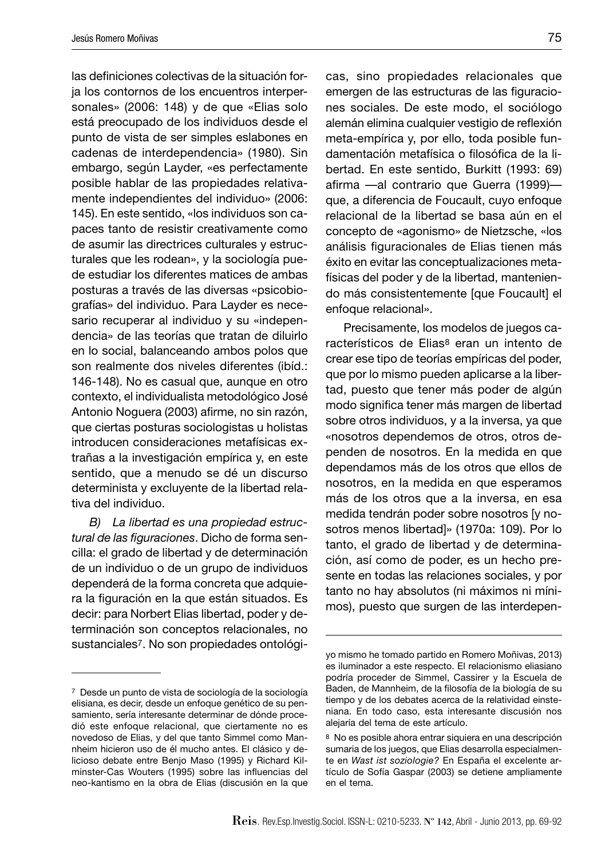las definiciones colectivas de la situación forja los contornos de los encuentros interpersonales» (2006: 148) y de que «Elias solo está preocupado de los individuos desde el punto de vista de ser simples eslabones en cadenas de interdependencia» (1980). Sin embargo, según Layder, «es perfectamente posible hablar de las propiedades relativamente independientes del individuo» (2006: 145). En este sentido, «los individuos son capaces tanto de resistir creativamente como de asumir las directrices culturales y estructurales que les rodean», y la sociología puede estudiar los diferentes matices de ambas posturas a través de las diversas «psicobiografías» del individuo. Para Layder es necesario recuperar al individuo y su «independencia» de las teorías que tratan de diluirlo en lo social, balanceando ambos polos que son realmente dos niveles diferentes (ibíd.: 146-148). No es casual que, aunque en otro contexto, el individualista metodológico José Antonio Noguera (2003) afirme, no sin razón, que ciertas posturas sociologistas u holistas introducen consideraciones metafísicas extrañas a la investigación empírica y, en este sentido, que a menudo se dé un discurso determinista y excluyente de la libertad relativa del individuo.

*B) La libertad es una propiedad estructural de las fi guraciones*. Dicho de forma sencilla: el grado de libertad y de determinación de un individuo o de un grupo de individuos dependerá de la forma concreta que adquiera la figuración en la que están situados. Es decir: para Norbert Elias libertad, poder y determinación son conceptos relacionales, no sustanciales7. No son propiedades ontológicas, sino propiedades relacionales que emergen de las estructuras de las figuraciones sociales. De este modo, el sociólogo alemán elimina cualquier vestigio de reflexión meta-empírica y, por ello, toda posible fundamentación metafísica o filosófica de la libertad. En este sentido, Burkitt (1993: 69) afirma —al contrario que Guerra (1999) que, a diferencia de Foucault, cuyo enfoque relacional de la libertad se basa aún en el concepto de «agonismo» de Nietzsche, «los análisis figuracionales de Elias tienen más éxito en evitar las conceptualizaciones metafísicas del poder y de la libertad, manteniendo más consistentemente [que Foucault] el enfoque relacional».

Precisamente, los modelos de juegos característicos de Elias8 eran un intento de crear ese tipo de teorías empíricas del poder, que por lo mismo pueden aplicarse a la libertad, puesto que tener más poder de algún modo significa tener más margen de libertad sobre otros individuos, y a la inversa, ya que «nosotros dependemos de otros, otros dependen de nosotros. En la medida en que dependamos más de los otros que ellos de nosotros, en la medida en que esperamos más de los otros que a la inversa, en esa medida tendrán poder sobre nosotros [y nosotros menos libertad]» (1970a: 109). Por lo tanto, el grado de libertad y de determinación, así como de poder, es un hecho presente en todas las relaciones sociales, y por tanto no hay absolutos (ni máximos ni mínimos), puesto que surgen de las interdepen-

<sup>7</sup> Desde un punto de vista de sociología de la sociología elisiana, es decir, desde un enfoque genético de su pensamiento, sería interesante determinar de dónde procedió este enfoque relacional, que ciertamente no es novedoso de Elias, y del que tanto Simmel como Mannheim hicieron uso de él mucho antes. El clásico y delicioso debate entre Benjo Maso (1995) y Richard Kilminster-Cas Wouters (1995) sobre las influencias del neo-kantismo en la obra de Elias (discusión en la que

yo mismo he tomado partido en Romero Moñivas, 2013) es iluminador a este respecto. El relacionismo eliasiano podría proceder de Simmel, Cassirer y la Escuela de Baden, de Mannheim, de la filosofía de la biología de su tiempo y de los debates acerca de la relatividad einsteniana. En todo caso, esta interesante discusión nos alejaría del tema de este artículo.

<sup>8</sup> No es posible ahora entrar siquiera en una descripción sumaria de los juegos, que Elias desarrolla especialmente en *Wast ist soziologie?* En España el excelente artículo de Sofía Gaspar (2003) se detiene ampliamente en el tema.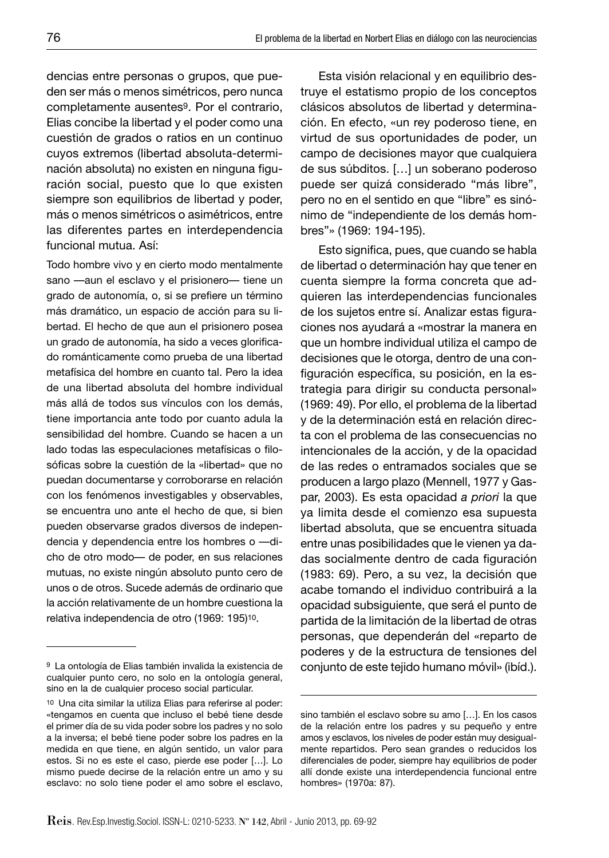dencias entre personas o grupos, que pueden ser más o menos simétricos, pero nunca completamente ausentes9. Por el contrario, Elias concibe la libertad y el poder como una cuestión de grados o ratios en un continuo cuyos extremos (libertad absoluta-determinación absoluta) no existen en ninguna figuración social, puesto que lo que existen siempre son equilibrios de libertad y poder, más o menos simétricos o asimétricos, entre las diferentes partes en interdependencia funcional mutua. Así:

Todo hombre vivo y en cierto modo mentalmente sano —aun el esclavo y el prisionero— tiene un grado de autonomía, o, si se prefiere un término más dramático, un espacio de acción para su libertad. El hecho de que aun el prisionero posea un grado de autonomía, ha sido a veces glorificado románticamente como prueba de una libertad metafísica del hombre en cuanto tal. Pero la idea de una libertad absoluta del hombre individual más allá de todos sus vínculos con los demás, tiene importancia ante todo por cuanto adula la sensibilidad del hombre. Cuando se hacen a un lado todas las especulaciones metafísicas o filosóficas sobre la cuestión de la «libertad» que no puedan documentarse y corroborarse en relación con los fenómenos investigables y observables, se encuentra uno ante el hecho de que, si bien pueden observarse grados diversos de independencia y dependencia entre los hombres o —dicho de otro modo— de poder, en sus relaciones mutuas, no existe ningún absoluto punto cero de unos o de otros. Sucede además de ordinario que la acción relativamente de un hombre cuestiona la relativa independencia de otro (1969: 195)10.

Esta visión relacional y en equilibrio destruye el estatismo propio de los conceptos clásicos absolutos de libertad y determinación. En efecto, «un rey poderoso tiene, en virtud de sus oportunidades de poder, un campo de decisiones mayor que cualquiera de sus súbditos. […] un soberano poderoso puede ser quizá considerado "más libre", pero no en el sentido en que "libre" es sinónimo de "independiente de los demás hombres"» (1969: 194-195).

Esto significa, pues, que cuando se habla de libertad o determinación hay que tener en cuenta siempre la forma concreta que adquieren las interdependencias funcionales de los sujetos entre sí. Analizar estas figuraciones nos ayudará a «mostrar la manera en que un hombre individual utiliza el campo de decisiones que le otorga, dentro de una configuración específica, su posición, en la estrategia para dirigir su conducta personal» (1969: 49). Por ello, el problema de la libertad y de la determinación está en relación directa con el problema de las consecuencias no intencionales de la acción, y de la opacidad de las redes o entramados sociales que se producen a largo plazo (Mennell, 1977 y Gaspar, 2003). Es esta opacidad *a priori* la que ya limita desde el comienzo esa supuesta libertad absoluta, que se encuentra situada entre unas posibilidades que le vienen ya dadas socialmente dentro de cada figuración (1983: 69). Pero, a su vez, la decisión que acabe tomando el individuo contribuirá a la opacidad subsiguiente, que será el punto de partida de la limitación de la libertad de otras personas, que dependerán del «reparto de poderes y de la estructura de tensiones del conjunto de este tejido humano móvil» (ibíd.).

<sup>9</sup> La ontología de Elias también invalida la existencia de cualquier punto cero, no solo en la ontología general, sino en la de cualquier proceso social particular.

<sup>10</sup> Una cita similar la utiliza Elias para referirse al poder: «tengamos en cuenta que incluso el bebé tiene desde el primer día de su vida poder sobre los padres y no solo a la inversa; el bebé tiene poder sobre los padres en la medida en que tiene, en algún sentido, un valor para estos. Si no es este el caso, pierde ese poder […]. Lo mismo puede decirse de la relación entre un amo y su esclavo: no solo tiene poder el amo sobre el esclavo,

sino también el esclavo sobre su amo […]. En los casos de la relación entre los padres y su pequeño y entre amos y esclavos, los niveles de poder están muy desigualmente repartidos. Pero sean grandes o reducidos los diferenciales de poder, siempre hay equilibrios de poder allí donde existe una interdependencia funcional entre hombres» (1970a: 87).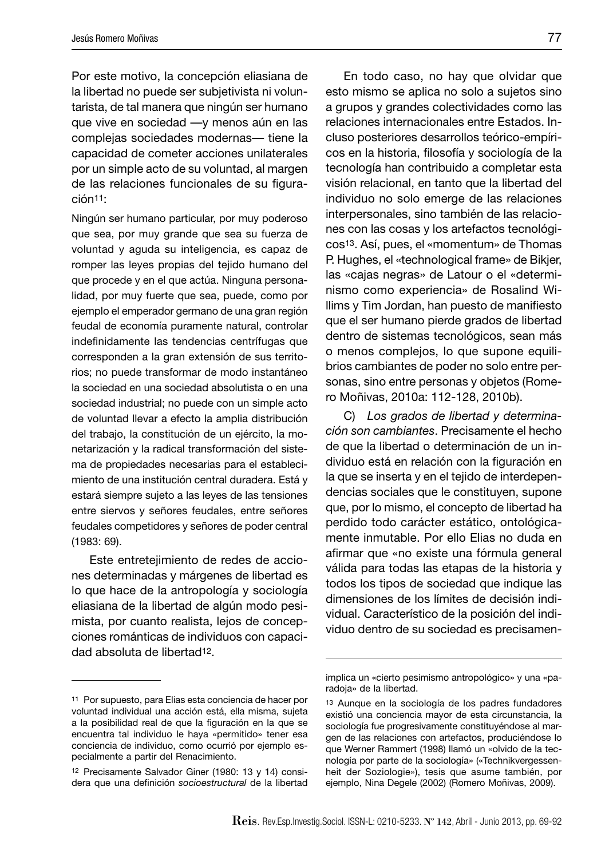Por este motivo, la concepción eliasiana de la libertad no puede ser subjetivista ni voluntarista, de tal manera que ningún ser humano que vive en sociedad —y menos aún en las complejas sociedades modernas— tiene la capacidad de cometer acciones unilaterales por un simple acto de su voluntad, al margen de las relaciones funcionales de su figuración11:

Ningún ser humano particular, por muy poderoso que sea, por muy grande que sea su fuerza de voluntad y aguda su inteligencia, es capaz de romper las leyes propias del tejido humano del que procede y en el que actúa. Ninguna personalidad, por muy fuerte que sea, puede, como por ejemplo el emperador germano de una gran región feudal de economía puramente natural, controlar indefinidamente las tendencias centrífugas que corresponden a la gran extensión de sus territorios; no puede transformar de modo instantáneo la sociedad en una sociedad absolutista o en una sociedad industrial; no puede con un simple acto de voluntad llevar a efecto la amplia distribución del trabajo, la constitución de un ejército, la monetarización y la radical transformación del sistema de propiedades necesarias para el establecimiento de una institución central duradera. Está y estará siempre sujeto a las leyes de las tensiones entre siervos y señores feudales, entre señores feudales competidores y señores de poder central (1983: 69).

Este entretejimiento de redes de acciones determinadas y márgenes de libertad es lo que hace de la antropología y sociología eliasiana de la libertad de algún modo pesimista, por cuanto realista, lejos de concepciones románticas de individuos con capacidad absoluta de libertad12.

En todo caso, no hay que olvidar que esto mismo se aplica no solo a sujetos sino a grupos y grandes colectividades como las relaciones internacionales entre Estados. Incluso posteriores desarrollos teórico-empíricos en la historia, filosofía y sociología de la tecnología han contribuido a completar esta visión relacional, en tanto que la libertad del individuo no solo emerge de las relaciones interpersonales, sino también de las relaciones con las cosas y los artefactos tecnológicos13. Así, pues, el «momentum» de Thomas P. Hughes, el «technological frame» de Bikjer, las «cajas negras» de Latour o el «determinismo como experiencia» de Rosalind Wi-Ilims y Tim Jordan, han puesto de manifiesto que el ser humano pierde grados de libertad dentro de sistemas tecnológicos, sean más o menos complejos, lo que supone equilibrios cambiantes de poder no solo entre personas, sino entre personas y objetos (Romero Moñivas, 2010a: 112-128, 2010b).

C) *Los grados de libertad y determinación son cambiantes*. Precisamente el hecho de que la libertad o determinación de un individuo está en relación con la figuración en la que se inserta y en el tejido de interdependencias sociales que le constituyen, supone que, por lo mismo, el concepto de libertad ha perdido todo carácter estático, ontológicamente inmutable. Por ello Elias no duda en afirmar que «no existe una fórmula general válida para todas las etapas de la historia y todos los tipos de sociedad que indique las dimensiones de los límites de decisión individual. Característico de la posición del individuo dentro de su sociedad es precisamen-

<sup>11</sup> Por supuesto, para Elias esta conciencia de hacer por voluntad individual una acción está, ella misma, sujeta a la posibilidad real de que la figuración en la que se encuentra tal individuo le haya «permitido» tener esa conciencia de individuo, como ocurrió por ejemplo especialmente a partir del Renacimiento.

<sup>12</sup> Precisamente Salvador Giner (1980: 13 y 14) considera que una definición *socioestructural* de la libertad

implica un «cierto pesimismo antropológico» y una «paradoja» de la libertad.

<sup>13</sup> Aunque en la sociología de los padres fundadores existió una conciencia mayor de esta circunstancia, la sociología fue progresivamente constituyéndose al margen de las relaciones con artefactos, produciéndose lo que Werner Rammert (1998) llamó un «olvido de la tecnología por parte de la sociología» («Technikvergessenheit der Soziologie»), tesis que asume también, por ejemplo, Nina Degele (2002) (Romero Moñivas, 2009).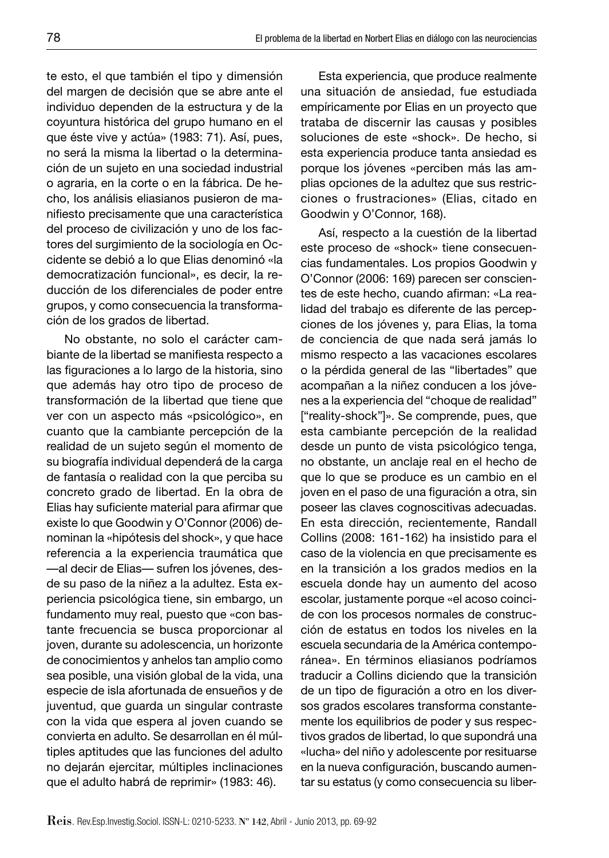te esto, el que también el tipo y dimensión del margen de decisión que se abre ante el individuo dependen de la estructura y de la coyuntura histórica del grupo humano en el que éste vive y actúa» (1983: 71). Así, pues, no será la misma la libertad o la determinación de un sujeto en una sociedad industrial o agraria, en la corte o en la fábrica. De hecho, los análisis eliasianos pusieron de manifiesto precisamente que una característica del proceso de civilización y uno de los factores del surgimiento de la sociología en Occidente se debió a lo que Elias denominó «la democratización funcional», es decir, la reducción de los diferenciales de poder entre grupos, y como consecuencia la transformación de los grados de libertad.

No obstante, no solo el carácter cambiante de la libertad se manifiesta respecto a las figuraciones a lo largo de la historia, sino que además hay otro tipo de proceso de transformación de la libertad que tiene que ver con un aspecto más «psicológico», en cuanto que la cambiante percepción de la realidad de un sujeto según el momento de su biografía individual dependerá de la carga de fantasía o realidad con la que perciba su concreto grado de libertad. En la obra de Elias hay suficiente material para afirmar que existe lo que Goodwin y O'Connor (2006) denominan la «hipótesis del shock», y que hace referencia a la experiencia traumática que —al decir de Elias— sufren los jóvenes, desde su paso de la niñez a la adultez. Esta experiencia psicológica tiene, sin embargo, un fundamento muy real, puesto que «con bastante frecuencia se busca proporcionar al joven, durante su adolescencia, un horizonte de conocimientos y anhelos tan amplio como sea posible, una visión global de la vida, una especie de isla afortunada de ensueños y de juventud, que guarda un singular contraste con la vida que espera al joven cuando se convierta en adulto. Se desarrollan en él múltiples aptitudes que las funciones del adulto no dejarán ejercitar, múltiples inclinaciones que el adulto habrá de reprimir» (1983: 46).

Esta experiencia, que produce realmente una situación de ansiedad, fue estudiada empíricamente por Elias en un proyecto que trataba de discernir las causas y posibles soluciones de este «shock». De hecho, si esta experiencia produce tanta ansiedad es porque los jóvenes «perciben más las amplias opciones de la adultez que sus restricciones o frustraciones» (Elias, citado en Goodwin y O'Connor, 168).

Así, respecto a la cuestión de la libertad este proceso de «shock» tiene consecuencias fundamentales. Los propios Goodwin y O'Connor (2006: 169) parecen ser conscientes de este hecho, cuando afirman: «La realidad del trabajo es diferente de las percepciones de los jóvenes y, para Elias, la toma de conciencia de que nada será jamás lo mismo respecto a las vacaciones escolares o la pérdida general de las "libertades" que acompañan a la niñez conducen a los jóvenes a la experiencia del "choque de realidad" ["reality-shock"]». Se comprende, pues, que esta cambiante percepción de la realidad desde un punto de vista psicológico tenga, no obstante, un anclaje real en el hecho de que lo que se produce es un cambio en el joven en el paso de una figuración a otra, sin poseer las claves cognoscitivas adecuadas. En esta dirección, recientemente, Randall Collins (2008: 161-162) ha insistido para el caso de la violencia en que precisamente es en la transición a los grados medios en la escuela donde hay un aumento del acoso escolar, justamente porque «el acoso coincide con los procesos normales de construcción de estatus en todos los niveles en la escuela secundaria de la América contemporánea». En términos eliasianos podríamos traducir a Collins diciendo que la transición de un tipo de figuración a otro en los diversos grados escolares transforma constantemente los equilibrios de poder y sus respectivos grados de libertad, lo que supondrá una «lucha» del niño y adolescente por resituarse en la nueva configuración, buscando aumentar su estatus (y como consecuencia su liber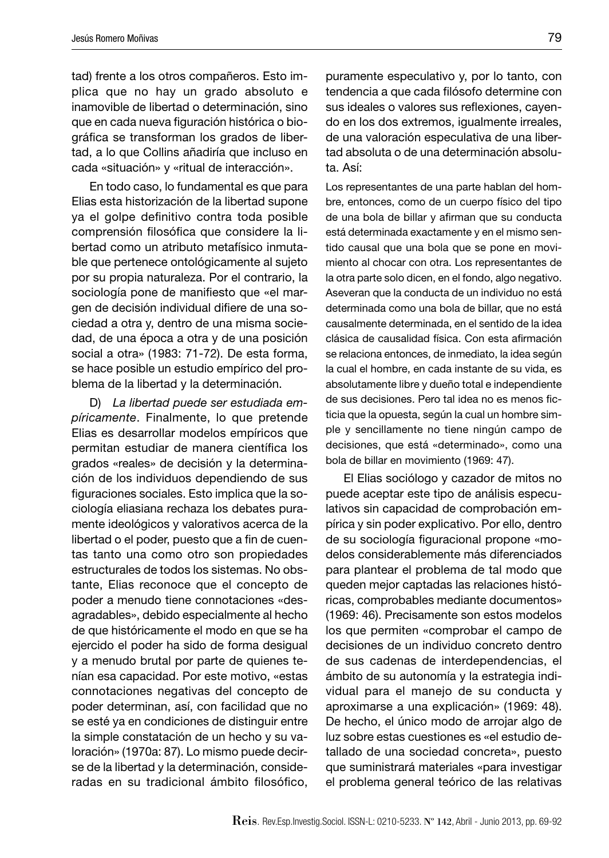tad) frente a los otros compañeros. Esto implica que no hay un grado absoluto e inamovible de libertad o determinación, sino que en cada nueva figuración histórica o biográfica se transforman los grados de libertad, a lo que Collins añadiría que incluso en cada «situación» y «ritual de interacción».

En todo caso, lo fundamental es que para Elias esta historización de la libertad supone ya el golpe definitivo contra toda posible comprensión filosófica que considere la libertad como un atributo metafísico inmutable que pertenece ontológicamente al sujeto por su propia naturaleza. Por el contrario, la sociología pone de manifiesto que «el margen de decisión individual difiere de una sociedad a otra y, dentro de una misma sociedad, de una época a otra y de una posición social a otra» (1983: 71-72). De esta forma, se hace posible un estudio empírico del problema de la libertad y la determinación.

D) *La libertad puede ser estudiada empíricamente*. Finalmente, lo que pretende Elias es desarrollar modelos empíricos que permitan estudiar de manera científica los grados «reales» de decisión y la determinación de los individuos dependiendo de sus figuraciones sociales. Esto implica que la sociología eliasiana rechaza los debates puramente ideológicos y valorativos acerca de la libertad o el poder, puesto que a fin de cuentas tanto una como otro son propiedades estructurales de todos los sistemas. No obstante, Elias reconoce que el concepto de poder a menudo tiene connotaciones «desagradables», debido especialmente al hecho de que históricamente el modo en que se ha ejercido el poder ha sido de forma desigual y a menudo brutal por parte de quienes tenían esa capacidad. Por este motivo, «estas connotaciones negativas del concepto de poder determinan, así, con facilidad que no se esté ya en condiciones de distinguir entre la simple constatación de un hecho y su valoración» (1970a: 87). Lo mismo puede decirse de la libertad y la determinación, consideradas en su tradicional ámbito filosófico,

puramente especulativo y, por lo tanto, con tendencia a que cada filósofo determine con sus ideales o valores sus reflexiones, cayendo en los dos extremos, igualmente irreales, de una valoración especulativa de una libertad absoluta o de una determinación absoluta. Así:

Los representantes de una parte hablan del hombre, entonces, como de un cuerpo físico del tipo de una bola de billar y afirman que su conducta está determinada exactamente y en el mismo sentido causal que una bola que se pone en movimiento al chocar con otra. Los representantes de la otra parte solo dicen, en el fondo, algo negativo. Aseveran que la conducta de un individuo no está determinada como una bola de billar, que no está causalmente determinada, en el sentido de la idea clásica de causalidad física. Con esta afirmación se relaciona entonces, de inmediato, la idea según la cual el hombre, en cada instante de su vida, es absolutamente libre y dueño total e independiente de sus decisiones. Pero tal idea no es menos ficticia que la opuesta, según la cual un hombre simple y sencillamente no tiene ningún campo de decisiones, que está «determinado», como una bola de billar en movimiento (1969: 47).

El Elias sociólogo y cazador de mitos no puede aceptar este tipo de análisis especulativos sin capacidad de comprobación empírica y sin poder explicativo. Por ello, dentro de su sociología figuracional propone «modelos considerablemente más diferenciados para plantear el problema de tal modo que queden mejor captadas las relaciones históricas, comprobables mediante documentos» (1969: 46). Precisamente son estos modelos los que permiten «comprobar el campo de decisiones de un individuo concreto dentro de sus cadenas de interdependencias, el ámbito de su autonomía y la estrategia individual para el manejo de su conducta y aproximarse a una explicación» (1969: 48). De hecho, el único modo de arrojar algo de luz sobre estas cuestiones es «el estudio detallado de una sociedad concreta», puesto que suministrará materiales «para investigar el problema general teórico de las relativas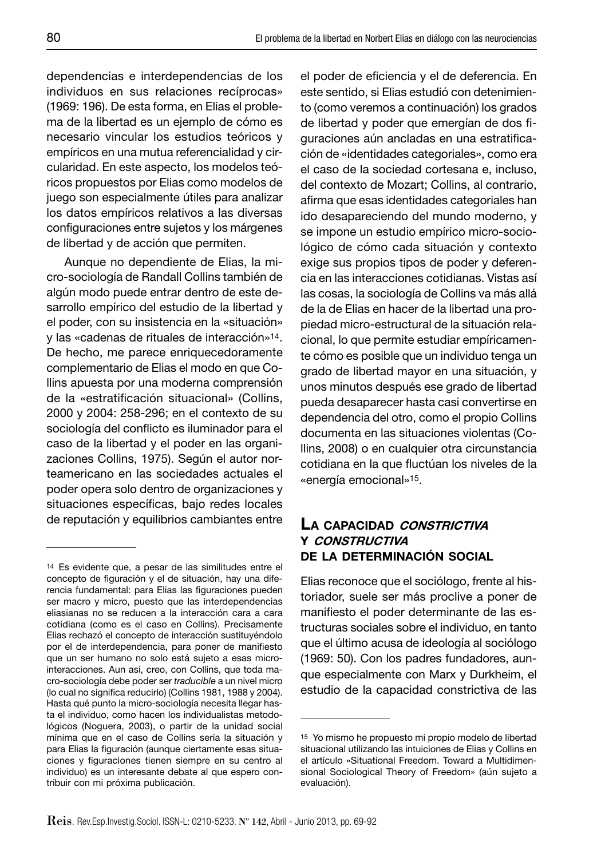dependencias e interdependencias de los individuos en sus relaciones recíprocas» (1969: 196). De esta forma, en Elias el problema de la libertad es un ejemplo de cómo es necesario vincular los estudios teóricos y empíricos en una mutua referencialidad y circularidad. En este aspecto, los modelos teóricos propuestos por Elias como modelos de juego son especialmente útiles para analizar los datos empíricos relativos a las diversas configuraciones entre sujetos y los márgenes de libertad y de acción que permiten.

Aunque no dependiente de Elias, la micro-sociología de Randall Collins también de algún modo puede entrar dentro de este desarrollo empírico del estudio de la libertad y el poder, con su insistencia en la «situación» y las «cadenas de rituales de interacción»14. De hecho, me parece enriquecedoramente complementario de Elias el modo en que Collins apuesta por una moderna comprensión de la «estratificación situacional» (Collins, 2000 y 2004: 258-296; en el contexto de su sociología del conflicto es iluminador para el caso de la libertad y el poder en las organizaciones Collins, 1975). Según el autor norteamericano en las sociedades actuales el poder opera solo dentro de organizaciones y situaciones específicas, bajo redes locales de reputación y equilibrios cambiantes entre

el poder de eficiencia y el de deferencia. En este sentido, si Elias estudió con detenimiento (como veremos a continuación) los grados de libertad y poder que emergían de dos figuraciones aún ancladas en una estratificación de «identidades categoriales», como era el caso de la sociedad cortesana e, incluso, del contexto de Mozart; Collins, al contrario, afirma que esas identidades categoriales han ido desapareciendo del mundo moderno, y se impone un estudio empírico micro-sociológico de cómo cada situación y contexto exige sus propios tipos de poder y deferencia en las interacciones cotidianas. Vistas así las cosas, la sociología de Collins va más allá de la de Elias en hacer de la libertad una propiedad micro-estructural de la situación relacional, lo que permite estudiar empíricamente cómo es posible que un individuo tenga un grado de libertad mayor en una situación, y unos minutos después ese grado de libertad pueda desaparecer hasta casi convertirse en dependencia del otro, como el propio Collins documenta en las situaciones violentas (Collins, 2008) o en cualquier otra circunstancia cotidiana en la que fluctúan los niveles de la «energía emocional»15.

### **LA CAPACIDAD CONSTRICTIVA Y CONSTRUCTIVA DE LA DETERMINACIÓN SOCIAL**

Elias reconoce que el sociólogo, frente al historiador, suele ser más proclive a poner de manifiesto el poder determinante de las estructuras sociales sobre el individuo, en tanto que el último acusa de ideología al sociólogo (1969: 50). Con los padres fundadores, aunque especialmente con Marx y Durkheim, el estudio de la capacidad constrictiva de las

<sup>14</sup> Es evidente que, a pesar de las similitudes entre el concepto de figuración y el de situación, hay una diferencia fundamental: para Elias las figuraciones pueden ser macro y micro, puesto que las interdependencias eliasianas no se reducen a la interacción cara a cara cotidiana (como es el caso en Collins). Precisamente Elias rechazó el concepto de interacción sustituyéndolo por el de interdependencia, para poner de manifiesto que un ser humano no solo está sujeto a esas microinteracciones. Aun así, creo, con Collins, que toda macro-sociología debe poder ser *traducible* a un nivel micro (lo cual no significa reducirlo) (Collins 1981, 1988 y 2004). Hasta qué punto la micro-sociología necesita llegar hasta el individuo, como hacen los individualistas metodológicos (Noguera, 2003), o partir de la unidad social mínima que en el caso de Collins sería la situación y para Elias la figuración (aunque ciertamente esas situaciones y figuraciones tienen siempre en su centro al individuo) es un interesante debate al que espero contribuir con mi próxima publicación.

<sup>15</sup> Yo mismo he propuesto mi propio modelo de libertad situacional utilizando las intuiciones de Elias y Collins en el artículo «Situational Freedom. Toward a Multidimensional Sociological Theory of Freedom» (aún sujeto a evaluación).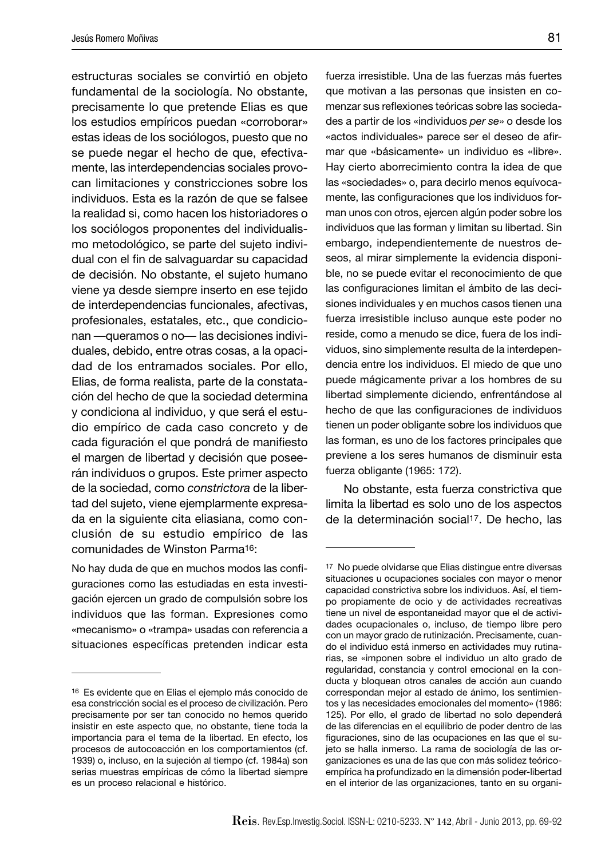estructuras sociales se convirtió en objeto fundamental de la sociología. No obstante, precisamente lo que pretende Elias es que los estudios empíricos puedan «corroborar» estas ideas de los sociólogos, puesto que no se puede negar el hecho de que, efectivamente, las interdependencias sociales provocan limitaciones y constricciones sobre los individuos. Esta es la razón de que se falsee la realidad si, como hacen los historiadores o los sociólogos proponentes del individualismo metodológico, se parte del sujeto individual con el fin de salvaguardar su capacidad de decisión. No obstante, el sujeto humano viene ya desde siempre inserto en ese tejido de interdependencias funcionales, afectivas, profesionales, estatales, etc., que condicionan —queramos o no— las decisiones individuales, debido, entre otras cosas, a la opacidad de los entramados sociales. Por ello, Elias, de forma realista, parte de la constatación del hecho de que la sociedad determina y condiciona al individuo, y que será el estudio empírico de cada caso concreto y de cada figuración el que pondrá de manifiesto el margen de libertad y decisión que poseerán individuos o grupos. Este primer aspecto de la sociedad, como *constrictora* de la libertad del sujeto, viene ejemplarmente expresada en la siguiente cita eliasiana, como conclusión de su estudio empírico de las comunidades de Winston Parma16:

No hay duda de que en muchos modos las configuraciones como las estudiadas en esta investigación ejercen un grado de compulsión sobre los individuos que las forman. Expresiones como «mecanismo» o «trampa» usadas con referencia a situaciones específicas pretenden indicar esta fuerza irresistible. Una de las fuerzas más fuertes que motivan a las personas que insisten en comenzar sus reflexiones teóricas sobre las sociedades a partir de los «individuos *per se*» o desde los «actos individuales» parece ser el deseo de afirmar que «básicamente» un individuo es «libre». Hay cierto aborrecimiento contra la idea de que las «sociedades» o, para decirlo menos equívocamente, las configuraciones que los individuos forman unos con otros, ejercen algún poder sobre los individuos que las forman y limitan su libertad. Sin embargo, independientemente de nuestros deseos, al mirar simplemente la evidencia disponible, no se puede evitar el reconocimiento de que las configuraciones limitan el ámbito de las decisiones individuales y en muchos casos tienen una fuerza irresistible incluso aunque este poder no reside, como a menudo se dice, fuera de los individuos, sino simplemente resulta de la interdependencia entre los individuos. El miedo de que uno puede mágicamente privar a los hombres de su libertad simplemente diciendo, enfrentándose al hecho de que las configuraciones de individuos tienen un poder obligante sobre los individuos que las forman, es uno de los factores principales que previene a los seres humanos de disminuir esta fuerza obligante (1965: 172).

No obstante, esta fuerza constrictiva que limita la libertad es solo uno de los aspectos de la determinación social<sup>17</sup>. De hecho, las

<sup>16</sup> Es evidente que en Elias el ejemplo más conocido de esa constricción social es el proceso de civilización. Pero precisamente por ser tan conocido no hemos querido insistir en este aspecto que, no obstante, tiene toda la importancia para el tema de la libertad. En efecto, los procesos de autocoacción en los comportamientos (cf. 1939) o, incluso, en la sujeción al tiempo (cf. 1984a) son serias muestras empíricas de cómo la libertad siempre es un proceso relacional e histórico.

<sup>17</sup> No puede olvidarse que Elias distingue entre diversas situaciones u ocupaciones sociales con mayor o menor capacidad constrictiva sobre los individuos. Así, el tiempo propiamente de ocio y de actividades recreativas tiene un nivel de espontaneidad mayor que el de actividades ocupacionales o, incluso, de tiempo libre pero con un mayor grado de rutinización. Precisamente, cuando el individuo está inmerso en actividades muy rutinarias, se «imponen sobre el individuo un alto grado de regularidad, constancia y control emocional en la conducta y bloquean otros canales de acción aun cuando correspondan mejor al estado de ánimo, los sentimientos y las necesidades emocionales del momento» (1986: 125). Por ello, el grado de libertad no solo dependerá de las diferencias en el equilibrio de poder dentro de las figuraciones, sino de las ocupaciones en las que el sujeto se halla inmerso. La rama de sociología de las organizaciones es una de las que con más solidez teóricoempírica ha profundizado en la dimensión poder-libertad en el interior de las organizaciones, tanto en su organi-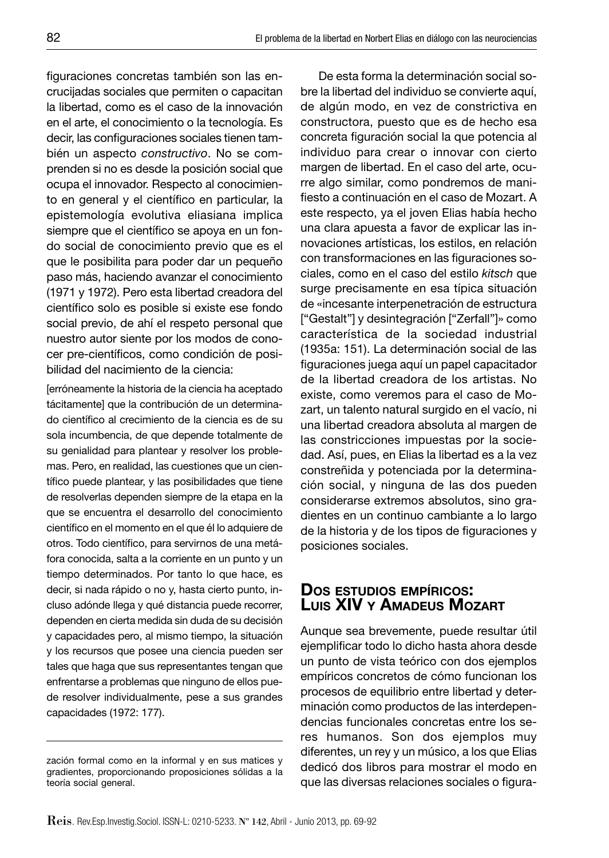figuraciones concretas también son las encrucijadas sociales que permiten o capacitan la libertad, como es el caso de la innovación en el arte, el conocimiento o la tecnología. Es decir, las configuraciones sociales tienen también un aspecto *constructivo*. No se comprenden si no es desde la posición social que ocupa el innovador. Respecto al conocimiento en general y el científico en particular, la epistemología evolutiva eliasiana implica siempre que el científico se apoya en un fondo social de conocimiento previo que es el que le posibilita para poder dar un pequeño paso más, haciendo avanzar el conocimiento (1971 y 1972). Pero esta libertad creadora del científico solo es posible si existe ese fondo social previo, de ahí el respeto personal que nuestro autor siente por los modos de conocer pre-científicos, como condición de posibilidad del nacimiento de la ciencia:

[erróneamente la historia de la ciencia ha aceptado tácitamente] que la contribución de un determinado científico al crecimiento de la ciencia es de su sola incumbencia, de que depende totalmente de su genialidad para plantear y resolver los problemas. Pero, en realidad, las cuestiones que un científico puede plantear, y las posibilidades que tiene de resolverlas dependen siempre de la etapa en la que se encuentra el desarrollo del conocimiento científico en el momento en el que él lo adquiere de otros. Todo científico, para servirnos de una metáfora conocida, salta a la corriente en un punto y un tiempo determinados. Por tanto lo que hace, es decir, si nada rápido o no y, hasta cierto punto, incluso adónde llega y qué distancia puede recorrer, dependen en cierta medida sin duda de su decisión y capacidades pero, al mismo tiempo, la situación y los recursos que posee una ciencia pueden ser tales que haga que sus representantes tengan que enfrentarse a problemas que ninguno de ellos puede resolver individualmente, pese a sus grandes capacidades (1972: 177).

De esta forma la determinación social sobre la libertad del individuo se convierte aquí, de algún modo, en vez de constrictiva en constructora, puesto que es de hecho esa concreta figuración social la que potencia al individuo para crear o innovar con cierto margen de libertad. En el caso del arte, ocurre algo similar, como pondremos de manifiesto a continuación en el caso de Mozart. A este respecto, ya el joven Elias había hecho una clara apuesta a favor de explicar las innovaciones artísticas, los estilos, en relación con transformaciones en las figuraciones sociales, como en el caso del estilo *kitsch* que surge precisamente en esa típica situación de «incesante interpenetración de estructura ["Gestalt"] y desintegración ["Zerfall"]» como característica de la sociedad industrial (1935a: 151). La determinación social de las figuraciones juega aquí un papel capacitador de la libertad creadora de los artistas. No existe, como veremos para el caso de Mozart, un talento natural surgido en el vacío, ni una libertad creadora absoluta al margen de las constricciones impuestas por la sociedad. Así, pues, en Elias la libertad es a la vez constreñida y potenciada por la determinación social, y ninguna de las dos pueden considerarse extremos absolutos, sino gradientes en un continuo cambiante a lo largo de la historia y de los tipos de figuraciones y posiciones sociales.

## **DOS ESTUDIOS EMPÍRICOS: LUIS XIV Y AMADEUS MOZART**

Aunque sea brevemente, puede resultar útil ejemplificar todo lo dicho hasta ahora desde un punto de vista teórico con dos ejemplos empíricos concretos de cómo funcionan los procesos de equilibrio entre libertad y determinación como productos de las interdependencias funcionales concretas entre los seres humanos. Son dos ejemplos muy diferentes, un rey y un músico, a los que Elias dedicó dos libros para mostrar el modo en que las diversas relaciones sociales o figura-

zación formal como en la informal y en sus matices y gradientes, proporcionando proposiciones sólidas a la teoría social general.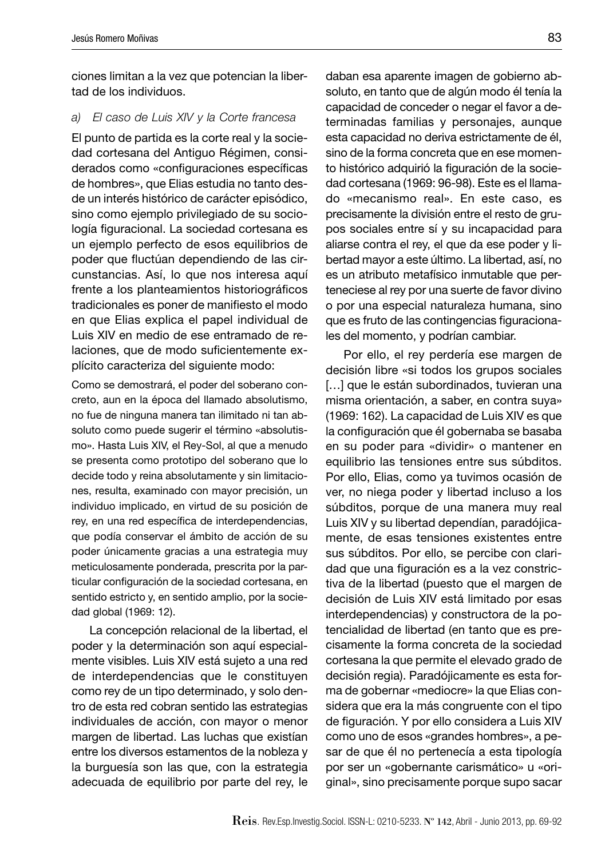ciones limitan a la vez que potencian la libertad de los individuos.

#### *a) El caso de Luis XIV y la Corte francesa*

El punto de partida es la corte real y la sociedad cortesana del Antiguo Régimen, considerados como «configuraciones específicas de hombres», que Elias estudia no tanto desde un interés histórico de carácter episódico, sino como ejemplo privilegiado de su sociología figuracional. La sociedad cortesana es un ejemplo perfecto de esos equilibrios de poder que fluctúan dependiendo de las circunstancias. Así, lo que nos interesa aquí frente a los planteamientos historiográficos tradicionales es poner de manifiesto el modo en que Elias explica el papel individual de Luis XIV en medio de ese entramado de relaciones, que de modo suficientemente explícito caracteriza del siguiente modo:

Como se demostrará, el poder del soberano concreto, aun en la época del llamado absolutismo, no fue de ninguna manera tan ilimitado ni tan absoluto como puede sugerir el término «absolutismo». Hasta Luis XIV, el Rey-Sol, al que a menudo se presenta como prototipo del soberano que lo decide todo y reina absolutamente y sin limitaciones, resulta, examinado con mayor precisión, un individuo implicado, en virtud de su posición de rey, en una red específica de interdependencias, que podía conservar el ámbito de acción de su poder únicamente gracias a una estrategia muy meticulosamente ponderada, prescrita por la particular configuración de la sociedad cortesana, en sentido estricto y, en sentido amplio, por la sociedad global (1969: 12).

La concepción relacional de la libertad, el poder y la determinación son aquí especialmente visibles. Luis XIV está sujeto a una red de interdependencias que le constituyen como rey de un tipo determinado, y solo dentro de esta red cobran sentido las estrategias individuales de acción, con mayor o menor margen de libertad. Las luchas que existían entre los diversos estamentos de la nobleza y la burguesía son las que, con la estrategia adecuada de equilibrio por parte del rey, le

daban esa aparente imagen de gobierno absoluto, en tanto que de algún modo él tenía la capacidad de conceder o negar el favor a determinadas familias y personajes, aunque esta capacidad no deriva estrictamente de él, sino de la forma concreta que en ese momento histórico adquirió la figuración de la sociedad cortesana (1969: 96-98). Este es el llamado «mecanismo real». En este caso, es precisamente la división entre el resto de grupos sociales entre sí y su incapacidad para aliarse contra el rey, el que da ese poder y libertad mayor a este último. La libertad, así, no es un atributo metafísico inmutable que perteneciese al rey por una suerte de favor divino o por una especial naturaleza humana, sino que es fruto de las contingencias figuracionales del momento, y podrían cambiar.

Por ello, el rey perdería ese margen de decisión libre «si todos los grupos sociales [...] que le están subordinados, tuvieran una misma orientación, a saber, en contra suya» (1969: 162). La capacidad de Luis XIV es que la configuración que él gobernaba se basaba en su poder para «dividir» o mantener en equilibrio las tensiones entre sus súbditos. Por ello, Elias, como ya tuvimos ocasión de ver, no niega poder y libertad incluso a los súbditos, porque de una manera muy real Luis XIV y su libertad dependían, paradójicamente, de esas tensiones existentes entre sus súbditos. Por ello, se percibe con claridad que una figuración es a la vez constrictiva de la libertad (puesto que el margen de decisión de Luis XIV está limitado por esas interdependencias) y constructora de la potencialidad de libertad (en tanto que es precisamente la forma concreta de la sociedad cortesana la que permite el elevado grado de decisión regia). Paradójicamente es esta forma de gobernar «mediocre» la que Elias considera que era la más congruente con el tipo de figuración. Y por ello considera a Luis XIV como uno de esos «grandes hombres», a pesar de que él no pertenecía a esta tipología por ser un «gobernante carismático» u «original», sino precisamente porque supo sacar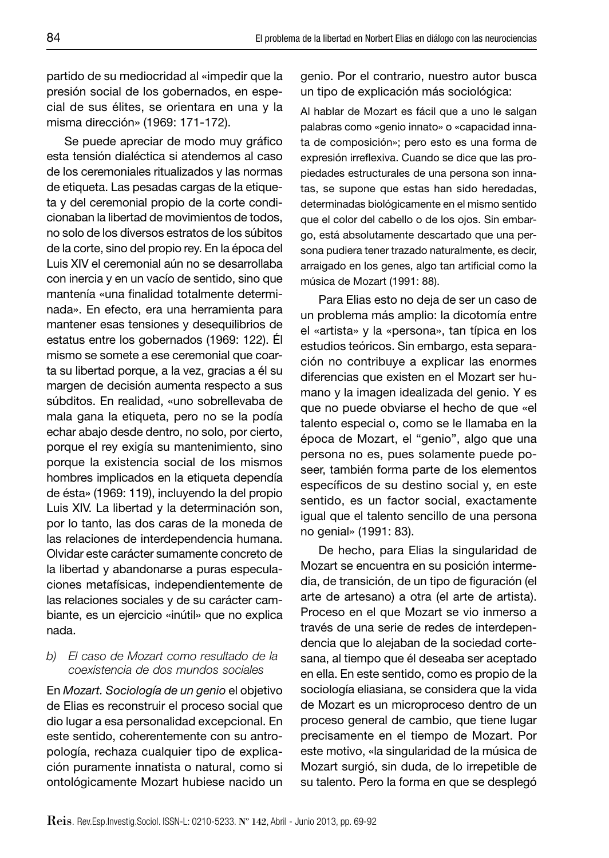partido de su mediocridad al «impedir que la presión social de los gobernados, en especial de sus élites, se orientara en una y la misma dirección» (1969: 171-172).

Se puede apreciar de modo muy gráfico esta tensión dialéctica si atendemos al caso de los ceremoniales ritualizados y las normas de etiqueta. Las pesadas cargas de la etiqueta y del ceremonial propio de la corte condicionaban la libertad de movimientos de todos, no solo de los diversos estratos de los súbitos de la corte, sino del propio rey. En la época del Luis XIV el ceremonial aún no se desarrollaba con inercia y en un vacío de sentido, sino que mantenía «una finalidad totalmente determinada». En efecto, era una herramienta para mantener esas tensiones y desequilibrios de estatus entre los gobernados (1969: 122). Él mismo se somete a ese ceremonial que coarta su libertad porque, a la vez, gracias a él su margen de decisión aumenta respecto a sus súbditos. En realidad, «uno sobrellevaba de mala gana la etiqueta, pero no se la podía echar abajo desde dentro, no solo, por cierto, porque el rey exigía su mantenimiento, sino porque la existencia social de los mismos hombres implicados en la etiqueta dependía de ésta» (1969: 119), incluyendo la del propio Luis XIV. La libertad y la determinación son, por lo tanto, las dos caras de la moneda de las relaciones de interdependencia humana. Olvidar este carácter sumamente concreto de la libertad y abandonarse a puras especulaciones metafísicas, independientemente de las relaciones sociales y de su carácter cambiante, es un ejercicio «inútil» que no explica nada.

#### *b) El caso de Mozart como resultado de la coexistencia de dos mundos sociales*

En *Mozart. Sociología de un genio* el objetivo de Elias es reconstruir el proceso social que dio lugar a esa personalidad excepcional. En este sentido, coherentemente con su antropología, rechaza cualquier tipo de explicación puramente innatista o natural, como si ontológicamente Mozart hubiese nacido un genio. Por el contrario, nuestro autor busca un tipo de explicación más sociológica:

Al hablar de Mozart es fácil que a uno le salgan palabras como «genio innato» o «capacidad innata de composición»; pero esto es una forma de expresión irreflexiva. Cuando se dice que las propiedades estructurales de una persona son innatas, se supone que estas han sido heredadas, determinadas biológicamente en el mismo sentido que el color del cabello o de los ojos. Sin embargo, está absolutamente descartado que una persona pudiera tener trazado naturalmente, es decir, arraigado en los genes, algo tan artificial como la música de Mozart (1991: 88).

Para Elias esto no deja de ser un caso de un problema más amplio: la dicotomía entre el «artista» y la «persona», tan típica en los estudios teóricos. Sin embargo, esta separación no contribuye a explicar las enormes diferencias que existen en el Mozart ser humano y la imagen idealizada del genio. Y es que no puede obviarse el hecho de que «el talento especial o, como se le llamaba en la época de Mozart, el "genio", algo que una persona no es, pues solamente puede poseer, también forma parte de los elementos específicos de su destino social y, en este sentido, es un factor social, exactamente igual que el talento sencillo de una persona no genial» (1991: 83).

De hecho, para Elias la singularidad de Mozart se encuentra en su posición intermedia, de transición, de un tipo de figuración (el arte de artesano) a otra (el arte de artista). Proceso en el que Mozart se vio inmerso a través de una serie de redes de interdependencia que lo alejaban de la sociedad cortesana, al tiempo que él deseaba ser aceptado en ella. En este sentido, como es propio de la sociología eliasiana, se considera que la vida de Mozart es un microproceso dentro de un proceso general de cambio, que tiene lugar precisamente en el tiempo de Mozart. Por este motivo, «la singularidad de la música de Mozart surgió, sin duda, de lo irrepetible de su talento. Pero la forma en que se desplegó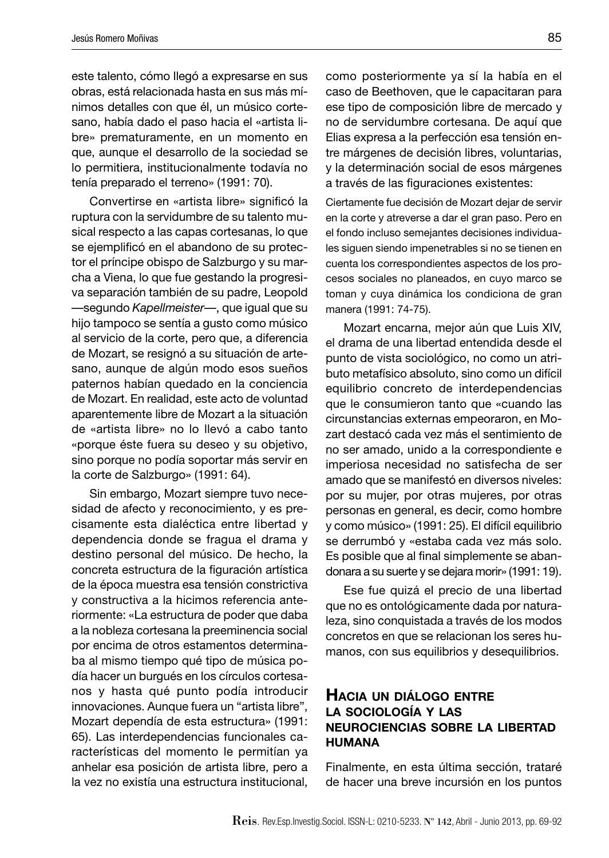este talento, cómo llegó a expresarse en sus obras, está relacionada hasta en sus más mínimos detalles con que él, un músico cortesano, había dado el paso hacia el «artista libre» prematuramente, en un momento en que, aunque el desarrollo de la sociedad se lo permitiera, institucionalmente todavía no tenía preparado el terreno» (1991: 70).

Convertirse en «artista libre» significó la ruptura con la servidumbre de su talento musical respecto a las capas cortesanas, lo que se ejemplificó en el abandono de su protector el príncipe obispo de Salzburgo y su marcha a Viena, lo que fue gestando la progresiva separación también de su padre, Leopold —segundo *Kapellmeister*—, que igual que su hijo tampoco se sentía a gusto como músico al servicio de la corte, pero que, a diferencia de Mozart, se resignó a su situación de artesano, aunque de algún modo esos sueños paternos habían quedado en la conciencia de Mozart. En realidad, este acto de voluntad aparentemente libre de Mozart a la situación de «artista libre» no lo llevó a cabo tanto «porque éste fuera su deseo y su objetivo, sino porque no podía soportar más servir en la corte de Salzburgo» (1991: 64).

Sin embargo, Mozart siempre tuvo necesidad de afecto y reconocimiento, y es precisamente esta dialéctica entre libertad y dependencia donde se fragua el drama y destino personal del músico. De hecho, la concreta estructura de la figuración artística de la época muestra esa tensión constrictiva y constructiva a la hicimos referencia anteriormente: «La estructura de poder que daba a la nobleza cortesana la preeminencia social por encima de otros estamentos determinaba al mismo tiempo qué tipo de música podía hacer un burgués en los círculos cortesanos y hasta qué punto podía introducir innovaciones. Aunque fuera un "artista libre", Mozart dependía de esta estructura» (1991: 65). Las interdependencias funcionales características del momento le permitían ya anhelar esa posición de artista libre, pero a la vez no existía una estructura institucional,

como posteriormente ya sí la había en el caso de Beethoven, que le capacitaran para ese tipo de composición libre de mercado y no de servidumbre cortesana. De aquí que Elias expresa a la perfección esa tensión entre márgenes de decisión libres, voluntarias, y la determinación social de esos márgenes a través de las figuraciones existentes:

Ciertamente fue decisión de Mozart dejar de servir en la corte y atreverse a dar el gran paso. Pero en el fondo incluso semejantes decisiones individuales siguen siendo impenetrables si no se tienen en cuenta los correspondientes aspectos de los procesos sociales no planeados, en cuyo marco se toman y cuya dinámica los condiciona de gran manera (1991: 74-75).

Mozart encarna, mejor aún que Luis XIV, el drama de una libertad entendida desde el punto de vista sociológico, no como un atributo metafísico absoluto, sino como un difícil equilibrio concreto de interdependencias que le consumieron tanto que «cuando las circunstancias externas empeoraron, en Mozart destacó cada vez más el sentimiento de no ser amado, unido a la correspondiente e imperiosa necesidad no satisfecha de ser amado que se manifestó en diversos niveles: por su mujer, por otras mujeres, por otras personas en general, es decir, como hombre y como músico» (1991: 25). El difícil equilibrio se derrumbó y «estaba cada vez más solo. Es posible que al final simplemente se abandonara a su suerte y se dejara morir» (1991: 19).

Ese fue quizá el precio de una libertad que no es ontológicamente dada por naturaleza, sino conquistada a través de los modos concretos en que se relacionan los seres humanos, con sus equilibrios y desequilibrios.

## **HACIA UN DIÁLOGO ENTRE LA SOCIOLOGÍA Y LAS NEUROCIENCIAS SOBRE LA LIBERTAD HUMANA**

Finalmente, en esta última sección, trataré de hacer una breve incursión en los puntos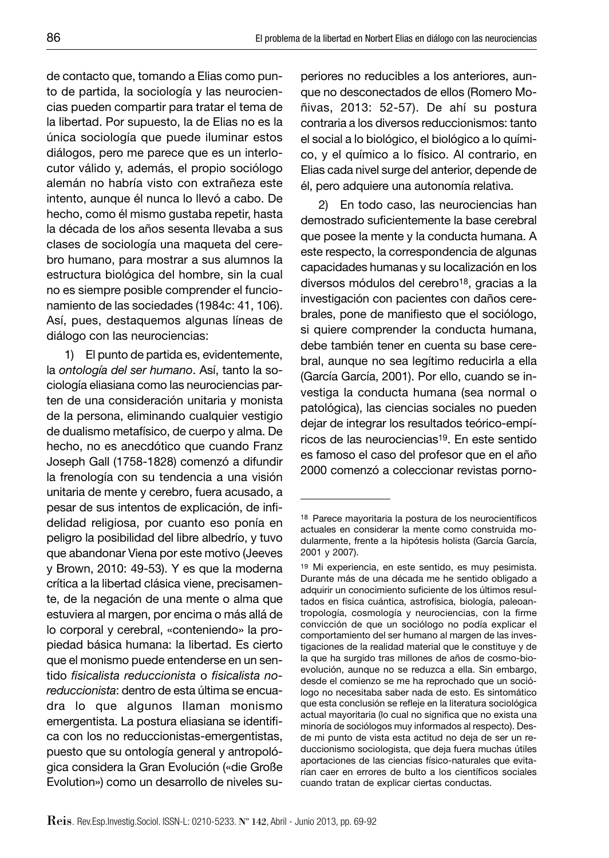de contacto que, tomando a Elias como punto de partida, la sociología y las neurociencias pueden compartir para tratar el tema de la libertad. Por supuesto, la de Elias no es la única sociología que puede iluminar estos diálogos, pero me parece que es un interlocutor válido y, además, el propio sociólogo alemán no habría visto con extrañeza este intento, aunque él nunca lo llevó a cabo. De hecho, como él mismo gustaba repetir, hasta la década de los años sesenta llevaba a sus clases de sociología una maqueta del cerebro humano, para mostrar a sus alumnos la estructura biológica del hombre, sin la cual no es siempre posible comprender el funcionamiento de las sociedades (1984c: 41, 106). Así, pues, destaquemos algunas líneas de diálogo con las neurociencias:

1) El punto de partida es, evidentemente, la *ontología del ser humano*. Así, tanto la sociología eliasiana como las neurociencias parten de una consideración unitaria y monista de la persona, eliminando cualquier vestigio de dualismo metafísico, de cuerpo y alma. De hecho, no es anecdótico que cuando Franz Joseph Gall (1758-1828) comenzó a difundir la frenología con su tendencia a una visión unitaria de mente y cerebro, fuera acusado, a pesar de sus intentos de explicación, de infidelidad religiosa, por cuanto eso ponía en peligro la posibilidad del libre albedrío, y tuvo que abandonar Viena por este motivo (Jeeves y Brown, 2010: 49-53). Y es que la moderna crítica a la libertad clásica viene, precisamente, de la negación de una mente o alma que estuviera al margen, por encima o más allá de lo corporal y cerebral, «conteniendo» la propiedad básica humana: la libertad. Es cierto que el monismo puede entenderse en un sentido *fi sicalista reduccionista* o *fi sicalista noreduccionista*: dentro de esta última se encuadra lo que algunos llaman monismo emergentista. La postura eliasiana se identifica con los no reduccionistas-emergentistas, puesto que su ontología general y antropológica considera la Gran Evolución («die Große Evolution») como un desarrollo de niveles superiores no reducibles a los anteriores, aunque no desconectados de ellos (Romero Moñivas, 2013: 52-57). De ahí su postura contraria a los diversos reduccionismos: tanto el social a lo biológico, el biológico a lo químico, y el químico a lo físico. Al contrario, en Elias cada nivel surge del anterior, depende de él, pero adquiere una autonomía relativa.

2) En todo caso, las neurociencias han demostrado suficientemente la base cerebral que posee la mente y la conducta humana. A este respecto, la correspondencia de algunas capacidades humanas y su localización en los diversos módulos del cerebro18, gracias a la investigación con pacientes con daños cerebrales, pone de manifiesto que el sociólogo, si quiere comprender la conducta humana, debe también tener en cuenta su base cerebral, aunque no sea legítimo reducirla a ella (García García, 2001). Por ello, cuando se investiga la conducta humana (sea normal o patológica), las ciencias sociales no pueden dejar de integrar los resultados teórico-empíricos de las neurociencias19. En este sentido es famoso el caso del profesor que en el año 2000 comenzó a coleccionar revistas porno-

<sup>18</sup> Parece mayoritaria la postura de los neurocientíficos actuales en considerar la mente como construida modularmente, frente a la hipótesis holista (García García, 2001 y 2007).

<sup>19</sup> Mi experiencia, en este sentido, es muy pesimista. Durante más de una década me he sentido obligado a adquirir un conocimiento suficiente de los últimos resultados en física cuántica, astrofísica, biología, paleoantropología, cosmología y neurociencias, con la firme convicción de que un sociólogo no podía explicar el comportamiento del ser humano al margen de las investigaciones de la realidad material que le constituye y de la que ha surgido tras millones de años de cosmo-bioevolución, aunque no se reduzca a ella. Sin embargo, desde el comienzo se me ha reprochado que un sociólogo no necesitaba saber nada de esto. Es sintomático que esta conclusión se refleje en la literatura sociológica actual mayoritaria (lo cual no significa que no exista una minoría de sociólogos muy informados al respecto). Desde mi punto de vista esta actitud no deja de ser un reduccionismo sociologista, que deja fuera muchas útiles aportaciones de las ciencias físico-naturales que evitarían caer en errores de bulto a los científicos sociales cuando tratan de explicar ciertas conductas.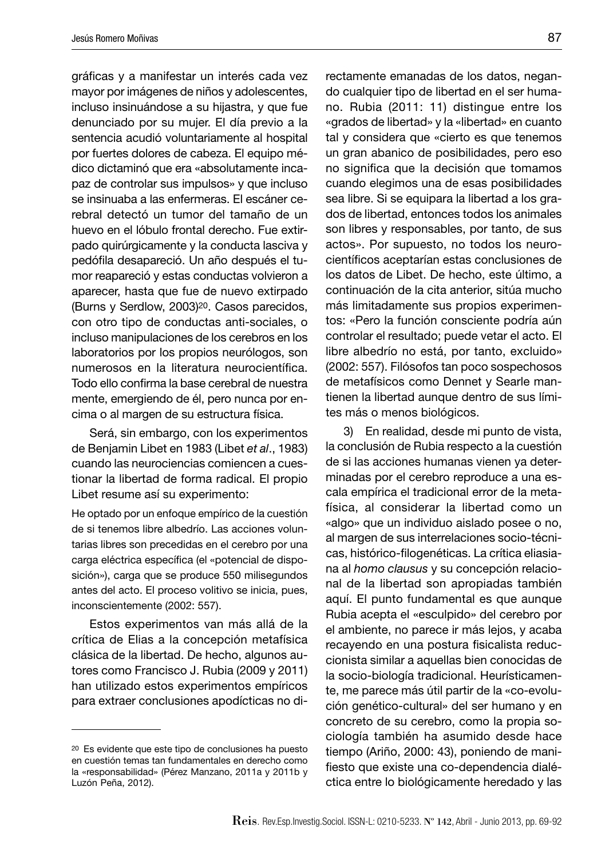gráficas y a manifestar un interés cada vez mayor por imágenes de niños y adolescentes, incluso insinuándose a su hijastra, y que fue denunciado por su mujer. El día previo a la sentencia acudió voluntariamente al hospital por fuertes dolores de cabeza. El equipo médico dictaminó que era «absolutamente incapaz de controlar sus impulsos» y que incluso se insinuaba a las enfermeras. El escáner cerebral detectó un tumor del tamaño de un huevo en el lóbulo frontal derecho. Fue extirpado quirúrgicamente y la conducta lasciva y pedófila desapareció. Un año después el tumor reapareció y estas conductas volvieron a aparecer, hasta que fue de nuevo extirpado (Burns y Serdlow, 2003)20. Casos parecidos, con otro tipo de conductas anti-sociales, o incluso manipulaciones de los cerebros en los laboratorios por los propios neurólogos, son numerosos en la literatura neurocientífica. Todo ello confirma la base cerebral de nuestra mente, emergiendo de él, pero nunca por encima o al margen de su estructura física.

Será, sin embargo, con los experimentos de Benjamin Libet en 1983 (Libet *et al*., 1983) cuando las neurociencias comiencen a cuestionar la libertad de forma radical. El propio Libet resume así su experimento:

He optado por un enfoque empírico de la cuestión de si tenemos libre albedrío. Las acciones voluntarias libres son precedidas en el cerebro por una carga eléctrica específica (el «potencial de disposición»), carga que se produce 550 milisegundos antes del acto. El proceso volitivo se inicia, pues, inconscientemente (2002: 557).

Estos experimentos van más allá de la crítica de Elias a la concepción metafísica clásica de la libertad. De hecho, algunos autores como Francisco J. Rubia (2009 y 2011) han utilizado estos experimentos empíricos para extraer conclusiones apodícticas no directamente emanadas de los datos, negando cualquier tipo de libertad en el ser humano. Rubia (2011: 11) distingue entre los «grados de libertad» y la «libertad» en cuanto tal y considera que «cierto es que tenemos un gran abanico de posibilidades, pero eso no significa que la decisión que tomamos cuando elegimos una de esas posibilidades sea libre. Si se equipara la libertad a los grados de libertad, entonces todos los animales son libres y responsables, por tanto, de sus actos». Por supuesto, no todos los neurocientíficos aceptarían estas conclusiones de los datos de Libet. De hecho, este último, a continuación de la cita anterior, sitúa mucho más limitadamente sus propios experimentos: «Pero la función consciente podría aún controlar el resultado; puede vetar el acto. El libre albedrío no está, por tanto, excluido» (2002: 557). Filósofos tan poco sospechosos de metafísicos como Dennet y Searle mantienen la libertad aunque dentro de sus límites más o menos biológicos.

3) En realidad, desde mi punto de vista, la conclusión de Rubia respecto a la cuestión de si las acciones humanas vienen ya determinadas por el cerebro reproduce a una escala empírica el tradicional error de la metafísica, al considerar la libertad como un «algo» que un individuo aislado posee o no, al margen de sus interrelaciones socio-técnicas, histórico-filogenéticas. La crítica eliasiana al *homo clausus* y su concepción relacional de la libertad son apropiadas también aquí. El punto fundamental es que aunque Rubia acepta el «esculpido» del cerebro por el ambiente, no parece ir más lejos, y acaba recayendo en una postura fisicalista reduccionista similar a aquellas bien conocidas de la socio-biología tradicional. Heurísticamente, me parece más útil partir de la «co-evolución genético-cultural» del ser humano y en concreto de su cerebro, como la propia sociología también ha asumido desde hace tiempo (Ariño, 2000: 43), poniendo de manifiesto que existe una co-dependencia dialéctica entre lo biológicamente heredado y las

<sup>20</sup> Es evidente que este tipo de conclusiones ha puesto en cuestión temas tan fundamentales en derecho como la «responsabilidad» (Pérez Manzano, 2011a y 2011b y Luzón Peña, 2012).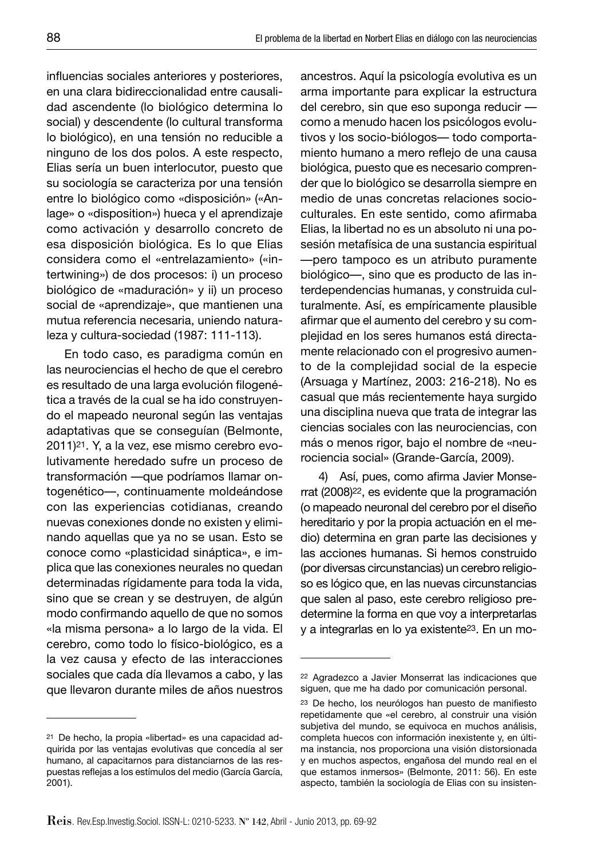influencias sociales anteriores y posteriores, en una clara bidireccionalidad entre causalidad ascendente (lo biológico determina lo social) y descendente (lo cultural transforma lo biológico), en una tensión no reducible a ninguno de los dos polos. A este respecto, Elias sería un buen interlocutor, puesto que su sociología se caracteriza por una tensión entre lo biológico como «disposición» («Anlage» o «disposition») hueca y el aprendizaje como activación y desarrollo concreto de esa disposición biológica. Es lo que Elias considera como el «entrelazamiento» («intertwining») de dos procesos: i) un proceso biológico de «maduración» y ii) un proceso social de «aprendizaje», que mantienen una mutua referencia necesaria, uniendo naturaleza y cultura-sociedad (1987: 111-113).

En todo caso, es paradigma común en las neurociencias el hecho de que el cerebro es resultado de una larga evolución filogenética a través de la cual se ha ido construyendo el mapeado neuronal según las ventajas adaptativas que se conseguían (Belmonte, 2011)21. Y, a la vez, ese mismo cerebro evolutivamente heredado sufre un proceso de transformación —que podríamos llamar ontogenético—, continuamente moldeándose con las experiencias cotidianas, creando nuevas conexiones donde no existen y eliminando aquellas que ya no se usan. Esto se conoce como «plasticidad sináptica», e implica que las conexiones neurales no quedan determinadas rígidamente para toda la vida, sino que se crean y se destruyen, de algún modo confirmando aquello de que no somos «la misma persona» a lo largo de la vida. El cerebro, como todo lo físico-biológico, es a la vez causa y efecto de las interacciones sociales que cada día llevamos a cabo, y las que llevaron durante miles de años nuestros

ancestros. Aquí la psicología evolutiva es un arma importante para explicar la estructura del cerebro, sin que eso suponga reducir como a menudo hacen los psicólogos evolutivos y los socio-biólogos— todo comportamiento humano a mero reflejo de una causa biológica, puesto que es necesario comprender que lo biológico se desarrolla siempre en medio de unas concretas relaciones socioculturales. En este sentido, como afirmaba Elias, la libertad no es un absoluto ni una posesión metafísica de una sustancia espiritual —pero tampoco es un atributo puramente biológico—, sino que es producto de las interdependencias humanas, y construida culturalmente. Así, es empíricamente plausible afirmar que el aumento del cerebro y su complejidad en los seres humanos está directamente relacionado con el progresivo aumento de la complejidad social de la especie (Arsuaga y Martínez, 2003: 216-218). No es casual que más recientemente haya surgido una disciplina nueva que trata de integrar las ciencias sociales con las neurociencias, con más o menos rigor, bajo el nombre de «neurociencia social» (Grande-García, 2009).

4) Así, pues, como afirma Javier Monserrat (2008)22, es evidente que la programación (o mapeado neuronal del cerebro por el diseño hereditario y por la propia actuación en el medio) determina en gran parte las decisiones y las acciones humanas. Si hemos construido (por diversas circunstancias) un cerebro religioso es lógico que, en las nuevas circunstancias que salen al paso, este cerebro religioso predetermine la forma en que voy a interpretarlas y a integrarlas en lo ya existente23. En un mo-

<sup>21</sup> De hecho, la propia «libertad» es una capacidad adquirida por las ventajas evolutivas que concedía al ser humano, al capacitarnos para distanciarnos de las respuestas reflejas a los estímulos del medio (García García, 2001).

<sup>22</sup> Agradezco a Javier Monserrat las indicaciones que siguen, que me ha dado por comunicación personal.

<sup>&</sup>lt;sup>23</sup> De hecho, los neurólogos han puesto de manifiesto repetidamente que «el cerebro, al construir una visión subjetiva del mundo, se equivoca en muchos análisis, completa huecos con información inexistente y, en última instancia, nos proporciona una visión distorsionada y en muchos aspectos, engañosa del mundo real en el que estamos inmersos» (Belmonte, 2011: 56). En este aspecto, también la sociología de Elias con su insisten-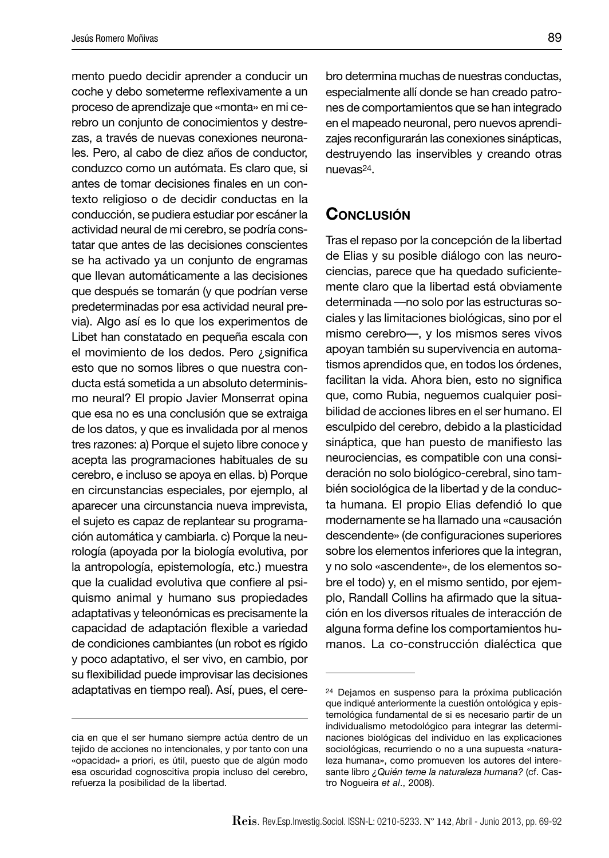mento puedo decidir aprender a conducir un coche y debo someterme reflexivamente a un proceso de aprendizaje que «monta» en mi cerebro un conjunto de conocimientos y destrezas, a través de nuevas conexiones neuronales. Pero, al cabo de diez años de conductor, conduzco como un autómata. Es claro que, si antes de tomar decisiones finales en un contexto religioso o de decidir conductas en la conducción, se pudiera estudiar por escáner la actividad neural de mi cerebro, se podría constatar que antes de las decisiones conscientes se ha activado ya un conjunto de engramas que llevan automáticamente a las decisiones que después se tomarán (y que podrían verse predeterminadas por esa actividad neural previa). Algo así es lo que los experimentos de Libet han constatado en pequeña escala con el movimiento de los dedos. Pero ¿significa esto que no somos libres o que nuestra conducta está sometida a un absoluto determinismo neural? El propio Javier Monserrat opina que esa no es una conclusión que se extraiga de los datos, y que es invalidada por al menos tres razones: a) Porque el sujeto libre conoce y acepta las programaciones habituales de su cerebro, e incluso se apoya en ellas. b) Porque en circunstancias especiales, por ejemplo, al aparecer una circunstancia nueva imprevista, el sujeto es capaz de replantear su programación automática y cambiarla. c) Porque la neurología (apoyada por la biología evolutiva, por la antropología, epistemología, etc.) muestra que la cualidad evolutiva que confiere al psiquismo animal y humano sus propiedades adaptativas y teleonómicas es precisamente la capacidad de adaptación flexible a variedad de condiciones cambiantes (un robot es rígido y poco adaptativo, el ser vivo, en cambio, por su flexibilidad puede improvisar las decisiones adaptativas en tiempo real). Así, pues, el cerebro determina muchas de nuestras conductas, especialmente allí donde se han creado patrones de comportamientos que se han integrado en el mapeado neuronal, pero nuevos aprendizajes reconfigurarán las conexiones sinápticas, destruyendo las inservibles y creando otras nuevas24.

# **CONCLUSIÓN**

Tras el repaso por la concepción de la libertad de Elias y su posible diálogo con las neurociencias, parece que ha quedado suficientemente claro que la libertad está obviamente determinada —no solo por las estructuras sociales y las limitaciones biológicas, sino por el mismo cerebro—, y los mismos seres vivos apoyan también su supervivencia en automatismos aprendidos que, en todos los órdenes, facilitan la vida. Ahora bien, esto no significa que, como Rubia, neguemos cualquier posibilidad de acciones libres en el ser humano. El esculpido del cerebro, debido a la plasticidad sináptica, que han puesto de manifiesto las neurociencias, es compatible con una consideración no solo biológico-cerebral, sino también sociológica de la libertad y de la conducta humana. El propio Elias defendió lo que modernamente se ha llamado una «causación descendente» (de configuraciones superiores sobre los elementos inferiores que la integran, y no solo «ascendente», de los elementos sobre el todo) y, en el mismo sentido, por ejemplo, Randall Collins ha afirmado que la situación en los diversos rituales de interacción de alguna forma define los comportamientos humanos. La co-construcción dialéctica que

cia en que el ser humano siempre actúa dentro de un tejido de acciones no intencionales, y por tanto con una «opacidad» a priori, es útil, puesto que de algún modo esa oscuridad cognoscitiva propia incluso del cerebro, refuerza la posibilidad de la libertad.

<sup>24</sup> Dejamos en suspenso para la próxima publicación que indiqué anteriormente la cuestión ontológica y epistemológica fundamental de si es necesario partir de un individualismo metodológico para integrar las determinaciones biológicas del individuo en las explicaciones sociológicas, recurriendo o no a una supuesta «naturaleza humana», como promueven los autores del interesante libro *¿Quién teme la naturaleza humana?* (cf. Castro Nogueira *et al*., 2008).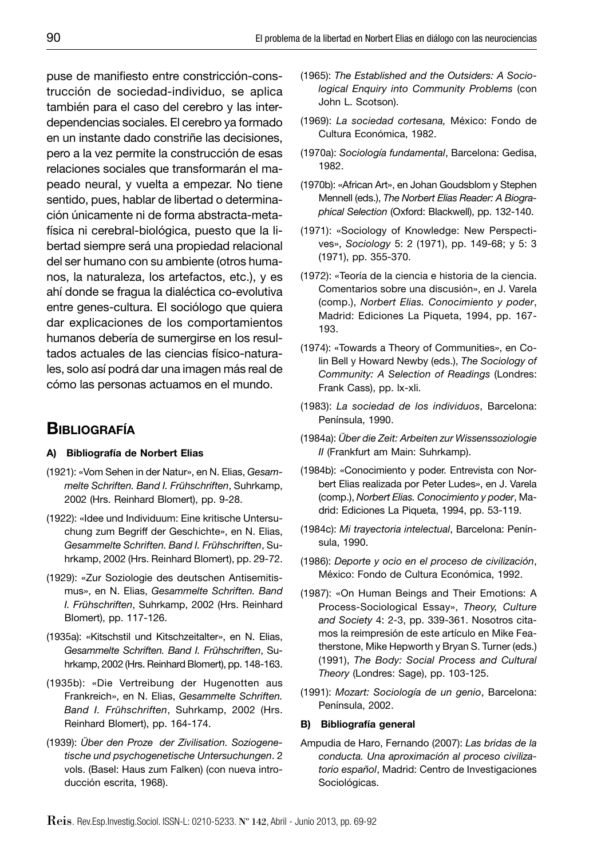puse de manifiesto entre constricción-construcción de sociedad-individuo, se aplica también para el caso del cerebro y las interdependencias sociales. El cerebro ya formado en un instante dado constriñe las decisiones, pero a la vez permite la construcción de esas relaciones sociales que transformarán el mapeado neural, y vuelta a empezar. No tiene sentido, pues, hablar de libertad o determinación únicamente ni de forma abstracta-metafísica ni cerebral-biológica, puesto que la libertad siempre será una propiedad relacional del ser humano con su ambiente (otros humanos, la naturaleza, los artefactos, etc.), y es ahí donde se fragua la dialéctica co-evolutiva entre genes-cultura. El sociólogo que quiera dar explicaciones de los comportamientos humanos debería de sumergirse en los resultados actuales de las ciencias físico-naturales, solo así podrá dar una imagen más real de cómo las personas actuamos en el mundo.

# **BIBLIOGRAFÍA**

#### **A) Bibliografía de Norbert Elias**

- (1921): «Vom Sehen in der Natur», en N. Elias, *Gesammelte Schriften. Band I. Frühschriften*, Suhrkamp, 2002 (Hrs. Reinhard Blomert), pp. 9-28.
- (1922): «Idee und Individuum: Eine kritische Untersuchung zum Begriff der Geschichte», en N. Elias, *Gesammelte Schriften. Band I. Frühschriften*, Suhrkamp, 2002 (Hrs. Reinhard Blomert), pp. 29-72.
- (1929): «Zur Soziologie des deutschen Antisemitismus», en N. Elias, *Gesammelte Schriften. Band I. Frühschriften*, Suhrkamp, 2002 (Hrs. Reinhard Blomert), pp. 117-126.
- (1935a): «Kitschstil und Kitschzeitalter», en N. Elias, *Gesammelte Schriften. Band I. Frühschriften*, Suhrkamp, 2002 (Hrs. Reinhard Blomert), pp. 148-163.
- (1935b): «Die Vertreibung der Hugenotten aus Frankreich», en N. Elias, *Gesammelte Schriften. Band I. Frühschriften*, Suhrkamp, 2002 (Hrs. Reinhard Blomert), pp. 164-174.
- (1939): *Über den Proze der Zivilisation. Soziogenetische und psychogenetische Untersuchungen*. 2 vols. (Basel: Haus zum Falken) (con nueva introducción escrita, 1968).
- (1965): *The Established and the Outsiders: A Sociological Enquiry into Community Problems* (con John L. Scotson).
- (1969): *La sociedad cortesana,* México: Fondo de Cultura Económica, 1982.
- (1970a): *Sociología fundamental*, Barcelona: Gedisa, 1982.
- (1970b): «African Art», en Johan Goudsblom y Stephen Mennell (eds.), *The Norbert Elias Reader: A Biographical Selection* (Oxford: Blackwell), pp. 132-140.
- (1971): «Sociology of Knowledge: New Perspectives», *Sociology* 5: 2 (1971), pp. 149-68; y 5: 3 (1971), pp. 355-370.
- (1972): «Teoría de la ciencia e historia de la ciencia. Comentarios sobre una discusión», en J. Varela (comp.), *Norbert Elias. Conocimiento y poder*, Madrid: Ediciones La Piqueta, 1994, pp. 167- 193.
- (1974): «Towards a Theory of Communities», en Colin Bell y Howard Newby (eds.), *The Sociology of Community: A Selection of Readings* (Londres: Frank Cass), pp. lx-xli.
- (1983): *La sociedad de los individuos*, Barcelona: Península, 1990.
- (1984a): *Über die Zeit: Arbeiten zur Wissenssoziologie II* (Frankfurt am Main: Suhrkamp).
- (1984b): «Conocimiento y poder. Entrevista con Norbert Elias realizada por Peter Ludes», en J. Varela (comp.), *Norbert Elias. Conocimiento y poder*, Madrid: Ediciones La Piqueta, 1994, pp. 53-119.
- (1984c): *Mi trayectoria intelectual*, Barcelona: Península, 1990.
- (1986): *Deporte y ocio en el proceso de civilización*, México: Fondo de Cultura Económica, 1992.
- (1987): «On Human Beings and Their Emotions: A Process-Sociological Essay», *Theory, Culture and Society* 4: 2-3, pp. 339-361. Nosotros citamos la reimpresión de este artículo en Mike Featherstone, Mike Hepworth y Bryan S. Turner (eds.) (1991), *The Body: Social Process and Cultural Theory* (Londres: Sage), pp. 103-125.
- (1991): *Mozart: Sociología de un genio*, Barcelona: Península, 2002.

#### **B) Bibliografía general**

Ampudia de Haro, Fernando (2007): *Las bridas de la conducta. Una aproximación al proceso civilizatorio español*, Madrid: Centro de Investigaciones Sociológicas.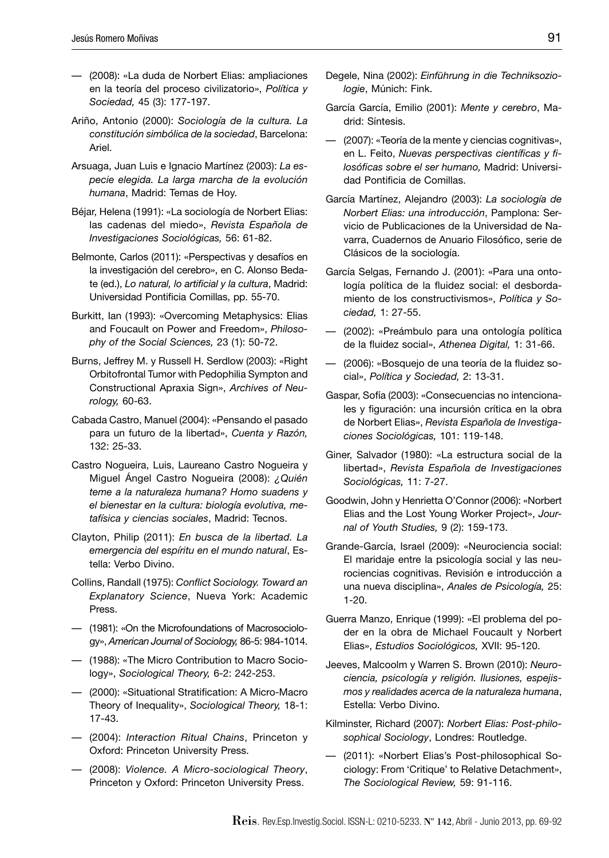- (2008): «La duda de Norbert Elias: ampliaciones en la teoría del proceso civilizatorio», *Política y Sociedad,* 45 (3): 177-197.
- Ariño, Antonio (2000): *Sociología de la cultura. La constitución simbólica de la sociedad*, Barcelona: Ariel.
- Arsuaga, Juan Luis e Ignacio Martínez (2003): *La especie elegida. La larga marcha de la evolución humana*, Madrid: Temas de Hoy.
- Béjar, Helena (1991): «La sociología de Norbert Elias: las cadenas del miedo», *Revista Española de Investigaciones Sociológicas,* 56: 61-82.
- Belmonte, Carlos (2011): «Perspectivas y desafíos en la investigación del cerebro», en C. Alonso Bedate (ed.), Lo natural, lo artificial y la cultura, Madrid: Universidad Pontificia Comillas, pp. 55-70.
- Burkitt, Ian (1993): «Overcoming Metaphysics: Elias and Foucault on Power and Freedom», *Philosophy of the Social Sciences,* 23 (1): 50-72.
- Burns, Jeffrey M. y Russell H. Serdlow (2003): «Right Orbitofrontal Tumor with Pedophilia Sympton and Constructional Apraxia Sign», *Archives of Neurology,* 60-63.
- Cabada Castro, Manuel (2004): «Pensando el pasado para un futuro de la libertad», *Cuenta y Razón,* 132: 25-33.
- Castro Nogueira, Luis, Laureano Castro Nogueira y Miguel Ángel Castro Nogueira (2008): *¿Quién teme a la naturaleza humana? Homo suadens y el bienestar en la cultura: biología evolutiva, metafísica y ciencias sociales*, Madrid: Tecnos.
- Clayton, Philip (2011): *En busca de la libertad. La emergencia del espíritu en el mundo natural*, Estella: Verbo Divino.
- Collins, Randall (1975): *Conflict Sociology. Toward an Explanatory Science*, Nueva York: Academic Press.
- (1981): «On the Microfoundations of Macrosociology», *American Journal of Sociology,* 86-5: 984-1014.
- (1988): «The Micro Contribution to Macro Sociology», *Sociological Theory,* 6-2: 242-253.
- (2000): «Situational Stratification: A Micro-Macro Theory of Inequality», *Sociological Theory,* 18-1: 17-43.
- (2004): *Interaction Ritual Chains*, Princeton y Oxford: Princeton University Press.
- (2008): *Violence. A Micro-sociological Theory*, Princeton y Oxford: Princeton University Press.
- Degele, Nina (2002): *Einführung in die Techniksoziologie*, Múnich: Fink.
- García García, Emilio (2001): *Mente y cerebro*, Madrid: Síntesis.
- (2007): «Teoría de la mente y ciencias cognitivas», en L. Feito, *Nuevas perspectivas científicas y filosófi cas sobre el ser humano,* Madrid: Universidad Pontificia de Comillas.
- García Martínez, Alejandro (2003): *La sociología de Norbert Elias: una introducción*, Pamplona: Servicio de Publicaciones de la Universidad de Navarra, Cuadernos de Anuario Filosófico, serie de Clásicos de la sociología.
- García Selgas, Fernando J. (2001): «Para una ontología política de la fluidez social: el desbordamiento de los constructivismos», *Política y Sociedad,* 1: 27-55.
- (2002): «Preámbulo para una ontología política de la fl uidez social», *Athenea Digital,* 1: 31-66.
- (2006): «Bosquejo de una teoría de la fluidez social», *Política y Sociedad,* 2: 13-31.
- Gaspar, Sofía (2003): «Consecuencias no intencionales y figuración: una incursión crítica en la obra de Norbert Elias», *Revista Española de Investigaciones Sociológicas,* 101: 119-148.
- Giner, Salvador (1980): «La estructura social de la libertad», *Revista Española de Investigaciones Sociológicas,* 11: 7-27.
- Goodwin, John y Henrietta O'Connor (2006): «Norbert Elias and the Lost Young Worker Project», *Journal of Youth Studies,* 9 (2): 159-173.
- Grande-García, Israel (2009): «Neurociencia social: El maridaje entre la psicología social y las neurociencias cognitivas. Revisión e introducción a una nueva disciplina», *Anales de Psicología,* 25: 1-20.
- Guerra Manzo, Enrique (1999): «El problema del poder en la obra de Michael Foucault y Norbert Elias», *Estudios Sociológicos,* XVII: 95-120.
- Jeeves, Malcoolm y Warren S. Brown (2010): *Neurociencia, psicología y religión. Ilusiones, espejismos y realidades acerca de la naturaleza humana*, Estella: Verbo Divino.
- Kilminster, Richard (2007): *Norbert Elias: Post-philosophical Sociology*, Londres: Routledge.
- (2011): «Norbert Elias's Post-philosophical Sociology: From 'Critique' to Relative Detachment», *The Sociological Review,* 59: 91-116.